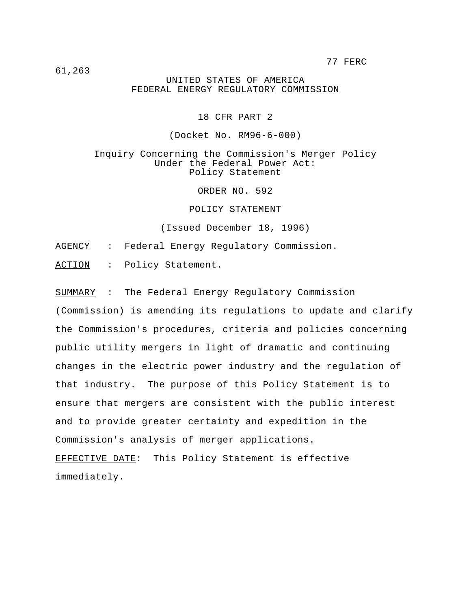77 FERC

61,263

UNITED STATES OF AMERICA FEDERAL ENERGY REGULATORY COMMISSION

18 CFR PART 2

(Docket No. RM96-6-000)

Inquiry Concerning the Commission's Merger Policy Under the Federal Power Act: Policy Statement

ORDER NO. 592

POLICY STATEMENT

(Issued December 18, 1996)

AGENCY : Federal Energy Regulatory Commission.

ACTION : Policy Statement.

SUMMARY : The Federal Energy Regulatory Commission (Commission) is amending its regulations to update and clarify the Commission's procedures, criteria and policies concerning public utility mergers in light of dramatic and continuing changes in the electric power industry and the regulation of that industry. The purpose of this Policy Statement is to ensure that mergers are consistent with the public interest and to provide greater certainty and expedition in the Commission's analysis of merger applications.

EFFECTIVE DATE: This Policy Statement is effective immediately.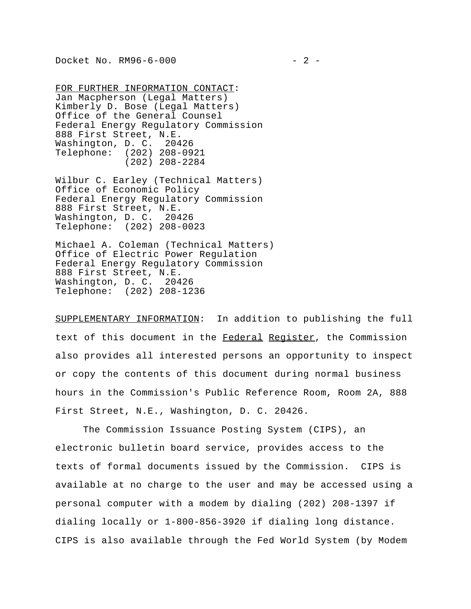FOR FURTHER INFORMATION CONTACT: Jan Macpherson (Legal Matters) Kimberly D. Bose (Legal Matters) Office of the General Counsel Federal Energy Regulatory Commission 888 First Street, N.E. Washington, D. C. 20426 Telephone: (202) 208-0921 (202) 208-2284

Wilbur C. Earley (Technical Matters) Office of Economic Policy Federal Energy Regulatory Commission 888 First Street, N.E. Washington, D. C. 20426 Telephone: (202) 208-0023

Michael A. Coleman (Technical Matters) Office of Electric Power Regulation Federal Energy Regulatory Commission 888 First Street, N.E. Washington, D. C. 20426 Telephone: (202) 208-1236

SUPPLEMENTARY INFORMATION: In addition to publishing the full text of this document in the Federal Register, the Commission also provides all interested persons an opportunity to inspect or copy the contents of this document during normal business hours in the Commission's Public Reference Room, Room 2A, 888 First Street, N.E., Washington, D. C. 20426.

The Commission Issuance Posting System (CIPS), an electronic bulletin board service, provides access to the texts of formal documents issued by the Commission. CIPS is available at no charge to the user and may be accessed using a personal computer with a modem by dialing (202) 208-1397 if dialing locally or 1-800-856-3920 if dialing long distance. CIPS is also available through the Fed World System (by Modem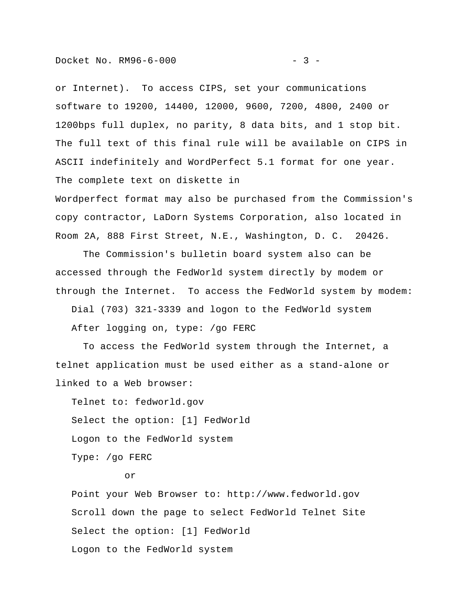or Internet). To access CIPS, set your communications software to 19200, 14400, 12000, 9600, 7200, 4800, 2400 or 1200bps full duplex, no parity, 8 data bits, and 1 stop bit. The full text of this final rule will be available on CIPS in ASCII indefinitely and WordPerfect 5.1 format for one year. The complete text on diskette in

Wordperfect format may also be purchased from the Commission's copy contractor, LaDorn Systems Corporation, also located in Room 2A, 888 First Street, N.E., Washington, D. C. 20426.

The Commission's bulletin board system also can be accessed through the FedWorld system directly by modem or through the Internet. To access the FedWorld system by modem:

Dial (703) 321-3339 and logon to the FedWorld system

After logging on, type: /go FERC

To access the FedWorld system through the Internet, a telnet application must be used either as a stand-alone or linked to a Web browser:

 Telnet to: fedworld.gov Select the option: [1] FedWorld Logon to the FedWorld system Type: /go FERC

# or

 Point your Web Browser to: http://www.fedworld.gov Scroll down the page to select FedWorld Telnet Site Select the option: [1] FedWorld Logon to the FedWorld system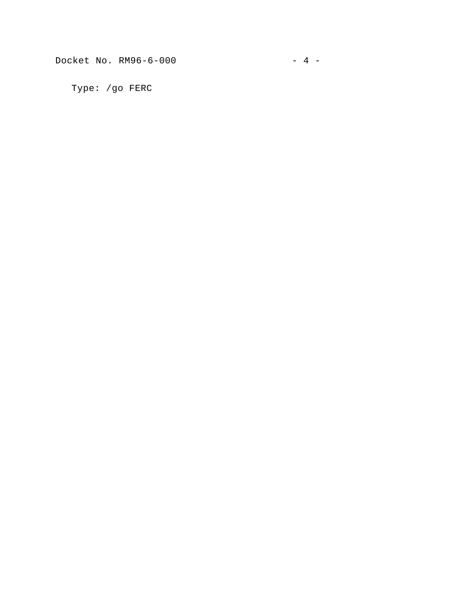Docket No. RM96-6-000 - 4 -

Type: /go FERC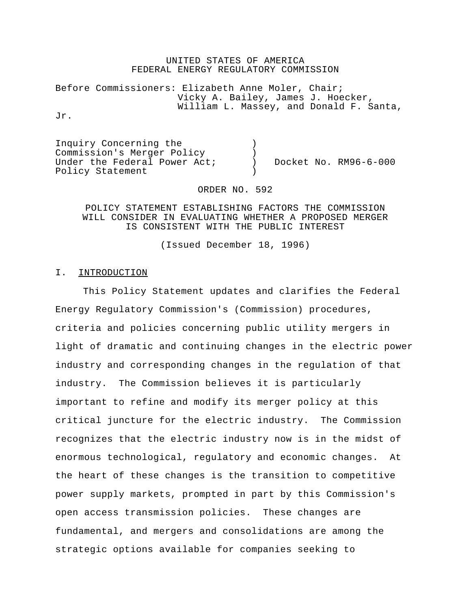#### UNITED STATES OF AMERICA FEDERAL ENERGY REGULATORY COMMISSION

Before Commissioners: Elizabeth Anne Moler, Chair; Vicky A. Bailey, James J. Hoecker, William L. Massey, and Donald F. Santa,

Jr.

Inquiry Concerning the ) Commission's Merger Policy ) Under the Federal Power Act; ) Docket No. RM96-6-000 Policy Statement

ORDER NO. 592

#### POLICY STATEMENT ESTABLISHING FACTORS THE COMMISSION WILL CONSIDER IN EVALUATING WHETHER A PROPOSED MERGER IS CONSISTENT WITH THE PUBLIC INTEREST

(Issued December 18, 1996)

# I. **INTRODUCTION**

This Policy Statement updates and clarifies the Federal Energy Regulatory Commission's (Commission) procedures, criteria and policies concerning public utility mergers in light of dramatic and continuing changes in the electric power industry and corresponding changes in the regulation of that industry. The Commission believes it is particularly important to refine and modify its merger policy at this critical juncture for the electric industry. The Commission recognizes that the electric industry now is in the midst of enormous technological, regulatory and economic changes. At the heart of these changes is the transition to competitive power supply markets, prompted in part by this Commission's open access transmission policies. These changes are fundamental, and mergers and consolidations are among the strategic options available for companies seeking to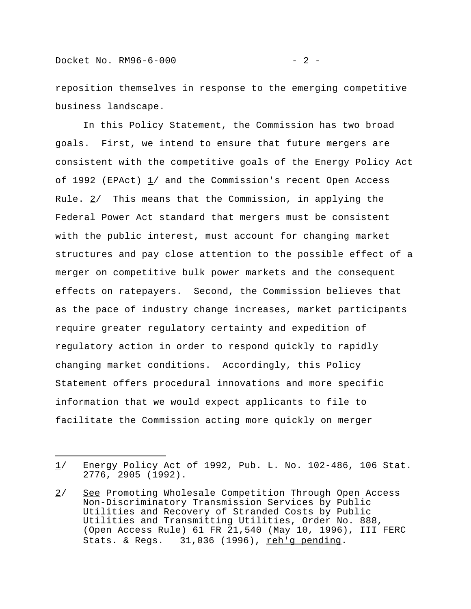reposition themselves in response to the emerging competitive business landscape.

In this Policy Statement, the Commission has two broad goals. First, we intend to ensure that future mergers are consistent with the competitive goals of the Energy Policy Act of 1992 (EPAct)  $1/$  and the Commission's recent Open Access Rule.  $2/$  This means that the Commission, in applying the Federal Power Act standard that mergers must be consistent with the public interest, must account for changing market structures and pay close attention to the possible effect of a merger on competitive bulk power markets and the consequent effects on ratepayers. Second, the Commission believes that as the pace of industry change increases, market participants require greater regulatory certainty and expedition of regulatory action in order to respond quickly to rapidly changing market conditions. Accordingly, this Policy Statement offers procedural innovations and more specific information that we would expect applicants to file to facilitate the Commission acting more quickly on merger

<sup>1/</sup> Energy Policy Act of 1992, Pub. L. No. 102-486, 106 Stat. 2776, 2905 (1992).

<sup>2/</sup> See Promoting Wholesale Competition Through Open Access Non-Discriminatory Transmission Services by Public Utilities and Recovery of Stranded Costs by Public Utilities and Transmitting Utilities, Order No. 888, (Open Access Rule) 61 FR 21,540 (May 10, 1996), III FERC Stats. & Regs. 31,036 (1996), reh'g pending.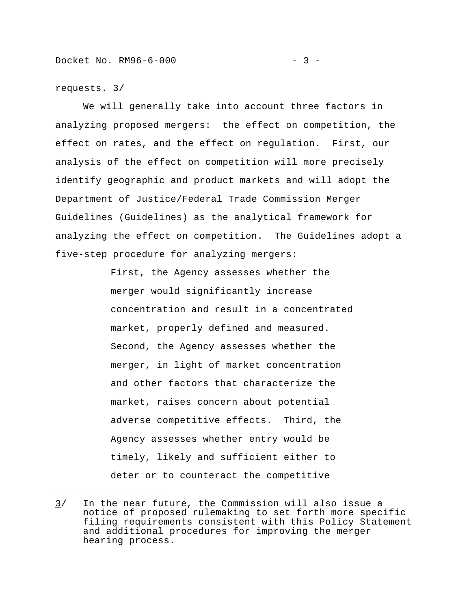We will generally take into account three factors in analyzing proposed mergers: the effect on competition, the effect on rates, and the effect on regulation. First, our analysis of the effect on competition will more precisely identify geographic and product markets and will adopt the Department of Justice/Federal Trade Commission Merger Guidelines (Guidelines) as the analytical framework for analyzing the effect on competition. The Guidelines adopt a five-step procedure for analyzing mergers:

> First, the Agency assesses whether the merger would significantly increase concentration and result in a concentrated market, properly defined and measured. Second, the Agency assesses whether the merger, in light of market concentration and other factors that characterize the market, raises concern about potential adverse competitive effects. Third, the Agency assesses whether entry would be timely, likely and sufficient either to deter or to counteract the competitive

 $3/$  In the near future, the Commission will also issue a notice of proposed rulemaking to set forth more specific filing requirements consistent with this Policy Statement and additional procedures for improving the merger hearing process.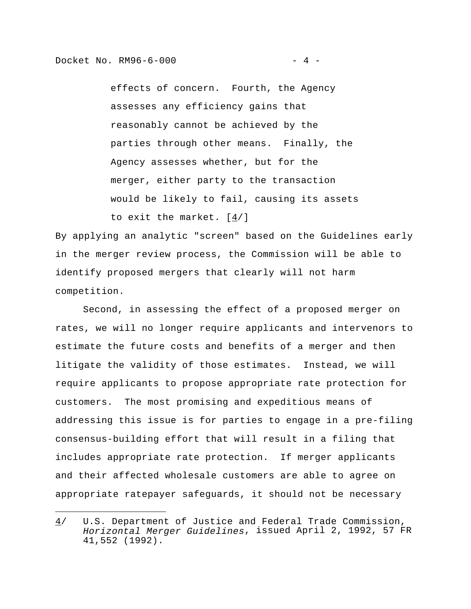effects of concern. Fourth, the Agency assesses any efficiency gains that reasonably cannot be achieved by the parties through other means. Finally, the Agency assesses whether, but for the merger, either party to the transaction would be likely to fail, causing its assets to exit the market. [4/]

By applying an analytic "screen" based on the Guidelines early in the merger review process, the Commission will be able to identify proposed mergers that clearly will not harm competition.

Second, in assessing the effect of a proposed merger on rates, we will no longer require applicants and intervenors to estimate the future costs and benefits of a merger and then litigate the validity of those estimates. Instead, we will require applicants to propose appropriate rate protection for customers. The most promising and expeditious means of addressing this issue is for parties to engage in a pre-filing consensus-building effort that will result in a filing that includes appropriate rate protection. If merger applicants and their affected wholesale customers are able to agree on appropriate ratepayer safeguards, it should not be necessary

<sup>4/</sup> U.S. Department of Justice and Federal Trade Commission, *Horizontal Merger Guidelines*, issued April 2, 1992, 57 FR 41,552 (1992).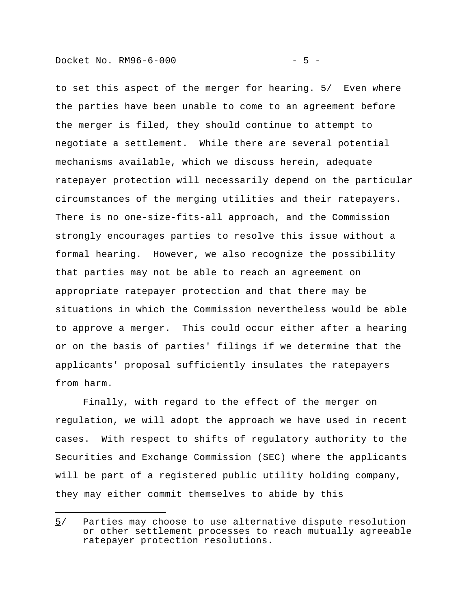to set this aspect of the merger for hearing.  $5/$  Even where the parties have been unable to come to an agreement before the merger is filed, they should continue to attempt to negotiate a settlement. While there are several potential mechanisms available, which we discuss herein, adequate ratepayer protection will necessarily depend on the particular circumstances of the merging utilities and their ratepayers. There is no one-size-fits-all approach, and the Commission strongly encourages parties to resolve this issue without a formal hearing. However, we also recognize the possibility that parties may not be able to reach an agreement on appropriate ratepayer protection and that there may be situations in which the Commission nevertheless would be able to approve a merger. This could occur either after a hearing or on the basis of parties' filings if we determine that the applicants' proposal sufficiently insulates the ratepayers from harm.

Finally, with regard to the effect of the merger on regulation, we will adopt the approach we have used in recent cases. With respect to shifts of regulatory authority to the Securities and Exchange Commission (SEC) where the applicants will be part of a registered public utility holding company, they may either commit themselves to abide by this

<sup>5/</sup> Parties may choose to use alternative dispute resolution or other settlement processes to reach mutually agreeable ratepayer protection resolutions.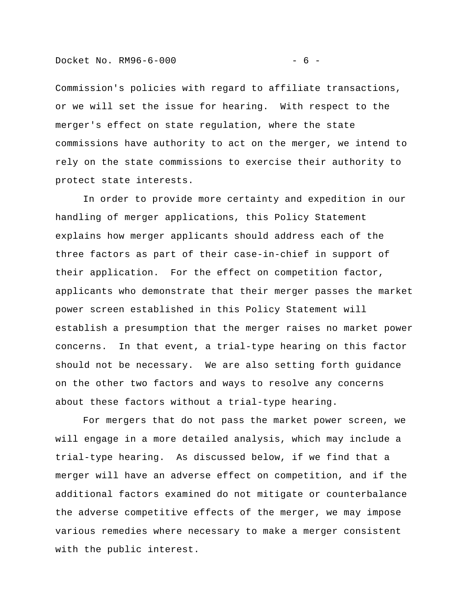Commission's policies with regard to affiliate transactions, or we will set the issue for hearing. With respect to the merger's effect on state regulation, where the state commissions have authority to act on the merger, we intend to rely on the state commissions to exercise their authority to protect state interests.

In order to provide more certainty and expedition in our handling of merger applications, this Policy Statement explains how merger applicants should address each of the three factors as part of their case-in-chief in support of their application. For the effect on competition factor, applicants who demonstrate that their merger passes the market power screen established in this Policy Statement will establish a presumption that the merger raises no market power concerns. In that event, a trial-type hearing on this factor should not be necessary. We are also setting forth guidance on the other two factors and ways to resolve any concerns about these factors without a trial-type hearing.

For mergers that do not pass the market power screen, we will engage in a more detailed analysis, which may include a trial-type hearing. As discussed below, if we find that a merger will have an adverse effect on competition, and if the additional factors examined do not mitigate or counterbalance the adverse competitive effects of the merger, we may impose various remedies where necessary to make a merger consistent with the public interest.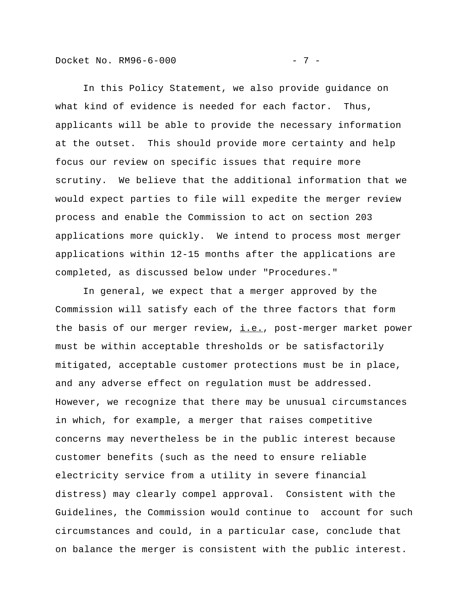Docket No. RM96-6-000 - 7 -

In this Policy Statement, we also provide guidance on what kind of evidence is needed for each factor. Thus, applicants will be able to provide the necessary information at the outset. This should provide more certainty and help focus our review on specific issues that require more scrutiny. We believe that the additional information that we would expect parties to file will expedite the merger review process and enable the Commission to act on section 203 applications more quickly. We intend to process most merger applications within 12-15 months after the applications are completed, as discussed below under "Procedures."

In general, we expect that a merger approved by the Commission will satisfy each of the three factors that form the basis of our merger review, i.e., post-merger market power must be within acceptable thresholds or be satisfactorily mitigated, acceptable customer protections must be in place, and any adverse effect on regulation must be addressed. However, we recognize that there may be unusual circumstances in which, for example, a merger that raises competitive concerns may nevertheless be in the public interest because customer benefits (such as the need to ensure reliable electricity service from a utility in severe financial distress) may clearly compel approval. Consistent with the Guidelines, the Commission would continue to account for such circumstances and could, in a particular case, conclude that on balance the merger is consistent with the public interest.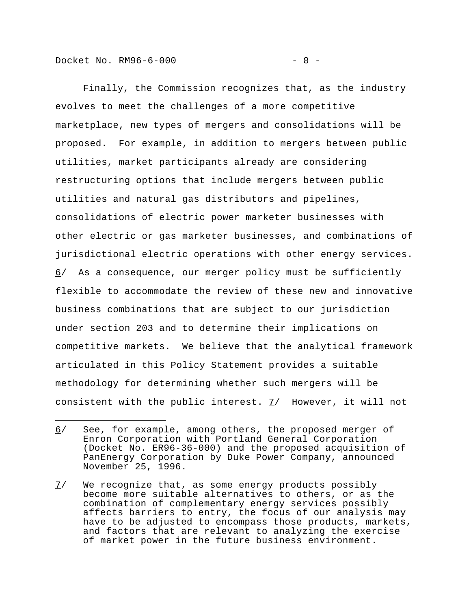Docket No. RM96-6-000 - 8 -

i<br>I

Finally, the Commission recognizes that, as the industry evolves to meet the challenges of a more competitive marketplace, new types of mergers and consolidations will be proposed. For example, in addition to mergers between public utilities, market participants already are considering restructuring options that include mergers between public utilities and natural gas distributors and pipelines, consolidations of electric power marketer businesses with other electric or gas marketer businesses, and combinations of jurisdictional electric operations with other energy services. 6/ As a consequence, our merger policy must be sufficiently flexible to accommodate the review of these new and innovative business combinations that are subject to our jurisdiction under section 203 and to determine their implications on competitive markets. We believe that the analytical framework articulated in this Policy Statement provides a suitable methodology for determining whether such mergers will be consistent with the public interest.  $7/$  However, it will not

<sup>6/</sup> See, for example, among others, the proposed merger of Enron Corporation with Portland General Corporation (Docket No. ER96-36-000) and the proposed acquisition of PanEnergy Corporation by Duke Power Company, announced November 25, 1996.

<sup>7/</sup> We recognize that, as some energy products possibly become more suitable alternatives to others, or as the combination of complementary energy services possibly affects barriers to entry, the focus of our analysis may have to be adjusted to encompass those products, markets, and factors that are relevant to analyzing the exercise of market power in the future business environment.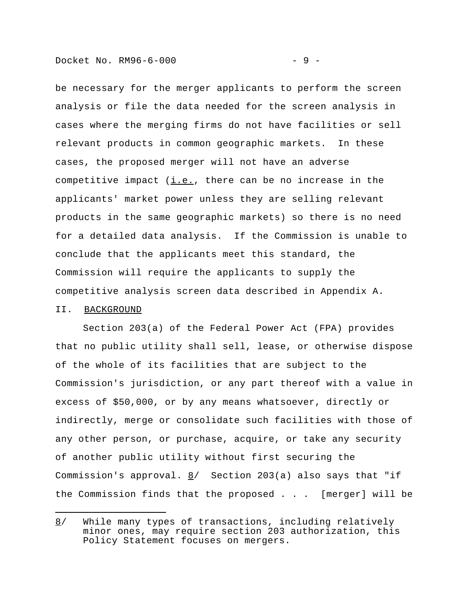be necessary for the merger applicants to perform the screen analysis or file the data needed for the screen analysis in cases where the merging firms do not have facilities or sell relevant products in common geographic markets. In these cases, the proposed merger will not have an adverse competitive impact  $(i.e.,$  there can be no increase in the applicants' market power unless they are selling relevant products in the same geographic markets) so there is no need for a detailed data analysis. If the Commission is unable to conclude that the applicants meet this standard, the Commission will require the applicants to supply the competitive analysis screen data described in Appendix A.

#### II. BACKGROUND

i<br>I

Section 203(a) of the Federal Power Act (FPA) provides that no public utility shall sell, lease, or otherwise dispose of the whole of its facilities that are subject to the Commission's jurisdiction, or any part thereof with a value in excess of \$50,000, or by any means whatsoever, directly or indirectly, merge or consolidate such facilities with those of any other person, or purchase, acquire, or take any security of another public utility without first securing the Commission's approval.  $\underline{8}$  Section 203(a) also says that "if the Commission finds that the proposed . . . [merger] will be

<sup>8/</sup> While many types of transactions, including relatively minor ones, may require section 203 authorization, this Policy Statement focuses on mergers.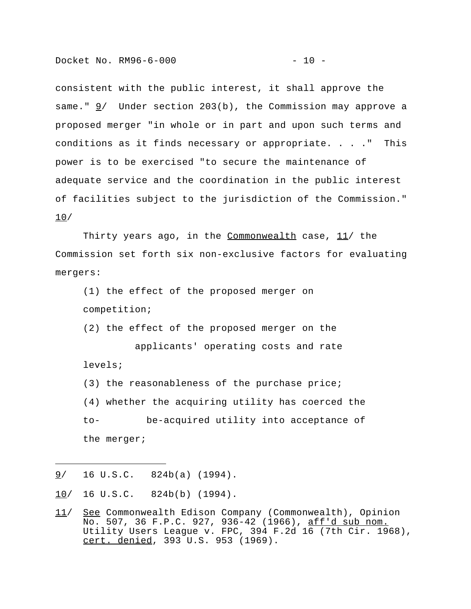consistent with the public interest, it shall approve the same." 9/ Under section 203(b), the Commission may approve a proposed merger "in whole or in part and upon such terms and conditions as it finds necessary or appropriate. . . ." This power is to be exercised "to secure the maintenance of adequate service and the coordination in the public interest of facilities subject to the jurisdiction of the Commission." 10/

Thirty years ago, in the Commonwealth case,  $11/$  the Commission set forth six non-exclusive factors for evaluating mergers:

(1) the effect of the proposed merger on competition;

(2) the effect of the proposed merger on the

 applicants' operating costs and rate levels;

(3) the reasonableness of the purchase price; (4) whether the acquiring utility has coerced the to- be-acquired utility into acceptance of the merger;

9/ 16 U.S.C. 824b(a) (1994).

i<br>I

10/ 16 U.S.C. 824b(b) (1994).

<sup>11/</sup> See Commonwealth Edison Company (Commonwealth), Opinion No. 507, 36 F.P.C. 927, 936-42 (1966), aff'd sub nom. Utility Users League v. FPC, 394 F.2d 16 (7th Cir. 1968), cert. denied, 393 U.S. 953 (1969).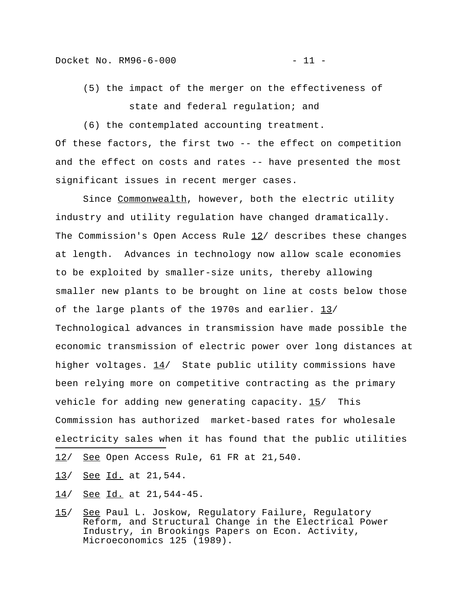(5) the impact of the merger on the effectiveness of state and federal regulation; and

(6) the contemplated accounting treatment. Of these factors, the first two -- the effect on competition and the effect on costs and rates -- have presented the most significant issues in recent merger cases.

Since Commonwealth, however, both the electric utility industry and utility regulation have changed dramatically. The Commission's Open Access Rule  $12/$  describes these changes at length. Advances in technology now allow scale economies to be exploited by smaller-size units, thereby allowing smaller new plants to be brought on line at costs below those of the large plants of the 1970s and earlier. 13/ Technological advances in transmission have made possible the economic transmission of electric power over long distances at higher voltages.  $14/$  State public utility commissions have been relying more on competitive contracting as the primary vehicle for adding new generating capacity.  $15/$  This Commission has authorized market-based rates for wholesale electricity sales when it has found that the public utilities i<br>I

- 12/ See Open Access Rule, 61 FR at 21,540.
- 13/ See Id. at 21,544.
- 14/ See Id. at 21,544-45.
- 15/ See Paul L. Joskow, Regulatory Failure, Regulatory Reform, and Structural Change in the Electrical Power Industry, in Brookings Papers on Econ. Activity, Microeconomics 125 (1989).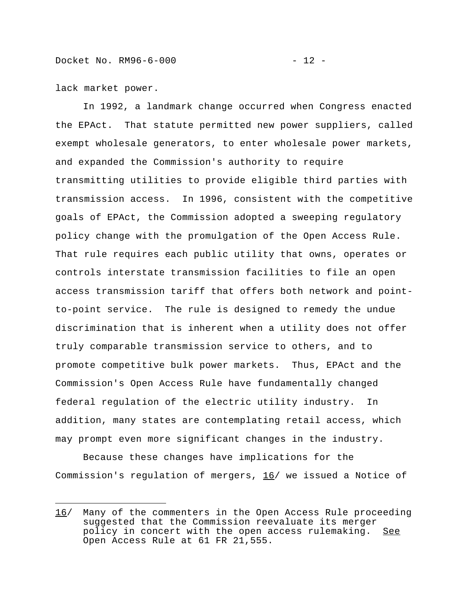lack market power.

i<br>I

In 1992, a landmark change occurred when Congress enacted the EPAct. That statute permitted new power suppliers, called exempt wholesale generators, to enter wholesale power markets, and expanded the Commission's authority to require transmitting utilities to provide eligible third parties with transmission access. In 1996, consistent with the competitive goals of EPAct, the Commission adopted a sweeping regulatory policy change with the promulgation of the Open Access Rule. That rule requires each public utility that owns, operates or controls interstate transmission facilities to file an open access transmission tariff that offers both network and pointto-point service. The rule is designed to remedy the undue discrimination that is inherent when a utility does not offer truly comparable transmission service to others, and to promote competitive bulk power markets. Thus, EPAct and the Commission's Open Access Rule have fundamentally changed federal regulation of the electric utility industry. In addition, many states are contemplating retail access, which may prompt even more significant changes in the industry.

Because these changes have implications for the Commission's regulation of mergers, 16/ we issued a Notice of

<sup>16/</sup> Many of the commenters in the Open Access Rule proceeding suggested that the Commission reevaluate its merger policy in concert with the open access rulemaking. See Open Access Rule at 61 FR 21,555.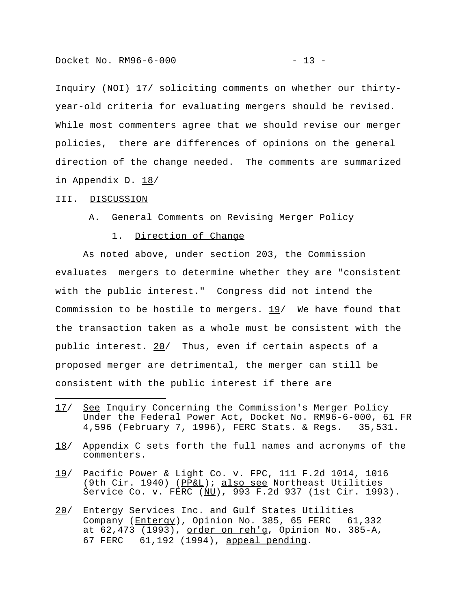Inquiry (NOI) 17/ soliciting comments on whether our thirtyyear-old criteria for evaluating mergers should be revised. While most commenters agree that we should revise our merger policies, there are differences of opinions on the general direction of the change needed. The comments are summarized in Appendix D. 18/

#### III. DISCUSSION

i<br>I

#### A. General Comments on Revising Merger Policy

#### 1. Direction of Change

As noted above, under section 203, the Commission evaluates mergers to determine whether they are "consistent with the public interest." Congress did not intend the Commission to be hostile to mergers. 19/ We have found that the transaction taken as a whole must be consistent with the public interest. 20/ Thus, even if certain aspects of a proposed merger are detrimental, the merger can still be consistent with the public interest if there are

- 17/ See Inquiry Concerning the Commission's Merger Policy Under the Federal Power Act, Docket No. RM96-6-000, 61 FR 4,596 (February 7, 1996), FERC Stats. & Regs. 35,531.
- 18/ Appendix C sets forth the full names and acronyms of the commenters.
- 19/ Pacific Power & Light Co. v. FPC, 111 F.2d 1014, 1016 (9th Cir. 1940) (PP&L); also see Northeast Utilities Service Co. v. FERC (NU), 993 F.2d 937 (1st Cir. 1993).
- 20/ Entergy Services Inc. and Gulf States Utilities Company (Entergy), Opinion No. 385, 65 FERC 61,332 at 62,473 (1993), order on reh'g, Opinion No. 385-A, 67 FERC 61,192 (1994), appeal pending.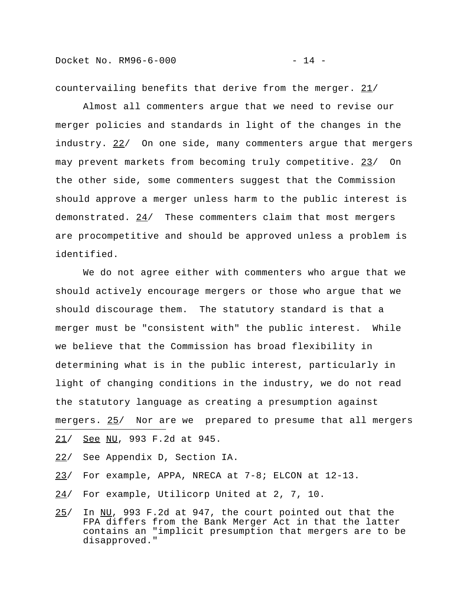Docket No. RM96-6-000 - 24 -

countervailing benefits that derive from the merger. 21/

Almost all commenters argue that we need to revise our merger policies and standards in light of the changes in the industry. 22/ On one side, many commenters argue that mergers may prevent markets from becoming truly competitive. 23/ On the other side, some commenters suggest that the Commission should approve a merger unless harm to the public interest is demonstrated. 24/ These commenters claim that most mergers are procompetitive and should be approved unless a problem is identified.

We do not agree either with commenters who argue that we should actively encourage mergers or those who argue that we should discourage them. The statutory standard is that a merger must be "consistent with" the public interest. While we believe that the Commission has broad flexibility in determining what is in the public interest, particularly in light of changing conditions in the industry, we do not read the statutory language as creating a presumption against mergers. 25/ Nor are we prepared to presume that all mergers i<br>I 21/ See NU, 993 F.2d at 945.

- 22/ See Appendix D, Section IA.
- 23/ For example, APPA, NRECA at 7-8; ELCON at 12-13.
- 24/ For example, Utilicorp United at 2, 7, 10.
- 25/ In NU, 993 F.2d at 947, the court pointed out that the FPA differs from the Bank Merger Act in that the latter contains an "implicit presumption that mergers are to be disapproved."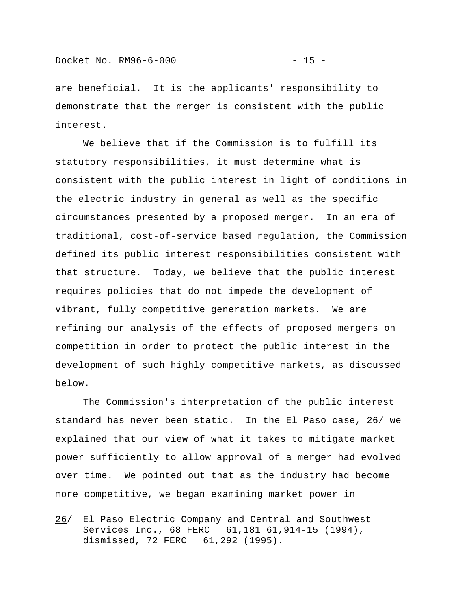are beneficial. It is the applicants' responsibility to demonstrate that the merger is consistent with the public interest.

We believe that if the Commission is to fulfill its statutory responsibilities, it must determine what is consistent with the public interest in light of conditions in the electric industry in general as well as the specific circumstances presented by a proposed merger. In an era of traditional, cost-of-service based regulation, the Commission defined its public interest responsibilities consistent with that structure. Today, we believe that the public interest requires policies that do not impede the development of vibrant, fully competitive generation markets. We are refining our analysis of the effects of proposed mergers on competition in order to protect the public interest in the development of such highly competitive markets, as discussed below.

The Commission's interpretation of the public interest standard has never been static. In the El Paso case, 26/ we explained that our view of what it takes to mitigate market power sufficiently to allow approval of a merger had evolved over time. We pointed out that as the industry had become more competitive, we began examining market power in

<sup>26/</sup> El Paso Electric Company and Central and Southwest Services Inc., 68 FERC 61,181 61,914-15 (1994), dismissed, 72 FERC 61,292 (1995).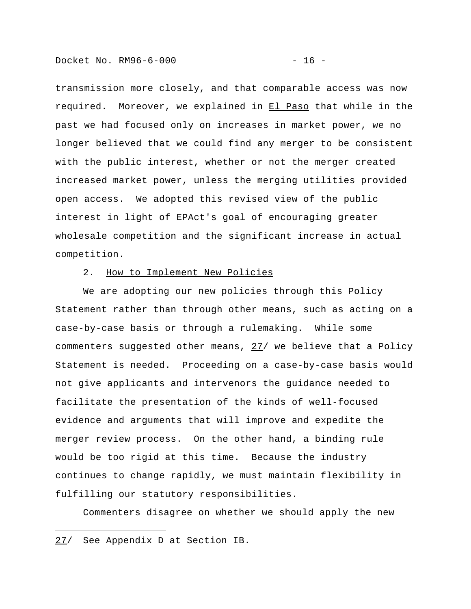Docket No. RM96-6-000 - 16 -

transmission more closely, and that comparable access was now required. Moreover, we explained in El Paso that while in the past we had focused only on *increases* in market power, we no longer believed that we could find any merger to be consistent with the public interest, whether or not the merger created increased market power, unless the merging utilities provided open access. We adopted this revised view of the public interest in light of EPAct's goal of encouraging greater wholesale competition and the significant increase in actual competition.

# 2. How to Implement New Policies

We are adopting our new policies through this Policy Statement rather than through other means, such as acting on a case-by-case basis or through a rulemaking. While some commenters suggested other means, 27/ we believe that a Policy Statement is needed. Proceeding on a case-by-case basis would not give applicants and intervenors the guidance needed to facilitate the presentation of the kinds of well-focused evidence and arguments that will improve and expedite the merger review process. On the other hand, a binding rule would be too rigid at this time. Because the industry continues to change rapidly, we must maintain flexibility in fulfilling our statutory responsibilities.

Commenters disagree on whether we should apply the new

i<br>I

<sup>27/</sup> See Appendix D at Section IB.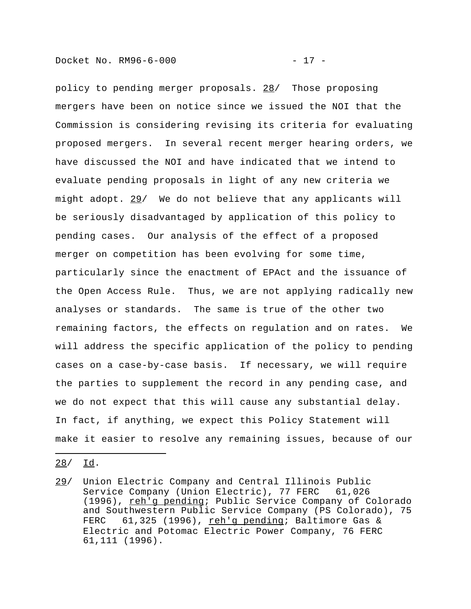policy to pending merger proposals. 28/ Those proposing mergers have been on notice since we issued the NOI that the Commission is considering revising its criteria for evaluating proposed mergers. In several recent merger hearing orders, we have discussed the NOI and have indicated that we intend to evaluate pending proposals in light of any new criteria we might adopt. 29/ We do not believe that any applicants will be seriously disadvantaged by application of this policy to pending cases. Our analysis of the effect of a proposed merger on competition has been evolving for some time, particularly since the enactment of EPAct and the issuance of the Open Access Rule. Thus, we are not applying radically new analyses or standards. The same is true of the other two remaining factors, the effects on regulation and on rates. We will address the specific application of the policy to pending cases on a case-by-case basis. If necessary, we will require the parties to supplement the record in any pending case, and we do not expect that this will cause any substantial delay. In fact, if anything, we expect this Policy Statement will make it easier to resolve any remaining issues, because of our

28/ Id.

i<br>I

<sup>29/</sup> Union Electric Company and Central Illinois Public Service Company (Union Electric), 77 FERC 61,026 (1996), reh'g pending; Public Service Company of Colorado and Southwestern Public Service Company (PS Colorado), 75 FERC 61,325 (1996), reh'g pending; Baltimore Gas & Electric and Potomac Electric Power Company, 76 FERC 61,111 (1996).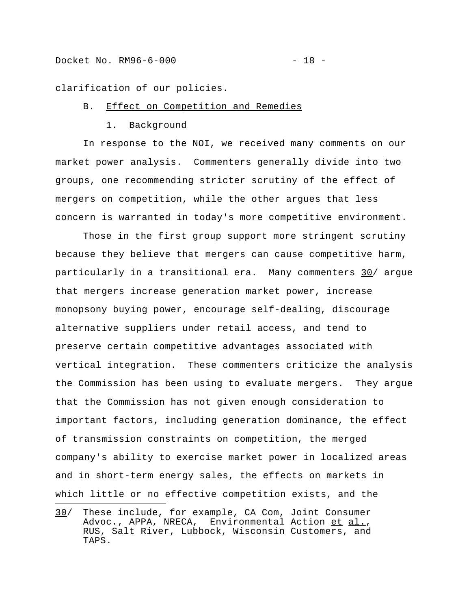clarification of our policies.

# B. Effect on Competition and Remedies

#### 1. Background

In response to the NOI, we received many comments on our market power analysis. Commenters generally divide into two groups, one recommending stricter scrutiny of the effect of mergers on competition, while the other argues that less concern is warranted in today's more competitive environment.

Those in the first group support more stringent scrutiny because they believe that mergers can cause competitive harm, particularly in a transitional era. Many commenters 30/ argue that mergers increase generation market power, increase monopsony buying power, encourage self-dealing, discourage alternative suppliers under retail access, and tend to preserve certain competitive advantages associated with vertical integration. These commenters criticize the analysis the Commission has been using to evaluate mergers. They argue that the Commission has not given enough consideration to important factors, including generation dominance, the effect of transmission constraints on competition, the merged company's ability to exercise market power in localized areas and in short-term energy sales, the effects on markets in which little or no effective competition exists, and the

<sup>30/</sup> These include, for example, CA Com, Joint Consumer Advoc., APPA, NRECA, Environmental Action et al., RUS, Salt River, Lubbock, Wisconsin Customers, and TAPS.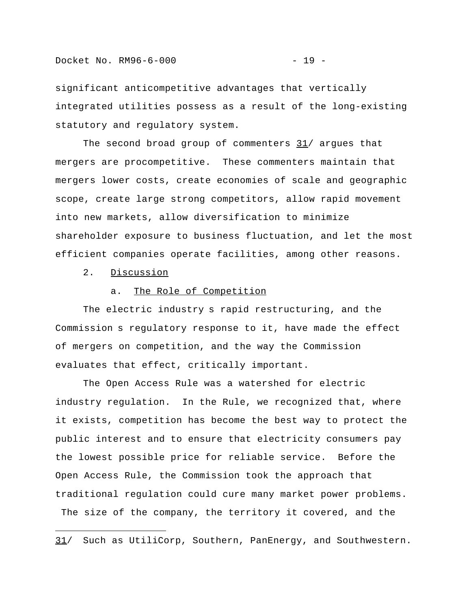significant anticompetitive advantages that vertically integrated utilities possess as a result of the long-existing statutory and regulatory system.

The second broad group of commenters  $31/$  argues that mergers are procompetitive. These commenters maintain that mergers lower costs, create economies of scale and geographic scope, create large strong competitors, allow rapid movement into new markets, allow diversification to minimize shareholder exposure to business fluctuation, and let the most efficient companies operate facilities, among other reasons.

2. Discussion

i<br>I

#### a. The Role of Competition

The electric industry s rapid restructuring, and the Commission s regulatory response to it, have made the effect of mergers on competition, and the way the Commission evaluates that effect, critically important.

The Open Access Rule was a watershed for electric industry regulation. In the Rule, we recognized that, where it exists, competition has become the best way to protect the public interest and to ensure that electricity consumers pay the lowest possible price for reliable service. Before the Open Access Rule, the Commission took the approach that traditional regulation could cure many market power problems. The size of the company, the territory it covered, and the

<sup>31/</sup> Such as UtiliCorp, Southern, PanEnergy, and Southwestern.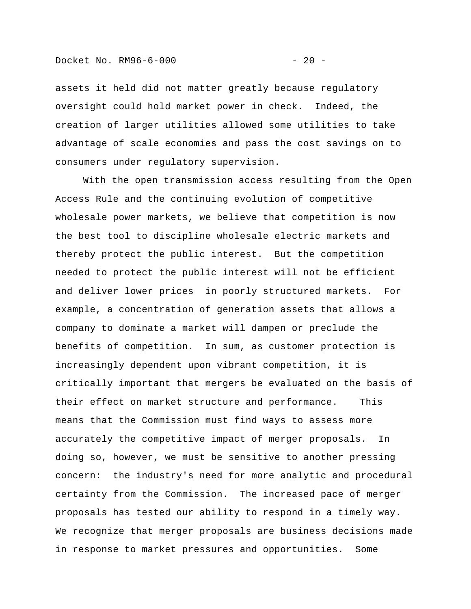assets it held did not matter greatly because regulatory oversight could hold market power in check. Indeed, the creation of larger utilities allowed some utilities to take advantage of scale economies and pass the cost savings on to consumers under regulatory supervision.

With the open transmission access resulting from the Open Access Rule and the continuing evolution of competitive wholesale power markets, we believe that competition is now the best tool to discipline wholesale electric markets and thereby protect the public interest. But the competition needed to protect the public interest will not be efficient and deliver lower prices in poorly structured markets. For example, a concentration of generation assets that allows a company to dominate a market will dampen or preclude the benefits of competition. In sum, as customer protection is increasingly dependent upon vibrant competition, it is critically important that mergers be evaluated on the basis of their effect on market structure and performance. This means that the Commission must find ways to assess more accurately the competitive impact of merger proposals. In doing so, however, we must be sensitive to another pressing concern: the industry's need for more analytic and procedural certainty from the Commission. The increased pace of merger proposals has tested our ability to respond in a timely way. We recognize that merger proposals are business decisions made in response to market pressures and opportunities. Some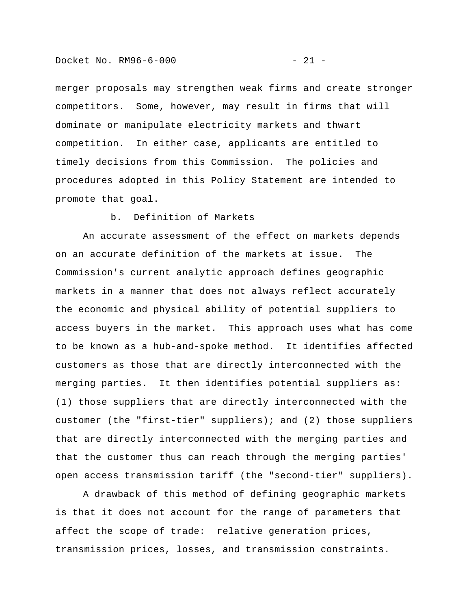merger proposals may strengthen weak firms and create stronger competitors. Some, however, may result in firms that will dominate or manipulate electricity markets and thwart competition. In either case, applicants are entitled to timely decisions from this Commission. The policies and procedures adopted in this Policy Statement are intended to promote that goal.

#### b. Definition of Markets

An accurate assessment of the effect on markets depends on an accurate definition of the markets at issue. The Commission's current analytic approach defines geographic markets in a manner that does not always reflect accurately the economic and physical ability of potential suppliers to access buyers in the market. This approach uses what has come to be known as a hub-and-spoke method. It identifies affected customers as those that are directly interconnected with the merging parties. It then identifies potential suppliers as: (1) those suppliers that are directly interconnected with the customer (the "first-tier" suppliers); and (2) those suppliers that are directly interconnected with the merging parties and that the customer thus can reach through the merging parties' open access transmission tariff (the "second-tier" suppliers).

A drawback of this method of defining geographic markets is that it does not account for the range of parameters that affect the scope of trade: relative generation prices, transmission prices, losses, and transmission constraints.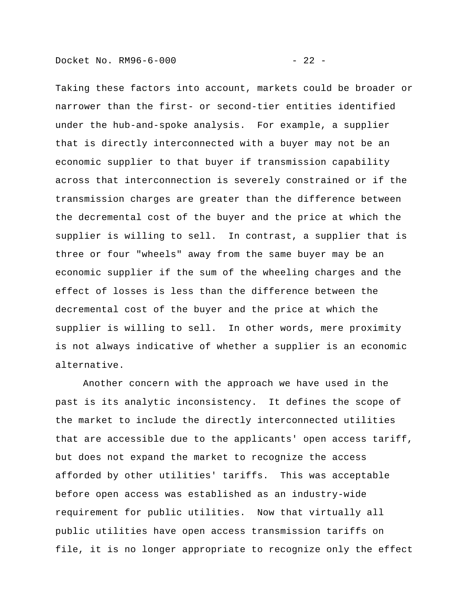Taking these factors into account, markets could be broader or narrower than the first- or second-tier entities identified under the hub-and-spoke analysis. For example, a supplier that is directly interconnected with a buyer may not be an economic supplier to that buyer if transmission capability across that interconnection is severely constrained or if the transmission charges are greater than the difference between the decremental cost of the buyer and the price at which the supplier is willing to sell. In contrast, a supplier that is three or four "wheels" away from the same buyer may be an economic supplier if the sum of the wheeling charges and the effect of losses is less than the difference between the decremental cost of the buyer and the price at which the supplier is willing to sell. In other words, mere proximity is not always indicative of whether a supplier is an economic alternative.

Another concern with the approach we have used in the past is its analytic inconsistency. It defines the scope of the market to include the directly interconnected utilities that are accessible due to the applicants' open access tariff, but does not expand the market to recognize the access afforded by other utilities' tariffs. This was acceptable before open access was established as an industry-wide requirement for public utilities. Now that virtually all public utilities have open access transmission tariffs on file, it is no longer appropriate to recognize only the effect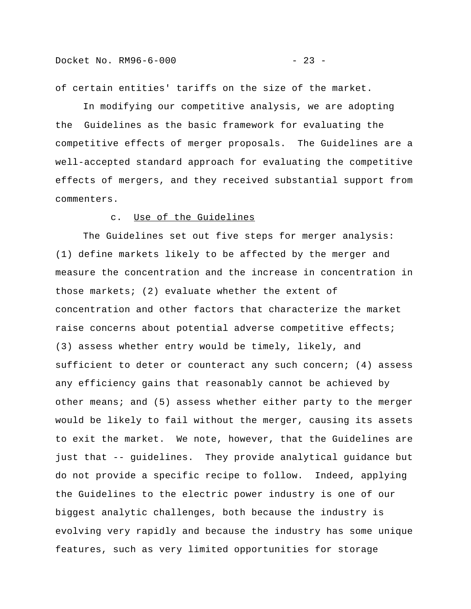of certain entities' tariffs on the size of the market.

In modifying our competitive analysis, we are adopting the Guidelines as the basic framework for evaluating the competitive effects of merger proposals. The Guidelines are a well-accepted standard approach for evaluating the competitive effects of mergers, and they received substantial support from commenters.

# c. Use of the Guidelines

The Guidelines set out five steps for merger analysis: (1) define markets likely to be affected by the merger and measure the concentration and the increase in concentration in those markets; (2) evaluate whether the extent of concentration and other factors that characterize the market raise concerns about potential adverse competitive effects; (3) assess whether entry would be timely, likely, and sufficient to deter or counteract any such concern; (4) assess any efficiency gains that reasonably cannot be achieved by other means; and (5) assess whether either party to the merger would be likely to fail without the merger, causing its assets to exit the market. We note, however, that the Guidelines are just that -- guidelines. They provide analytical guidance but do not provide a specific recipe to follow. Indeed, applying the Guidelines to the electric power industry is one of our biggest analytic challenges, both because the industry is evolving very rapidly and because the industry has some unique features, such as very limited opportunities for storage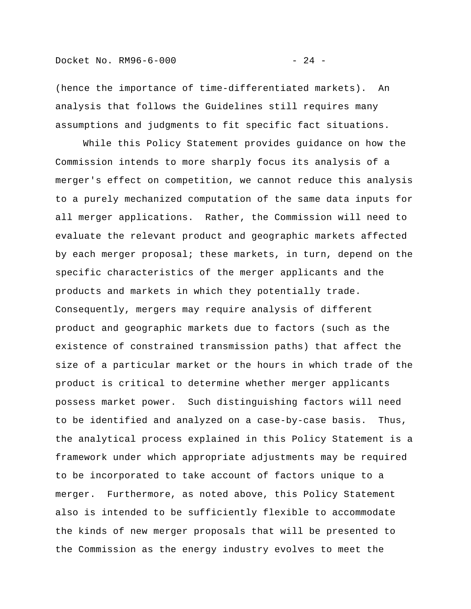(hence the importance of time-differentiated markets). An analysis that follows the Guidelines still requires many assumptions and judgments to fit specific fact situations.

While this Policy Statement provides guidance on how the Commission intends to more sharply focus its analysis of a merger's effect on competition, we cannot reduce this analysis to a purely mechanized computation of the same data inputs for all merger applications. Rather, the Commission will need to evaluate the relevant product and geographic markets affected by each merger proposal; these markets, in turn, depend on the specific characteristics of the merger applicants and the products and markets in which they potentially trade. Consequently, mergers may require analysis of different product and geographic markets due to factors (such as the existence of constrained transmission paths) that affect the size of a particular market or the hours in which trade of the product is critical to determine whether merger applicants possess market power. Such distinguishing factors will need to be identified and analyzed on a case-by-case basis. Thus, the analytical process explained in this Policy Statement is a framework under which appropriate adjustments may be required to be incorporated to take account of factors unique to a merger. Furthermore, as noted above, this Policy Statement also is intended to be sufficiently flexible to accommodate the kinds of new merger proposals that will be presented to the Commission as the energy industry evolves to meet the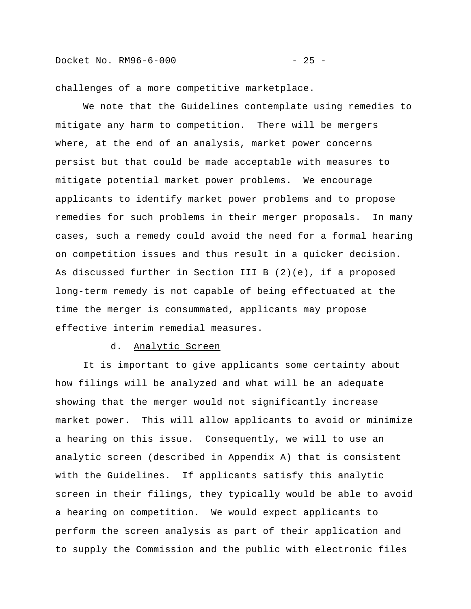challenges of a more competitive marketplace.

We note that the Guidelines contemplate using remedies to mitigate any harm to competition. There will be mergers where, at the end of an analysis, market power concerns persist but that could be made acceptable with measures to mitigate potential market power problems. We encourage applicants to identify market power problems and to propose remedies for such problems in their merger proposals. In many cases, such a remedy could avoid the need for a formal hearing on competition issues and thus result in a quicker decision. As discussed further in Section III B (2)(e), if a proposed long-term remedy is not capable of being effectuated at the time the merger is consummated, applicants may propose effective interim remedial measures.

# d. Analytic Screen

It is important to give applicants some certainty about how filings will be analyzed and what will be an adequate showing that the merger would not significantly increase market power. This will allow applicants to avoid or minimize a hearing on this issue. Consequently, we will to use an analytic screen (described in Appendix A) that is consistent with the Guidelines. If applicants satisfy this analytic screen in their filings, they typically would be able to avoid a hearing on competition. We would expect applicants to perform the screen analysis as part of their application and to supply the Commission and the public with electronic files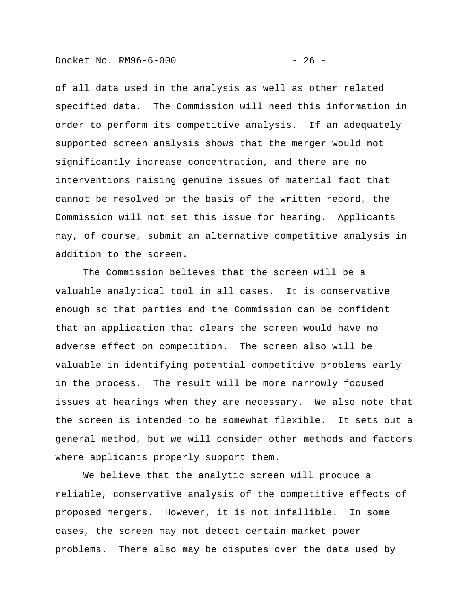of all data used in the analysis as well as other related specified data. The Commission will need this information in order to perform its competitive analysis. If an adequately supported screen analysis shows that the merger would not significantly increase concentration, and there are no interventions raising genuine issues of material fact that cannot be resolved on the basis of the written record, the Commission will not set this issue for hearing. Applicants may, of course, submit an alternative competitive analysis in addition to the screen.

The Commission believes that the screen will be a valuable analytical tool in all cases. It is conservative enough so that parties and the Commission can be confident that an application that clears the screen would have no adverse effect on competition. The screen also will be valuable in identifying potential competitive problems early in the process. The result will be more narrowly focused issues at hearings when they are necessary. We also note that the screen is intended to be somewhat flexible. It sets out a general method, but we will consider other methods and factors where applicants properly support them.

We believe that the analytic screen will produce a reliable, conservative analysis of the competitive effects of proposed mergers. However, it is not infallible. In some cases, the screen may not detect certain market power problems. There also may be disputes over the data used by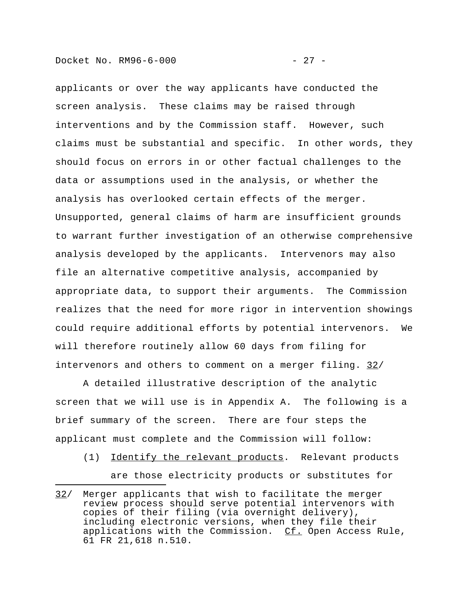applicants or over the way applicants have conducted the screen analysis. These claims may be raised through interventions and by the Commission staff. However, such claims must be substantial and specific. In other words, they should focus on errors in or other factual challenges to the data or assumptions used in the analysis, or whether the analysis has overlooked certain effects of the merger. Unsupported, general claims of harm are insufficient grounds to warrant further investigation of an otherwise comprehensive analysis developed by the applicants. Intervenors may also file an alternative competitive analysis, accompanied by appropriate data, to support their arguments. The Commission realizes that the need for more rigor in intervention showings could require additional efforts by potential intervenors. We will therefore routinely allow 60 days from filing for intervenors and others to comment on a merger filing. 32/

A detailed illustrative description of the analytic screen that we will use is in Appendix A. The following is a brief summary of the screen. There are four steps the applicant must complete and the Commission will follow:

(1) Identify the relevant products. Relevant products are those electricity products or substitutes for

<sup>32/</sup> Merger applicants that wish to facilitate the merger review process should serve potential intervenors with copies of their filing (via overnight delivery), including electronic versions, when they file their applications with the Commission. Cf. Open Access Rule, 61 FR 21,618 n.510.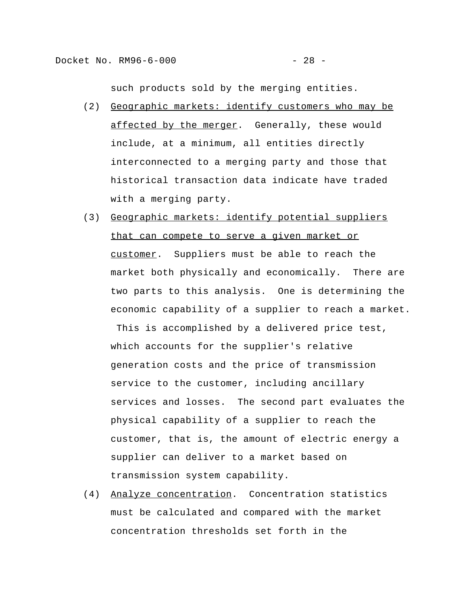such products sold by the merging entities.

- (2) Geographic markets: identify customers who may be affected by the merger. Generally, these would include, at a minimum, all entities directly interconnected to a merging party and those that historical transaction data indicate have traded with a merging party.
- (3) Geographic markets: identify potential suppliers that can compete to serve a given market or customer. Suppliers must be able to reach the market both physically and economically. There are two parts to this analysis. One is determining the economic capability of a supplier to reach a market.

 This is accomplished by a delivered price test, which accounts for the supplier's relative generation costs and the price of transmission service to the customer, including ancillary services and losses. The second part evaluates the physical capability of a supplier to reach the customer, that is, the amount of electric energy a supplier can deliver to a market based on transmission system capability.

(4) Analyze concentration. Concentration statistics must be calculated and compared with the market concentration thresholds set forth in the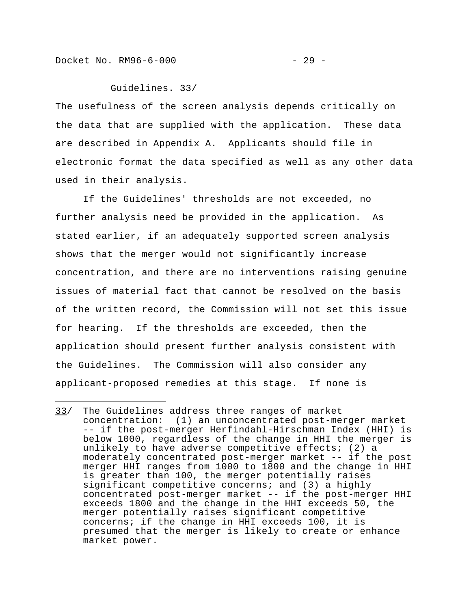Docket No. RM96-6-000 - 29 -

i<br>I

Guidelines. 33/

The usefulness of the screen analysis depends critically on the data that are supplied with the application. These data are described in Appendix A. Applicants should file in electronic format the data specified as well as any other data used in their analysis.

If the Guidelines' thresholds are not exceeded, no further analysis need be provided in the application. As stated earlier, if an adequately supported screen analysis shows that the merger would not significantly increase concentration, and there are no interventions raising genuine issues of material fact that cannot be resolved on the basis of the written record, the Commission will not set this issue for hearing. If the thresholds are exceeded, then the application should present further analysis consistent with the Guidelines. The Commission will also consider any applicant-proposed remedies at this stage. If none is

<sup>33/</sup> The Guidelines address three ranges of market concentration: (1) an unconcentrated post-merger market -- if the post-merger Herfindahl-Hirschman Index (HHI) is below 1000, regardless of the change in HHI the merger is unlikely to have adverse competitive effects; (2) a moderately concentrated post-merger market -- if the post merger HHI ranges from 1000 to 1800 and the change in HHI is greater than 100, the merger potentially raises significant competitive concerns; and (3) a highly concentrated post-merger market -- if the post-merger HHI exceeds 1800 and the change in the HHI exceeds 50, the merger potentially raises significant competitive concerns; if the change in HHI exceeds 100, it is presumed that the merger is likely to create or enhance market power.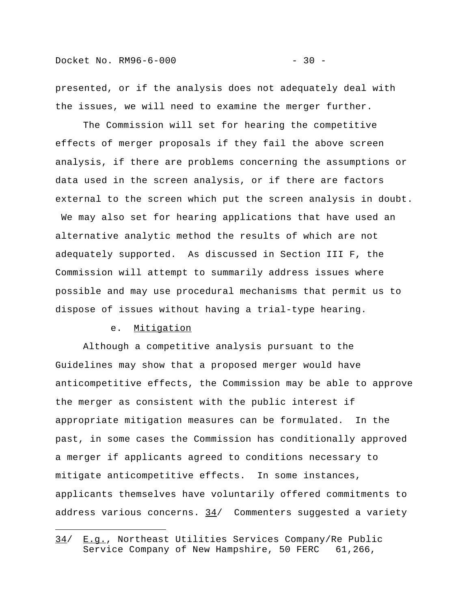presented, or if the analysis does not adequately deal with the issues, we will need to examine the merger further.

The Commission will set for hearing the competitive effects of merger proposals if they fail the above screen analysis, if there are problems concerning the assumptions or data used in the screen analysis, or if there are factors external to the screen which put the screen analysis in doubt. We may also set for hearing applications that have used an alternative analytic method the results of which are not adequately supported. As discussed in Section III F, the Commission will attempt to summarily address issues where possible and may use procedural mechanisms that permit us to dispose of issues without having a trial-type hearing.

# e. Mitigation

i<br>I

Although a competitive analysis pursuant to the Guidelines may show that a proposed merger would have anticompetitive effects, the Commission may be able to approve the merger as consistent with the public interest if appropriate mitigation measures can be formulated. In the past, in some cases the Commission has conditionally approved a merger if applicants agreed to conditions necessary to mitigate anticompetitive effects. In some instances, applicants themselves have voluntarily offered commitments to address various concerns.  $34/$  Commenters suggested a variety

<sup>34/</sup> E.g., Northeast Utilities Services Company/Re Public Service Company of New Hampshire, 50 FERC 61,266,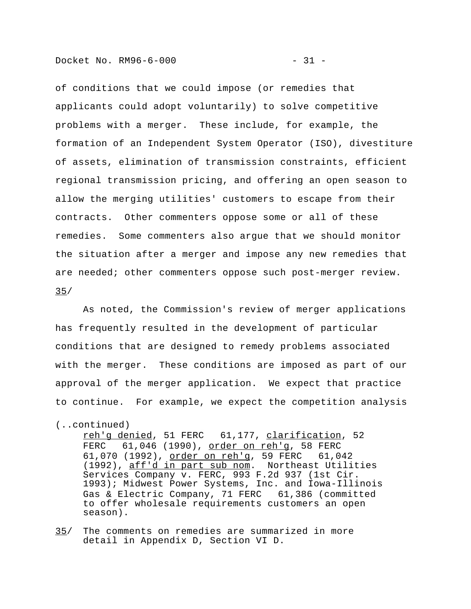Docket No. RM96-6-000 - 31 -

of conditions that we could impose (or remedies that applicants could adopt voluntarily) to solve competitive problems with a merger. These include, for example, the formation of an Independent System Operator (ISO), divestiture of assets, elimination of transmission constraints, efficient regional transmission pricing, and offering an open season to allow the merging utilities' customers to escape from their contracts. Other commenters oppose some or all of these remedies. Some commenters also argue that we should monitor the situation after a merger and impose any new remedies that are needed; other commenters oppose such post-merger review. 35/

As noted, the Commission's review of merger applications has frequently resulted in the development of particular conditions that are designed to remedy problems associated with the merger. These conditions are imposed as part of our approval of the merger application. We expect that practice to continue. For example, we expect the competition analysis

reh'g denied, 51 FERC 61,177, clarification, 52 FERC 61,046 (1990), order on reh'q, 58 FERC 61,070 (1992), order on reh'g, 59 FERC 61,042 (1992), aff'd in part sub nom. Northeast Utilities Services Company v. FERC, 993 F.2d 937 (1st Cir. 1993); Midwest Power Systems, Inc. and Iowa-Illinois Gas & Electric Company, 71 FERC 61,386 (committed to offer wholesale requirements customers an open season).

35/ The comments on remedies are summarized in more detail in Appendix D, Section VI D.

<sup>(..</sup>continued)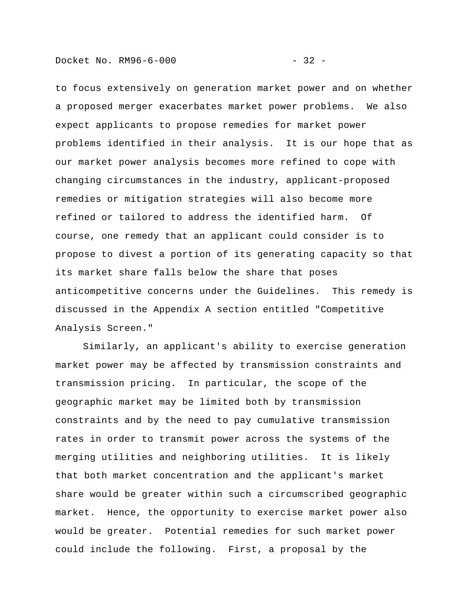Docket No. RM96-6-000 - 32 -

to focus extensively on generation market power and on whether a proposed merger exacerbates market power problems. We also expect applicants to propose remedies for market power problems identified in their analysis. It is our hope that as our market power analysis becomes more refined to cope with changing circumstances in the industry, applicant-proposed remedies or mitigation strategies will also become more refined or tailored to address the identified harm. Of course, one remedy that an applicant could consider is to propose to divest a portion of its generating capacity so that its market share falls below the share that poses anticompetitive concerns under the Guidelines. This remedy is discussed in the Appendix A section entitled "Competitive Analysis Screen."

Similarly, an applicant's ability to exercise generation market power may be affected by transmission constraints and transmission pricing. In particular, the scope of the geographic market may be limited both by transmission constraints and by the need to pay cumulative transmission rates in order to transmit power across the systems of the merging utilities and neighboring utilities. It is likely that both market concentration and the applicant's market share would be greater within such a circumscribed geographic market. Hence, the opportunity to exercise market power also would be greater. Potential remedies for such market power could include the following. First, a proposal by the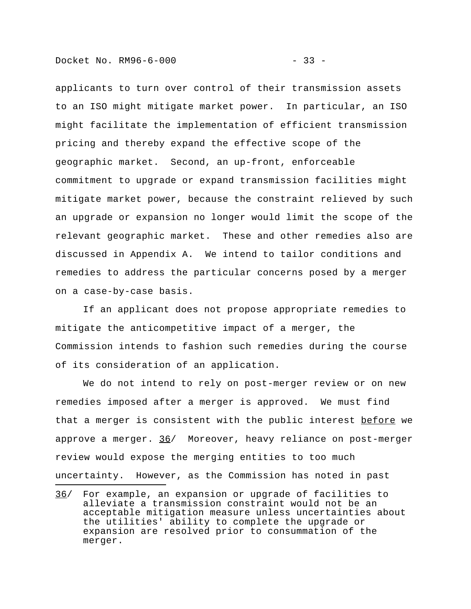applicants to turn over control of their transmission assets to an ISO might mitigate market power. In particular, an ISO might facilitate the implementation of efficient transmission pricing and thereby expand the effective scope of the geographic market. Second, an up-front, enforceable commitment to upgrade or expand transmission facilities might mitigate market power, because the constraint relieved by such an upgrade or expansion no longer would limit the scope of the relevant geographic market. These and other remedies also are discussed in Appendix A. We intend to tailor conditions and remedies to address the particular concerns posed by a merger on a case-by-case basis.

If an applicant does not propose appropriate remedies to mitigate the anticompetitive impact of a merger, the Commission intends to fashion such remedies during the course of its consideration of an application.

We do not intend to rely on post-merger review or on new remedies imposed after a merger is approved. We must find that a merger is consistent with the public interest before we approve a merger. 36/ Moreover, heavy reliance on post-merger review would expose the merging entities to too much uncertainty. However, as the Commission has noted in past

<sup>36/</sup> For example, an expansion or upgrade of facilities to alleviate a transmission constraint would not be an acceptable mitigation measure unless uncertainties about the utilities' ability to complete the upgrade or expansion are resolved prior to consummation of the merger.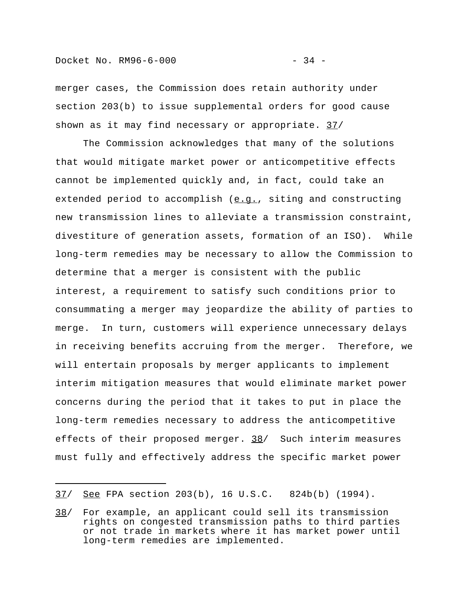merger cases, the Commission does retain authority under section 203(b) to issue supplemental orders for good cause shown as it may find necessary or appropriate. 37/

The Commission acknowledges that many of the solutions that would mitigate market power or anticompetitive effects cannot be implemented quickly and, in fact, could take an extended period to accomplish  $(e,q.)$ , siting and constructing new transmission lines to alleviate a transmission constraint, divestiture of generation assets, formation of an ISO). While long-term remedies may be necessary to allow the Commission to determine that a merger is consistent with the public interest, a requirement to satisfy such conditions prior to consummating a merger may jeopardize the ability of parties to merge. In turn, customers will experience unnecessary delays in receiving benefits accruing from the merger. Therefore, we will entertain proposals by merger applicants to implement interim mitigation measures that would eliminate market power concerns during the period that it takes to put in place the long-term remedies necessary to address the anticompetitive effects of their proposed merger. 38/ Such interim measures must fully and effectively address the specific market power

<sup>37/</sup> See FPA section 203(b), 16 U.S.C. 824b(b) (1994).

<sup>38/</sup> For example, an applicant could sell its transmission rights on congested transmission paths to third parties or not trade in markets where it has market power until long-term remedies are implemented.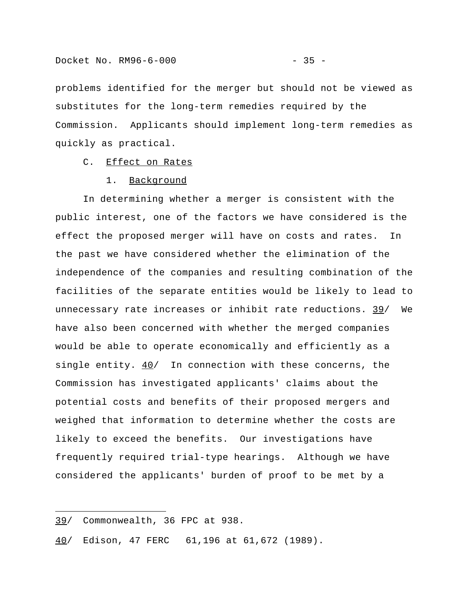Commission. Applicants should implement long-term remedies as quickly as practical.

### C. Effect on Rates

#### 1. Background

In determining whether a merger is consistent with the public interest, one of the factors we have considered is the effect the proposed merger will have on costs and rates. In the past we have considered whether the elimination of the independence of the companies and resulting combination of the facilities of the separate entities would be likely to lead to unnecessary rate increases or inhibit rate reductions. 39/ We have also been concerned with whether the merged companies would be able to operate economically and efficiently as a single entity. 40/ In connection with these concerns, the Commission has investigated applicants' claims about the potential costs and benefits of their proposed mergers and weighed that information to determine whether the costs are likely to exceed the benefits. Our investigations have frequently required trial-type hearings. Although we have considered the applicants' burden of proof to be met by a

i<br>I

40/ Edison, 47 FERC 61,196 at 61,672 (1989).

<sup>39/</sup> Commonwealth, 36 FPC at 938.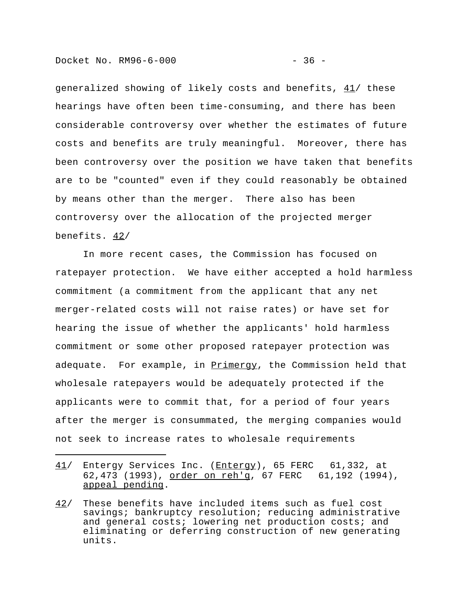generalized showing of likely costs and benefits,  $41/$  these hearings have often been time-consuming, and there has been considerable controversy over whether the estimates of future costs and benefits are truly meaningful. Moreover, there has been controversy over the position we have taken that benefits are to be "counted" even if they could reasonably be obtained by means other than the merger. There also has been controversy over the allocation of the projected merger benefits. 42/

In more recent cases, the Commission has focused on ratepayer protection. We have either accepted a hold harmless commitment (a commitment from the applicant that any net merger-related costs will not raise rates) or have set for hearing the issue of whether the applicants' hold harmless commitment or some other proposed ratepayer protection was adequate. For example, in **Primergy**, the Commission held that wholesale ratepayers would be adequately protected if the applicants were to commit that, for a period of four years after the merger is consummated, the merging companies would not seek to increase rates to wholesale requirements

- 41/ Entergy Services Inc. (Entergy), 65 FERC 61,332, at 62,473 (1993), order on reh'g, 67 FERC 61,192 (1994), appeal pending.
- 42/ These benefits have included items such as fuel cost savings; bankruptcy resolution; reducing administrative and general costs; lowering net production costs; and eliminating or deferring construction of new generating units.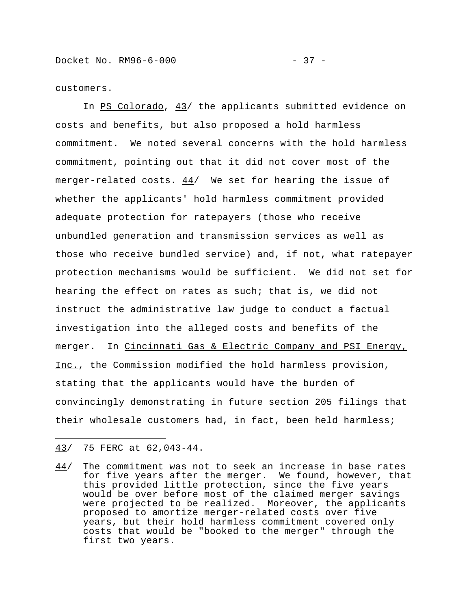customers.

In PS Colorado, 43/ the applicants submitted evidence on costs and benefits, but also proposed a hold harmless commitment. We noted several concerns with the hold harmless commitment, pointing out that it did not cover most of the merger-related costs.  $44/$  We set for hearing the issue of whether the applicants' hold harmless commitment provided adequate protection for ratepayers (those who receive unbundled generation and transmission services as well as those who receive bundled service) and, if not, what ratepayer protection mechanisms would be sufficient. We did not set for hearing the effect on rates as such; that is, we did not instruct the administrative law judge to conduct a factual investigation into the alleged costs and benefits of the merger. In Cincinnati Gas & Electric Company and PSI Energy, Inc., the Commission modified the hold harmless provision, stating that the applicants would have the burden of convincingly demonstrating in future section 205 filings that their wholesale customers had, in fact, been held harmless;

43/ 75 FERC at 62,043-44.

i<br>I

44/ The commitment was not to seek an increase in base rates for five years after the merger. We found, however, that this provided little protection, since the five years would be over before most of the claimed merger savings were projected to be realized. Moreover, the applicants proposed to amortize merger-related costs over five years, but their hold harmless commitment covered only costs that would be "booked to the merger" through the first two years.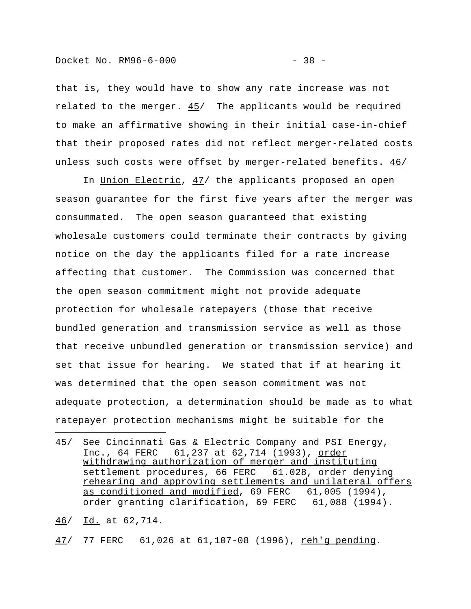that is, they would have to show any rate increase was not related to the merger. 45/ The applicants would be required to make an affirmative showing in their initial case-in-chief that their proposed rates did not reflect merger-related costs unless such costs were offset by merger-related benefits.  $46/$ 

In Union Electric, 47/ the applicants proposed an open season guarantee for the first five years after the merger was consummated. The open season guaranteed that existing wholesale customers could terminate their contracts by giving notice on the day the applicants filed for a rate increase affecting that customer. The Commission was concerned that the open season commitment might not provide adequate protection for wholesale ratepayers (those that receive bundled generation and transmission service as well as those that receive unbundled generation or transmission service) and set that issue for hearing. We stated that if at hearing it was determined that the open season commitment was not adequate protection, a determination should be made as to what ratepayer protection mechanisms might be suitable for the

46/ Id. at 62,714.

i<br>I

47/ 77 FERC 61,026 at 61,107-08 (1996), reh'g pending.

<sup>45/</sup> See Cincinnati Gas & Electric Company and PSI Energy, Inc., 64 FERC 61, 237 at 62, 714 (1993), order withdrawing authorization of merger and instituting settlement procedures, 66 FERC 61.028, order denying rehearing and approving settlements and unilateral offers as conditioned and modified, 69 FERC 61,005 (1994), order granting clarification, 69 FERC 61,088 (1994).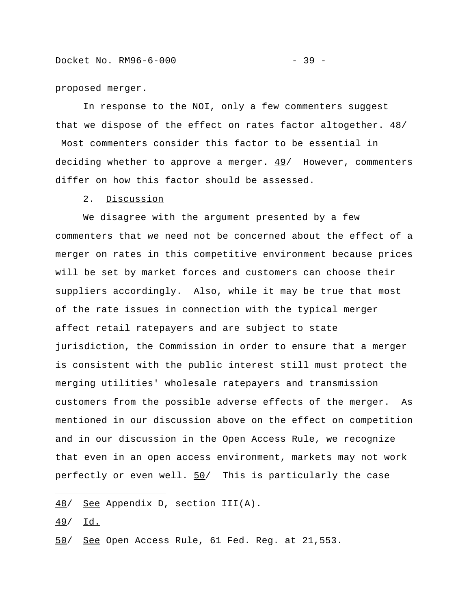proposed merger.

In response to the NOI, only a few commenters suggest that we dispose of the effect on rates factor altogether. 48/ Most commenters consider this factor to be essential in deciding whether to approve a merger.  $49/$  However, commenters differ on how this factor should be assessed.

2. Discussion

We disagree with the argument presented by a few commenters that we need not be concerned about the effect of a merger on rates in this competitive environment because prices will be set by market forces and customers can choose their suppliers accordingly. Also, while it may be true that most of the rate issues in connection with the typical merger affect retail ratepayers and are subject to state jurisdiction, the Commission in order to ensure that a merger is consistent with the public interest still must protect the merging utilities' wholesale ratepayers and transmission customers from the possible adverse effects of the merger. As mentioned in our discussion above on the effect on competition and in our discussion in the Open Access Rule, we recognize that even in an open access environment, markets may not work perfectly or even well. 50/ This is particularly the case

49/ Id.

i<br>I

<sup>48/</sup> See Appendix D, section III(A).

<sup>50/</sup> See Open Access Rule, 61 Fed. Reg. at 21,553.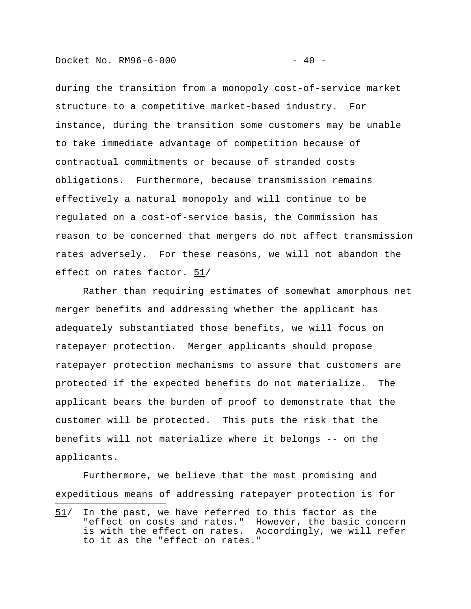Docket No. RM96-6-000 - 40 -

i<br>I

during the transition from a monopoly cost-of-service market structure to a competitive market-based industry. For instance, during the transition some customers may be unable to take immediate advantage of competition because of contractual commitments or because of stranded costs obligations. Furthermore, because transmission remains effectively a natural monopoly and will continue to be regulated on a cost-of-service basis, the Commission has reason to be concerned that mergers do not affect transmission rates adversely. For these reasons, we will not abandon the effect on rates factor. 51/

Rather than requiring estimates of somewhat amorphous net merger benefits and addressing whether the applicant has adequately substantiated those benefits, we will focus on ratepayer protection. Merger applicants should propose ratepayer protection mechanisms to assure that customers are protected if the expected benefits do not materialize. The applicant bears the burden of proof to demonstrate that the customer will be protected. This puts the risk that the benefits will not materialize where it belongs -- on the applicants.

Furthermore, we believe that the most promising and expeditious means of addressing ratepayer protection is for

<sup>51/</sup> In the past, we have referred to this factor as the "effect on costs and rates." However, the basic concern is with the effect on rates. Accordingly, we will refer to it as the "effect on rates."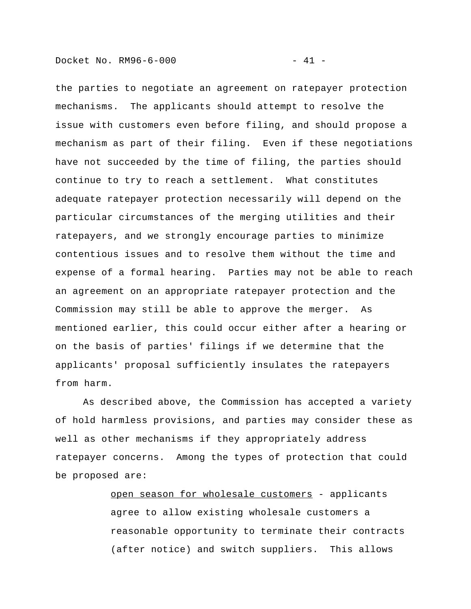the parties to negotiate an agreement on ratepayer protection mechanisms. The applicants should attempt to resolve the issue with customers even before filing, and should propose a mechanism as part of their filing. Even if these negotiations have not succeeded by the time of filing, the parties should continue to try to reach a settlement. What constitutes adequate ratepayer protection necessarily will depend on the particular circumstances of the merging utilities and their ratepayers, and we strongly encourage parties to minimize contentious issues and to resolve them without the time and expense of a formal hearing. Parties may not be able to reach an agreement on an appropriate ratepayer protection and the Commission may still be able to approve the merger. As mentioned earlier, this could occur either after a hearing or on the basis of parties' filings if we determine that the applicants' proposal sufficiently insulates the ratepayers from harm.

 As described above, the Commission has accepted a variety of hold harmless provisions, and parties may consider these as well as other mechanisms if they appropriately address ratepayer concerns. Among the types of protection that could be proposed are:

> open season for wholesale customers - applicants agree to allow existing wholesale customers a reasonable opportunity to terminate their contracts (after notice) and switch suppliers. This allows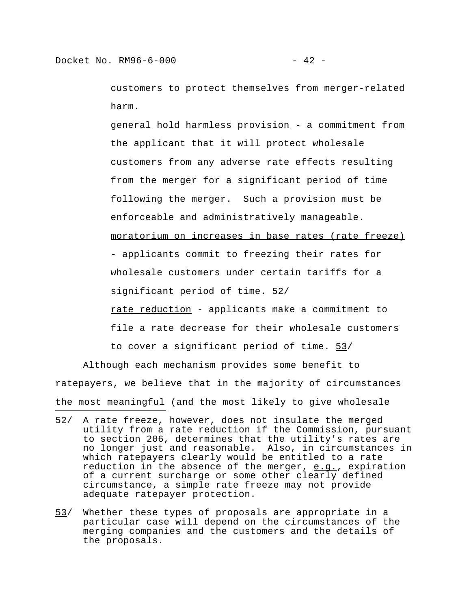customers to protect themselves from merger-related harm.

general hold harmless provision - a commitment from the applicant that it will protect wholesale customers from any adverse rate effects resulting from the merger for a significant period of time following the merger. Such a provision must be enforceable and administratively manageable. moratorium on increases in base rates (rate freeze) - applicants commit to freezing their rates for wholesale customers under certain tariffs for a significant period of time. 52/ rate reduction - applicants make a commitment to file a rate decrease for their wholesale customers to cover a significant period of time. 53/

Although each mechanism provides some benefit to ratepayers, we believe that in the majority of circumstances the most meaningful (and the most likely to give wholesale

<sup>52/</sup> A rate freeze, however, does not insulate the merged utility from a rate reduction if the Commission, pursuant to section 206, determines that the utility's rates are no longer just and reasonable. Also, in circumstances in which ratepayers clearly would be entitled to a rate reduction in the absence of the merger, e.g., expiration of a current surcharge or some other clearly defined circumstance, a simple rate freeze may not provide adequate ratepayer protection.

<sup>53/</sup> Whether these types of proposals are appropriate in a particular case will depend on the circumstances of the merging companies and the customers and the details of the proposals.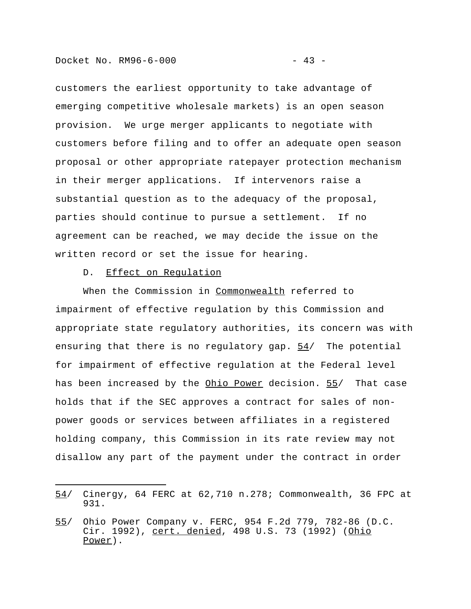customers the earliest opportunity to take advantage of emerging competitive wholesale markets) is an open season provision. We urge merger applicants to negotiate with customers before filing and to offer an adequate open season proposal or other appropriate ratepayer protection mechanism in their merger applications. If intervenors raise a substantial question as to the adequacy of the proposal, parties should continue to pursue a settlement. If no agreement can be reached, we may decide the issue on the written record or set the issue for hearing.

# D. Effect on Regulation

i<br>I

When the Commission in Commonwealth referred to impairment of effective regulation by this Commission and appropriate state regulatory authorities, its concern was with ensuring that there is no regulatory gap. 54/ The potential for impairment of effective regulation at the Federal level has been increased by the Ohio Power decision. 55/ That case holds that if the SEC approves a contract for sales of nonpower goods or services between affiliates in a registered holding company, this Commission in its rate review may not disallow any part of the payment under the contract in order

<sup>54/</sup> Cinergy, 64 FERC at 62,710 n.278; Commonwealth, 36 FPC at 931.

<sup>55/</sup> Ohio Power Company v. FERC, 954 F.2d 779, 782-86 (D.C. Cir. 1992), cert. denied, 498 U.S. 73 (1992) (Ohio Power).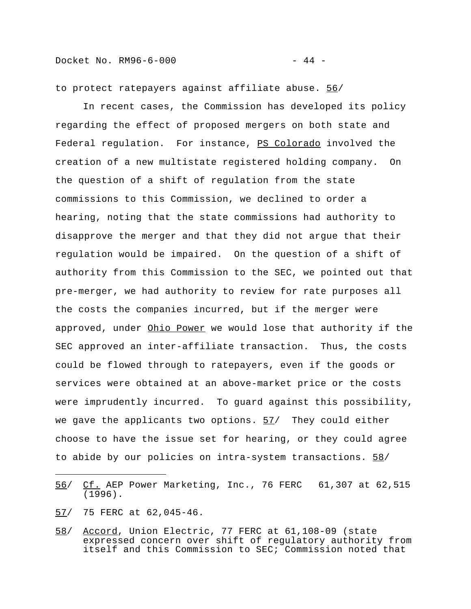to protect ratepayers against affiliate abuse. 56/

In recent cases, the Commission has developed its policy regarding the effect of proposed mergers on both state and Federal regulation. For instance, PS Colorado involved the creation of a new multistate registered holding company. On the question of a shift of regulation from the state commissions to this Commission, we declined to order a hearing, noting that the state commissions had authority to disapprove the merger and that they did not argue that their regulation would be impaired. On the question of a shift of authority from this Commission to the SEC, we pointed out that pre-merger, we had authority to review for rate purposes all the costs the companies incurred, but if the merger were approved, under Ohio Power we would lose that authority if the SEC approved an inter-affiliate transaction. Thus, the costs could be flowed through to ratepayers, even if the goods or services were obtained at an above-market price or the costs were imprudently incurred. To guard against this possibility, we gave the applicants two options.  $57/$  They could either choose to have the issue set for hearing, or they could agree to abide by our policies on intra-system transactions. 58/

57/ 75 FERC at 62,045-46.

i<br>I

58/ Accord, Union Electric, 77 FERC at 61,108-09 (state expressed concern over shift of regulatory authority from itself and this Commission to SEC; Commission noted that

<sup>56/</sup> Cf. AEP Power Marketing, Inc., 76 FERC 61,307 at 62,515 (1996).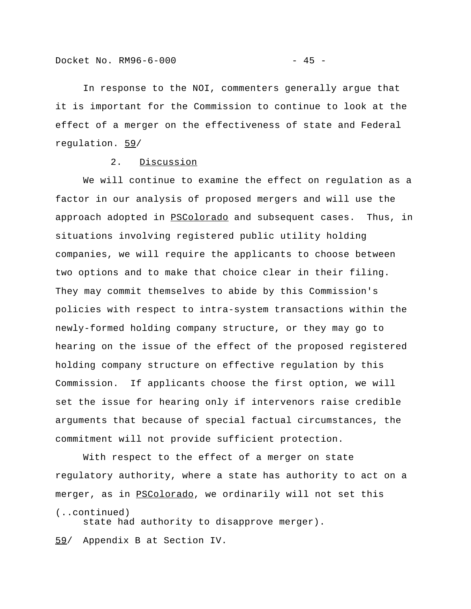In response to the NOI, commenters generally argue that it is important for the Commission to continue to look at the effect of a merger on the effectiveness of state and Federal regulation. 59/

## 2. Discussion

We will continue to examine the effect on regulation as a factor in our analysis of proposed mergers and will use the approach adopted in **PSColorado** and subsequent cases. Thus, in situations involving registered public utility holding companies, we will require the applicants to choose between two options and to make that choice clear in their filing. They may commit themselves to abide by this Commission's policies with respect to intra-system transactions within the newly-formed holding company structure, or they may go to hearing on the issue of the effect of the proposed registered holding company structure on effective regulation by this Commission. If applicants choose the first option, we will set the issue for hearing only if intervenors raise credible arguments that because of special factual circumstances, the commitment will not provide sufficient protection.

With respect to the effect of a merger on state regulatory authority, where a state has authority to act on a merger, as in PSColorado, we ordinarily will not set this (..continued)

state had authority to disapprove merger).

59/ Appendix B at Section IV.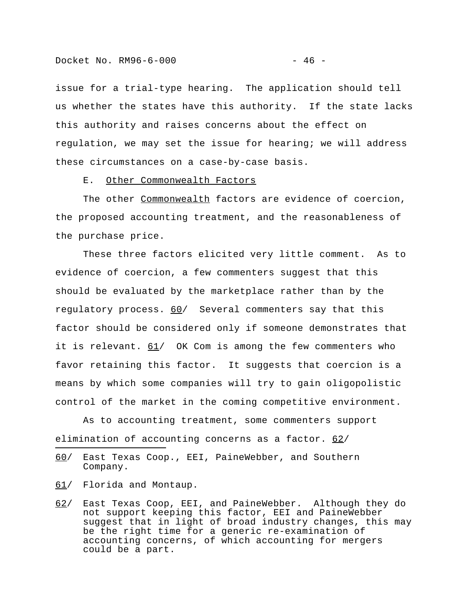issue for a trial-type hearing. The application should tell us whether the states have this authority. If the state lacks this authority and raises concerns about the effect on regulation, we may set the issue for hearing; we will address these circumstances on a case-by-case basis.

E. Other Commonwealth Factors

The other Commonwealth factors are evidence of coercion, the proposed accounting treatment, and the reasonableness of the purchase price.

These three factors elicited very little comment. As to evidence of coercion, a few commenters suggest that this should be evaluated by the marketplace rather than by the regulatory process. 60/ Several commenters say that this factor should be considered only if someone demonstrates that it is relevant.  $61/$  OK Com is among the few commenters who favor retaining this factor. It suggests that coercion is a means by which some companies will try to gain oligopolistic control of the market in the coming competitive environment.

As to accounting treatment, some commenters support elimination of accounting concerns as a factor.  $62/$ 

61/ Florida and Montaup.

i<br>I

<sup>60/</sup> East Texas Coop., EEI, PaineWebber, and Southern Company.

<sup>62/</sup> East Texas Coop, EEI, and PaineWebber. Although they do not support keeping this factor, EEI and PaineWebber suggest that in light of broad industry changes, this may be the right time for a generic re-examination of accounting concerns, of which accounting for mergers could be a part.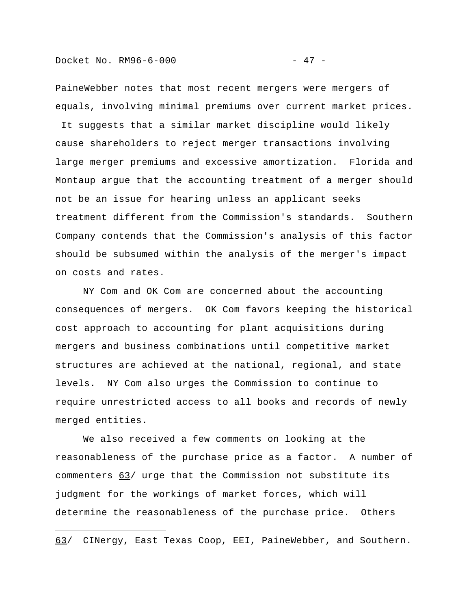PaineWebber notes that most recent mergers were mergers of equals, involving minimal premiums over current market prices.

 It suggests that a similar market discipline would likely cause shareholders to reject merger transactions involving large merger premiums and excessive amortization. Florida and Montaup argue that the accounting treatment of a merger should not be an issue for hearing unless an applicant seeks treatment different from the Commission's standards. Southern Company contends that the Commission's analysis of this factor should be subsumed within the analysis of the merger's impact on costs and rates.

NY Com and OK Com are concerned about the accounting consequences of mergers. OK Com favors keeping the historical cost approach to accounting for plant acquisitions during mergers and business combinations until competitive market structures are achieved at the national, regional, and state levels. NY Com also urges the Commission to continue to require unrestricted access to all books and records of newly merged entities.

We also received a few comments on looking at the reasonableness of the purchase price as a factor. A number of commenters 63/ urge that the Commission not substitute its judgment for the workings of market forces, which will determine the reasonableness of the purchase price. Others

<sup>63/</sup> CINergy, East Texas Coop, EEI, PaineWebber, and Southern.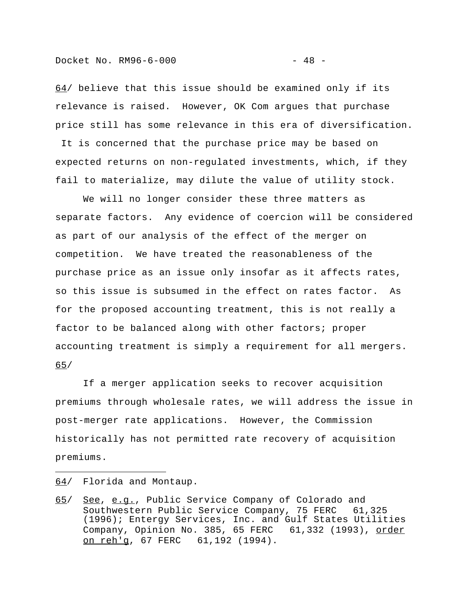64/ believe that this issue should be examined only if its relevance is raised. However, OK Com argues that purchase price still has some relevance in this era of diversification.

 It is concerned that the purchase price may be based on expected returns on non-regulated investments, which, if they fail to materialize, may dilute the value of utility stock.

We will no longer consider these three matters as separate factors. Any evidence of coercion will be considered as part of our analysis of the effect of the merger on competition. We have treated the reasonableness of the purchase price as an issue only insofar as it affects rates, so this issue is subsumed in the effect on rates factor. As for the proposed accounting treatment, this is not really a factor to be balanced along with other factors; proper accounting treatment is simply a requirement for all mergers. 65/

If a merger application seeks to recover acquisition premiums through wholesale rates, we will address the issue in post-merger rate applications. However, the Commission historically has not permitted rate recovery of acquisition premiums.

64/ Florida and Montaup.

i<br>I

<sup>65/</sup> See, e.g., Public Service Company of Colorado and Southwestern Public Service Company, 75 FERC 61,325 (1996); Entergy Services, Inc. and Gulf States Utilities Company, Opinion No. 385, 65 FERC 61,332 (1993), order on reh'g, 67 FERC 61,192 (1994).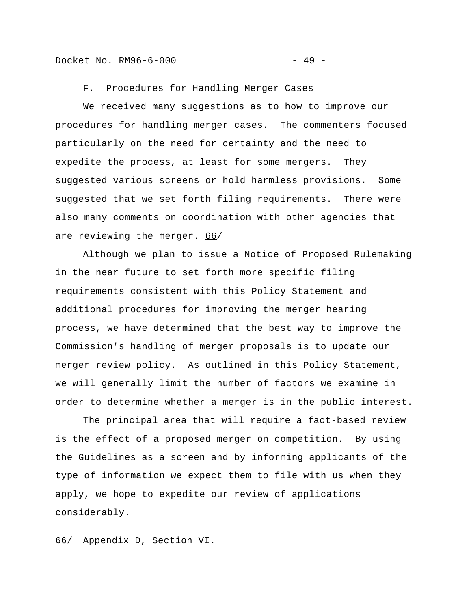#### F. Procedures for Handling Merger Cases

We received many suggestions as to how to improve our procedures for handling merger cases. The commenters focused particularly on the need for certainty and the need to expedite the process, at least for some mergers. They suggested various screens or hold harmless provisions. Some suggested that we set forth filing requirements. There were also many comments on coordination with other agencies that are reviewing the merger. 66/

Although we plan to issue a Notice of Proposed Rulemaking in the near future to set forth more specific filing requirements consistent with this Policy Statement and additional procedures for improving the merger hearing process, we have determined that the best way to improve the Commission's handling of merger proposals is to update our merger review policy. As outlined in this Policy Statement, we will generally limit the number of factors we examine in order to determine whether a merger is in the public interest.

The principal area that will require a fact-based review is the effect of a proposed merger on competition. By using the Guidelines as a screen and by informing applicants of the type of information we expect them to file with us when they apply, we hope to expedite our review of applications considerably.

66/ Appendix D, Section VI.

i<br>I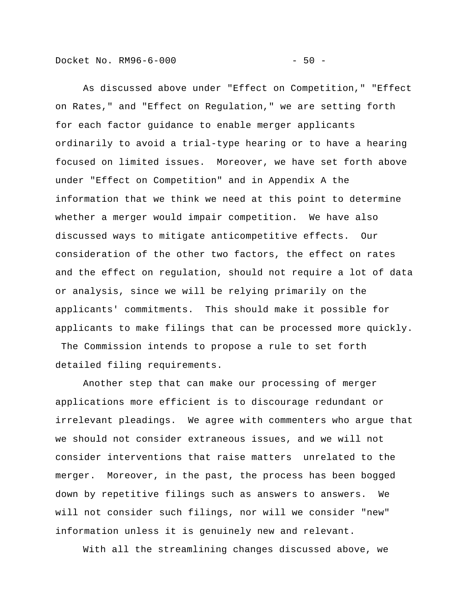Docket No. RM96-6-000 - 50 -

As discussed above under "Effect on Competition," "Effect on Rates," and "Effect on Regulation," we are setting forth for each factor guidance to enable merger applicants ordinarily to avoid a trial-type hearing or to have a hearing focused on limited issues. Moreover, we have set forth above under "Effect on Competition" and in Appendix A the information that we think we need at this point to determine whether a merger would impair competition. We have also discussed ways to mitigate anticompetitive effects. Our consideration of the other two factors, the effect on rates and the effect on regulation, should not require a lot of data or analysis, since we will be relying primarily on the applicants' commitments. This should make it possible for applicants to make filings that can be processed more quickly. The Commission intends to propose a rule to set forth detailed filing requirements.

Another step that can make our processing of merger applications more efficient is to discourage redundant or irrelevant pleadings. We agree with commenters who argue that we should not consider extraneous issues, and we will not consider interventions that raise matters unrelated to the merger. Moreover, in the past, the process has been bogged down by repetitive filings such as answers to answers. We will not consider such filings, nor will we consider "new" information unless it is genuinely new and relevant.

With all the streamlining changes discussed above, we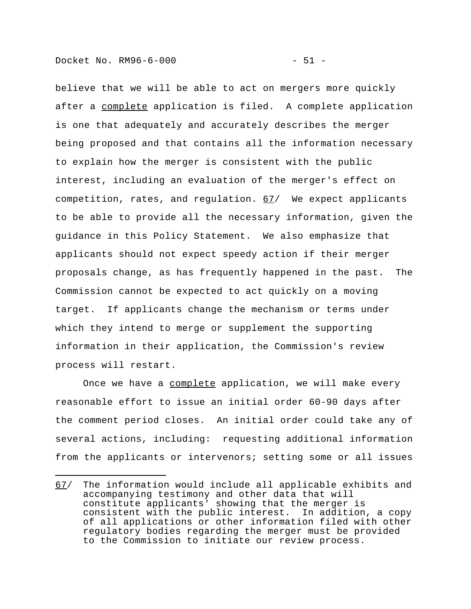believe that we will be able to act on mergers more quickly after a complete application is filed. A complete application is one that adequately and accurately describes the merger being proposed and that contains all the information necessary to explain how the merger is consistent with the public interest, including an evaluation of the merger's effect on competition, rates, and regulation. 67/ We expect applicants to be able to provide all the necessary information, given the guidance in this Policy Statement. We also emphasize that applicants should not expect speedy action if their merger proposals change, as has frequently happened in the past. The Commission cannot be expected to act quickly on a moving target. If applicants change the mechanism or terms under which they intend to merge or supplement the supporting information in their application, the Commission's review process will restart.

Once we have a complete application, we will make every reasonable effort to issue an initial order 60-90 days after the comment period closes. An initial order could take any of several actions, including: requesting additional information from the applicants or intervenors; setting some or all issues

<sup>67/</sup> The information would include all applicable exhibits and accompanying testimony and other data that will constitute applicants' showing that the merger is consistent with the public interest. In addition, a copy of all applications or other information filed with other regulatory bodies regarding the merger must be provided to the Commission to initiate our review process.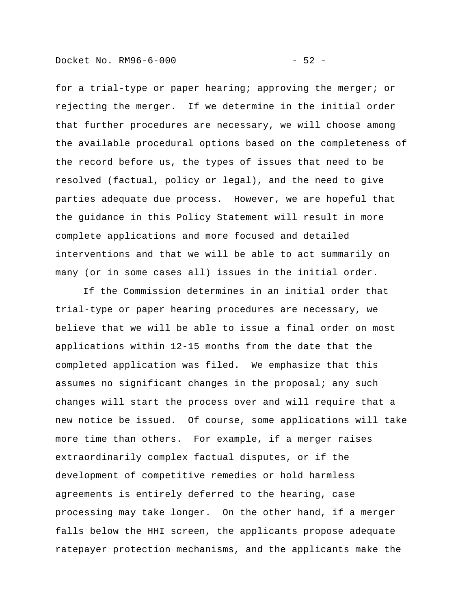for a trial-type or paper hearing; approving the merger; or rejecting the merger. If we determine in the initial order that further procedures are necessary, we will choose among the available procedural options based on the completeness of the record before us, the types of issues that need to be resolved (factual, policy or legal), and the need to give parties adequate due process. However, we are hopeful that the guidance in this Policy Statement will result in more complete applications and more focused and detailed interventions and that we will be able to act summarily on many (or in some cases all) issues in the initial order.

If the Commission determines in an initial order that trial-type or paper hearing procedures are necessary, we believe that we will be able to issue a final order on most applications within 12-15 months from the date that the completed application was filed. We emphasize that this assumes no significant changes in the proposal; any such changes will start the process over and will require that a new notice be issued. Of course, some applications will take more time than others. For example, if a merger raises extraordinarily complex factual disputes, or if the development of competitive remedies or hold harmless agreements is entirely deferred to the hearing, case processing may take longer. On the other hand, if a merger falls below the HHI screen, the applicants propose adequate ratepayer protection mechanisms, and the applicants make the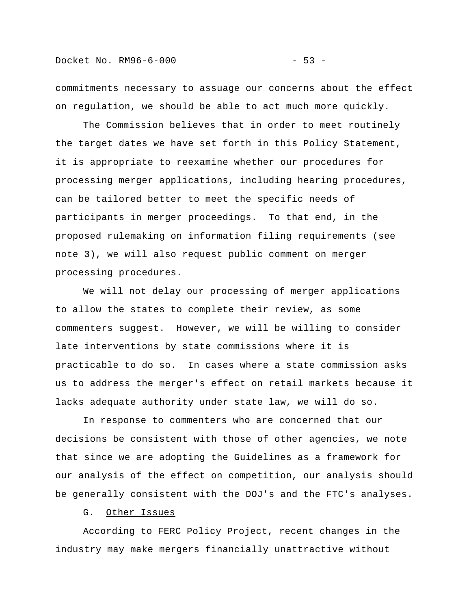commitments necessary to assuage our concerns about the effect on regulation, we should be able to act much more quickly.

The Commission believes that in order to meet routinely the target dates we have set forth in this Policy Statement, it is appropriate to reexamine whether our procedures for processing merger applications, including hearing procedures, can be tailored better to meet the specific needs of participants in merger proceedings. To that end, in the proposed rulemaking on information filing requirements (see note 3), we will also request public comment on merger processing procedures.

We will not delay our processing of merger applications to allow the states to complete their review, as some commenters suggest. However, we will be willing to consider late interventions by state commissions where it is practicable to do so. In cases where a state commission asks us to address the merger's effect on retail markets because it lacks adequate authority under state law, we will do so.

In response to commenters who are concerned that our decisions be consistent with those of other agencies, we note that since we are adopting the Guidelines as a framework for our analysis of the effect on competition, our analysis should be generally consistent with the DOJ's and the FTC's analyses.

# G. Other Issues

According to FERC Policy Project, recent changes in the industry may make mergers financially unattractive without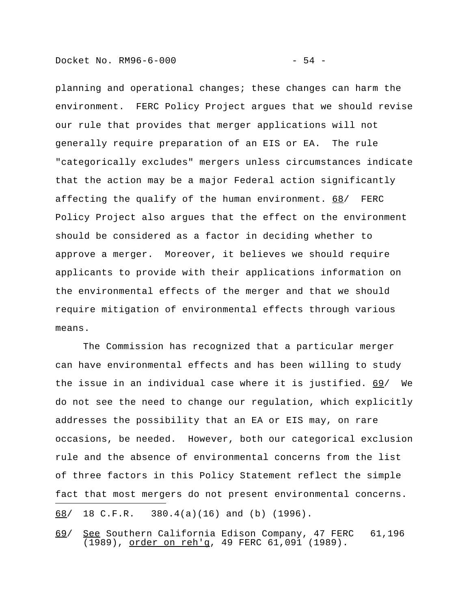planning and operational changes; these changes can harm the environment. FERC Policy Project argues that we should revise our rule that provides that merger applications will not generally require preparation of an EIS or EA. The rule "categorically excludes" mergers unless circumstances indicate that the action may be a major Federal action significantly affecting the qualify of the human environment. 68/ FERC Policy Project also argues that the effect on the environment should be considered as a factor in deciding whether to approve a merger. Moreover, it believes we should require applicants to provide with their applications information on the environmental effects of the merger and that we should require mitigation of environmental effects through various means.

The Commission has recognized that a particular merger can have environmental effects and has been willing to study the issue in an individual case where it is justified. 69/ We do not see the need to change our regulation, which explicitly addresses the possibility that an EA or EIS may, on rare occasions, be needed. However, both our categorical exclusion rule and the absence of environmental concerns from the list of three factors in this Policy Statement reflect the simple fact that most mergers do not present environmental concerns. i<br>I 68/ 18 C.F.R. 380.4(a)(16) and (b) (1996).

69/ See Southern California Edison Company, 47 FERC 61,196 (1989), order on reh'g, 49 FERC 61,091 (1989).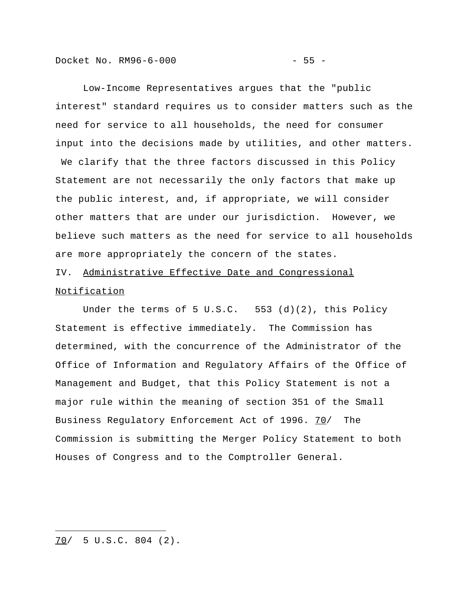Docket No. RM96-6-000 - 55 -

Low-Income Representatives argues that the "public interest" standard requires us to consider matters such as the need for service to all households, the need for consumer input into the decisions made by utilities, and other matters. We clarify that the three factors discussed in this Policy Statement are not necessarily the only factors that make up the public interest, and, if appropriate, we will consider other matters that are under our jurisdiction. However, we believe such matters as the need for service to all households are more appropriately the concern of the states.

IV. Administrative Effective Date and Congressional Notification

Under the terms of 5 U.S.C. 553 (d)(2), this Policy Statement is effective immediately. The Commission has determined, with the concurrence of the Administrator of the Office of Information and Regulatory Affairs of the Office of Management and Budget, that this Policy Statement is not a major rule within the meaning of section 351 of the Small Business Regulatory Enforcement Act of 1996. 70/ The Commission is submitting the Merger Policy Statement to both Houses of Congress and to the Comptroller General.

i<br>I 70/ 5 U.S.C. 804 (2).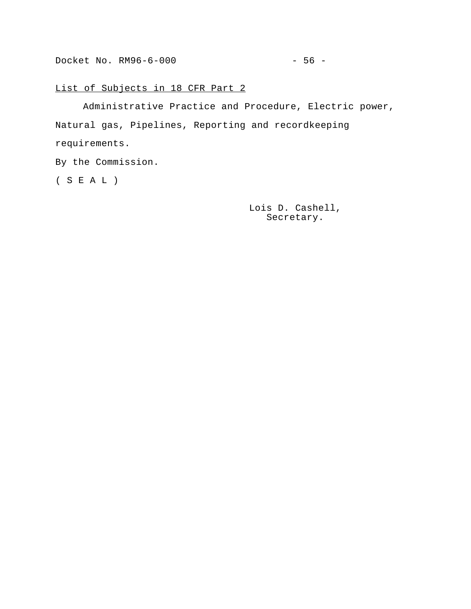# List of Subjects in 18 CFR Part 2

Administrative Practice and Procedure, Electric power, Natural gas, Pipelines, Reporting and recordkeeping requirements.

By the Commission.

( S E A L )

Lois D. Cashell, Secretary.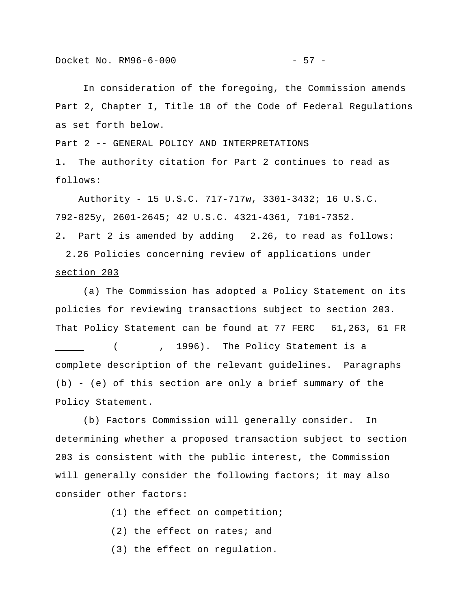In consideration of the foregoing, the Commission amends Part 2, Chapter I, Title 18 of the Code of Federal Regulations as set forth below.

Part 2 -- GENERAL POLICY AND INTERPRETATIONS 1. The authority citation for Part 2 continues to read as follows:

 Authority - 15 U.S.C. 717-717w, 3301-3432; 16 U.S.C. 792-825y, 2601-2645; 42 U.S.C. 4321-4361, 7101-7352. 2. Part 2 is amended by adding 2.26, to read as follows: 2.26 Policies concerning review of applications under section 203

(a) The Commission has adopted a Policy Statement on its policies for reviewing transactions subject to section 203. That Policy Statement can be found at 77 FERC 61,263, 61 FR ( , 1996). The Policy Statement is a complete description of the relevant guidelines. Paragraphs (b) - (e) of this section are only a brief summary of the Policy Statement.

(b) Factors Commission will generally consider. In determining whether a proposed transaction subject to section 203 is consistent with the public interest, the Commission will generally consider the following factors; it may also consider other factors:

(1) the effect on competition;

- (2) the effect on rates; and
- (3) the effect on regulation.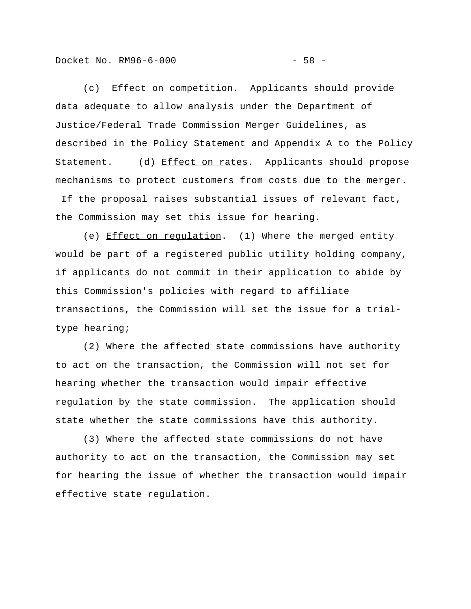```
Docket No. RM96-6-000 - 58 -
```
(c) Effect on competition. Applicants should provide data adequate to allow analysis under the Department of Justice/Federal Trade Commission Merger Guidelines, as described in the Policy Statement and Appendix A to the Policy Statement. (d) Effect on rates. Applicants should propose mechanisms to protect customers from costs due to the merger.

 If the proposal raises substantial issues of relevant fact, the Commission may set this issue for hearing.

(e) Effect on regulation. (1) Where the merged entity would be part of a registered public utility holding company, if applicants do not commit in their application to abide by this Commission's policies with regard to affiliate transactions, the Commission will set the issue for a trialtype hearing;

(2) Where the affected state commissions have authority to act on the transaction, the Commission will not set for hearing whether the transaction would impair effective regulation by the state commission. The application should state whether the state commissions have this authority.

(3) Where the affected state commissions do not have authority to act on the transaction, the Commission may set for hearing the issue of whether the transaction would impair effective state regulation.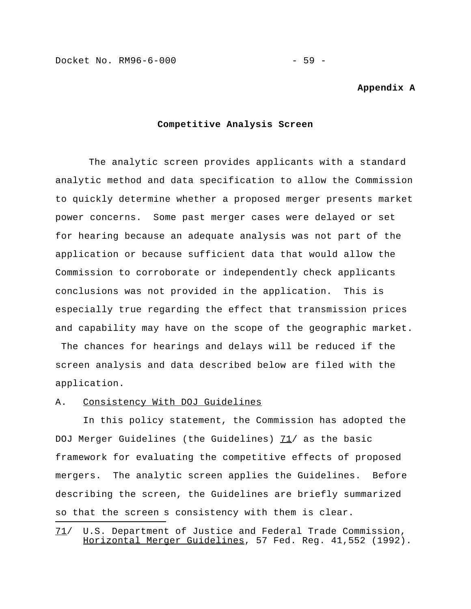Docket No. RM96-6-000 - 59 -

#### **Appendix A**

#### **Competitive Analysis Screen**

 The analytic screen provides applicants with a standard analytic method and data specification to allow the Commission to quickly determine whether a proposed merger presents market power concerns. Some past merger cases were delayed or set for hearing because an adequate analysis was not part of the application or because sufficient data that would allow the Commission to corroborate or independently check applicants conclusions was not provided in the application. This is especially true regarding the effect that transmission prices and capability may have on the scope of the geographic market. The chances for hearings and delays will be reduced if the screen analysis and data described below are filed with the application.

#### A. Consistency With DOJ Guidelines

i<br>I

In this policy statement, the Commission has adopted the DOJ Merger Guidelines (the Guidelines)  $71/$  as the basic framework for evaluating the competitive effects of proposed mergers. The analytic screen applies the Guidelines. Before describing the screen, the Guidelines are briefly summarized so that the screen s consistency with them is clear.

<sup>71/</sup> U.S. Department of Justice and Federal Trade Commission, Horizontal Merger Guidelines, 57 Fed. Reg. 41,552 (1992).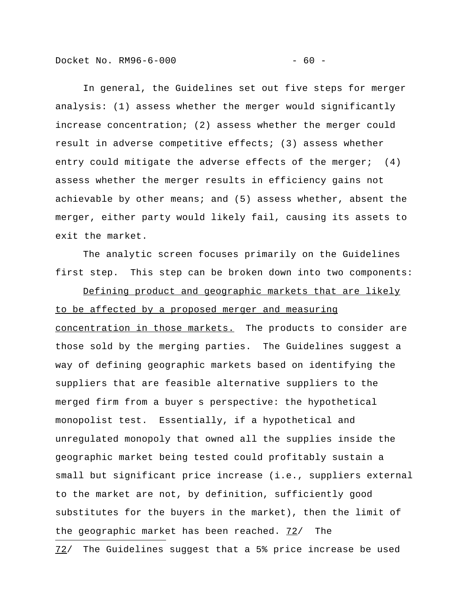Docket No. RM96-6-000 - 60 -

In general, the Guidelines set out five steps for merger analysis: (1) assess whether the merger would significantly increase concentration; (2) assess whether the merger could result in adverse competitive effects; (3) assess whether entry could mitigate the adverse effects of the merger; (4) assess whether the merger results in efficiency gains not achievable by other means; and (5) assess whether, absent the merger, either party would likely fail, causing its assets to exit the market.

The analytic screen focuses primarily on the Guidelines first step. This step can be broken down into two components:

Defining product and geographic markets that are likely to be affected by a proposed merger and measuring concentration in those markets. The products to consider are those sold by the merging parties. The Guidelines suggest a way of defining geographic markets based on identifying the suppliers that are feasible alternative suppliers to the merged firm from a buyer s perspective: the hypothetical monopolist test. Essentially, if a hypothetical and unregulated monopoly that owned all the supplies inside the geographic market being tested could profitably sustain a small but significant price increase (i.e., suppliers external to the market are not, by definition, sufficiently good substitutes for the buyers in the market), then the limit of the geographic market has been reached.  $72/$  The i<br>I 72/ The Guidelines suggest that a 5% price increase be used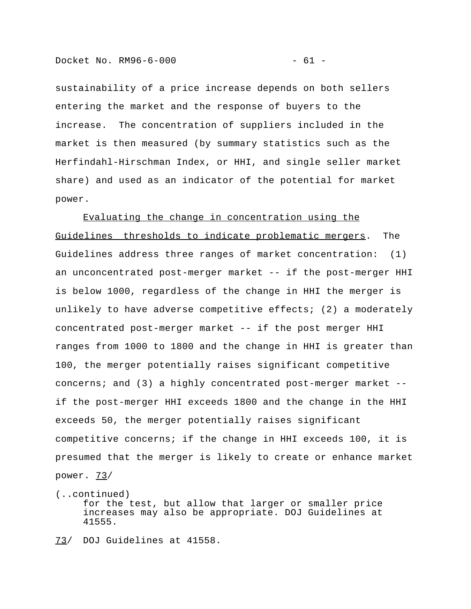sustainability of a price increase depends on both sellers entering the market and the response of buyers to the increase. The concentration of suppliers included in the market is then measured (by summary statistics such as the Herfindahl-Hirschman Index, or HHI, and single seller market share) and used as an indicator of the potential for market power.

Evaluating the change in concentration using the Guidelines thresholds to indicate problematic mergers. The Guidelines address three ranges of market concentration: (1) an unconcentrated post-merger market -- if the post-merger HHI is below 1000, regardless of the change in HHI the merger is unlikely to have adverse competitive effects; (2) a moderately concentrated post-merger market -- if the post merger HHI ranges from 1000 to 1800 and the change in HHI is greater than 100, the merger potentially raises significant competitive concerns; and (3) a highly concentrated post-merger market - if the post-merger HHI exceeds 1800 and the change in the HHI exceeds 50, the merger potentially raises significant competitive concerns; if the change in HHI exceeds 100, it is presumed that the merger is likely to create or enhance market power.  $73/$ 

(..continued) for the test, but allow that larger or smaller price increases may also be appropriate. DOJ Guidelines at 41555.

73/ DOJ Guidelines at 41558.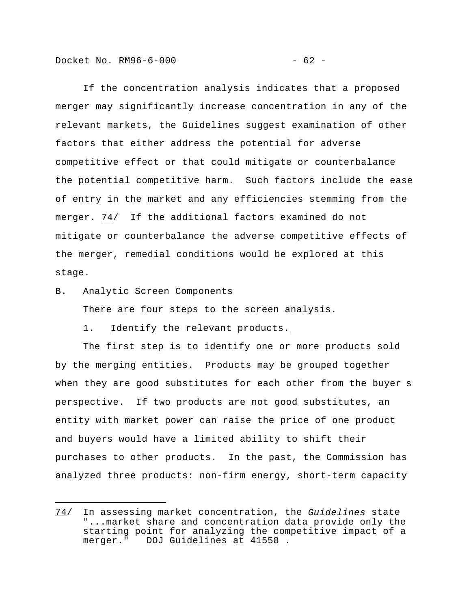Docket No. RM96-6-000 - 62 -

If the concentration analysis indicates that a proposed merger may significantly increase concentration in any of the relevant markets, the Guidelines suggest examination of other factors that either address the potential for adverse competitive effect or that could mitigate or counterbalance the potential competitive harm. Such factors include the ease of entry in the market and any efficiencies stemming from the merger. 74/ If the additional factors examined do not mitigate or counterbalance the adverse competitive effects of the merger, remedial conditions would be explored at this stage.

# B. Analytic Screen Components

i<br>I

There are four steps to the screen analysis.

### 1. Identify the relevant products.

The first step is to identify one or more products sold by the merging entities. Products may be grouped together when they are good substitutes for each other from the buyer s perspective. If two products are not good substitutes, an entity with market power can raise the price of one product and buyers would have a limited ability to shift their purchases to other products. In the past, the Commission has analyzed three products: non-firm energy, short-term capacity

<sup>74/</sup> In assessing market concentration, the *Guidelines* state "...market share and concentration data provide only the starting point for analyzing the competitive impact of a merger." DOJ Guidelines at 41558 .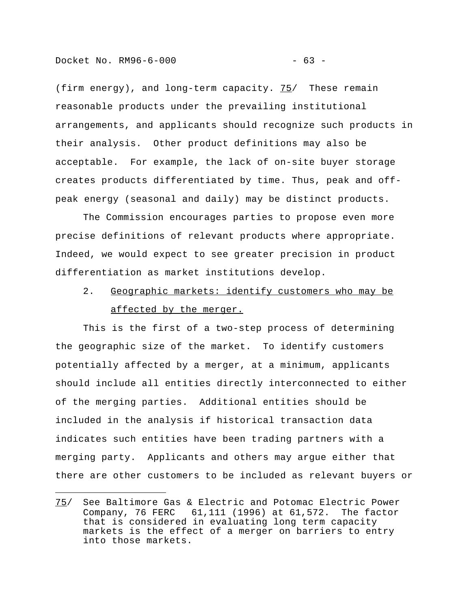(firm energy), and long-term capacity. 75/ These remain reasonable products under the prevailing institutional arrangements, and applicants should recognize such products in their analysis. Other product definitions may also be acceptable. For example, the lack of on-site buyer storage creates products differentiated by time. Thus, peak and offpeak energy (seasonal and daily) may be distinct products.

The Commission encourages parties to propose even more precise definitions of relevant products where appropriate. Indeed, we would expect to see greater precision in product differentiation as market institutions develop.

# 2. Geographic markets: identify customers who may be affected by the merger.

This is the first of a two-step process of determining the geographic size of the market. To identify customers potentially affected by a merger, at a minimum, applicants should include all entities directly interconnected to either of the merging parties. Additional entities should be included in the analysis if historical transaction data indicates such entities have been trading partners with a merging party. Applicants and others may argue either that there are other customers to be included as relevant buyers or

<sup>75/</sup> See Baltimore Gas & Electric and Potomac Electric Power Company, 76 FERC 61,111 (1996) at 61,572. The factor that is considered in evaluating long term capacity markets is the effect of a merger on barriers to entry into those markets.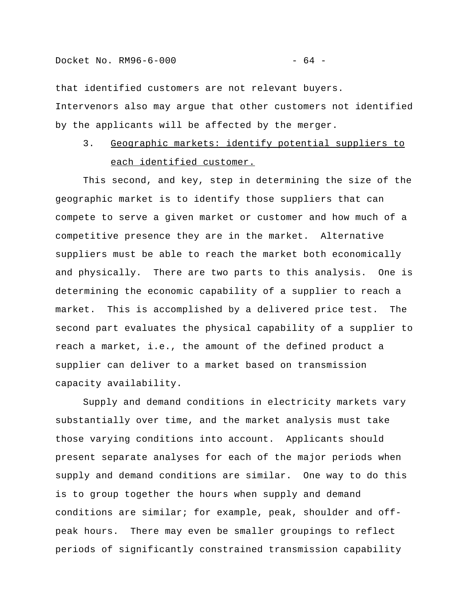that identified customers are not relevant buyers. Intervenors also may argue that other customers not identified by the applicants will be affected by the merger.

# 3. Geographic markets: identify potential suppliers to each identified customer.

This second, and key, step in determining the size of the geographic market is to identify those suppliers that can compete to serve a given market or customer and how much of a competitive presence they are in the market. Alternative suppliers must be able to reach the market both economically and physically. There are two parts to this analysis. One is determining the economic capability of a supplier to reach a market. This is accomplished by a delivered price test. The second part evaluates the physical capability of a supplier to reach a market, i.e., the amount of the defined product a supplier can deliver to a market based on transmission capacity availability.

Supply and demand conditions in electricity markets vary substantially over time, and the market analysis must take those varying conditions into account. Applicants should present separate analyses for each of the major periods when supply and demand conditions are similar. One way to do this is to group together the hours when supply and demand conditions are similar; for example, peak, shoulder and offpeak hours. There may even be smaller groupings to reflect periods of significantly constrained transmission capability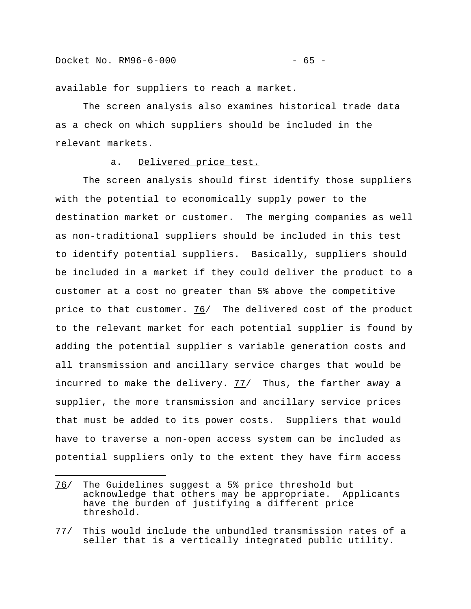available for suppliers to reach a market.

The screen analysis also examines historical trade data as a check on which suppliers should be included in the relevant markets.

#### a. Delivered price test.

The screen analysis should first identify those suppliers with the potential to economically supply power to the destination market or customer. The merging companies as well as non-traditional suppliers should be included in this test to identify potential suppliers. Basically, suppliers should be included in a market if they could deliver the product to a customer at a cost no greater than 5% above the competitive price to that customer. 76/ The delivered cost of the product to the relevant market for each potential supplier is found by adding the potential supplier s variable generation costs and all transmission and ancillary service charges that would be incurred to make the delivery.  $77/$  Thus, the farther away a supplier, the more transmission and ancillary service prices that must be added to its power costs. Suppliers that would have to traverse a non-open access system can be included as potential suppliers only to the extent they have firm access

<sup>76/</sup> The Guidelines suggest a 5% price threshold but acknowledge that others may be appropriate. Applicants have the burden of justifying a different price threshold.

<sup>77/</sup> This would include the unbundled transmission rates of a seller that is a vertically integrated public utility.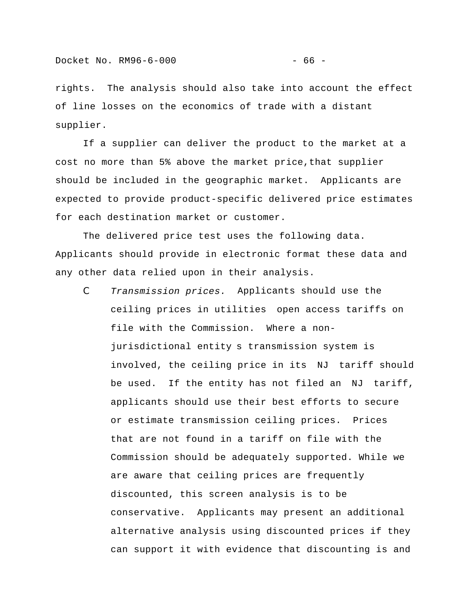rights. The analysis should also take into account the effect of line losses on the economics of trade with a distant supplier.

If a supplier can deliver the product to the market at a cost no more than 5% above the market price,that supplier should be included in the geographic market. Applicants are expected to provide product-specific delivered price estimates for each destination market or customer.

The delivered price test uses the following data. Applicants should provide in electronic format these data and any other data relied upon in their analysis.

C *Transmission prices.* Applicants should use the ceiling prices in utilities open access tariffs on file with the Commission. Where a nonjurisdictional entity s transmission system is involved, the ceiling price in its NJ tariff should be used. If the entity has not filed an NJ tariff, applicants should use their best efforts to secure or estimate transmission ceiling prices. Prices that are not found in a tariff on file with the Commission should be adequately supported. While we are aware that ceiling prices are frequently discounted, this screen analysis is to be conservative. Applicants may present an additional alternative analysis using discounted prices if they can support it with evidence that discounting is and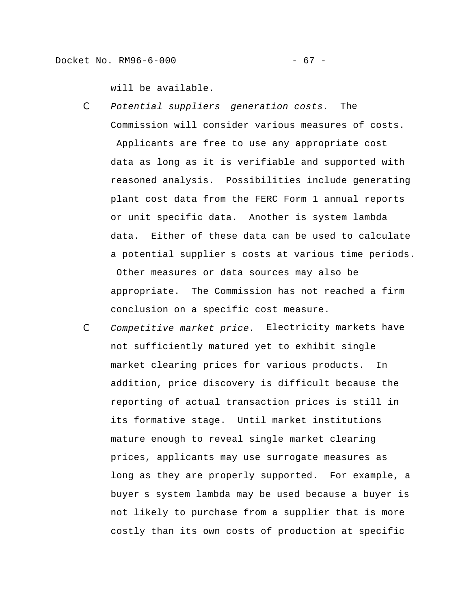will be available.

C *Potential suppliers generation costs.* The Commission will consider various measures of costs.

 Applicants are free to use any appropriate cost data as long as it is verifiable and supported with reasoned analysis. Possibilities include generating plant cost data from the FERC Form 1 annual reports or unit specific data. Another is system lambda data. Either of these data can be used to calculate a potential supplier s costs at various time periods. Other measures or data sources may also be appropriate. The Commission has not reached a firm conclusion on a specific cost measure.

C *Competitive market price.* Electricity markets have not sufficiently matured yet to exhibit single market clearing prices for various products. In addition, price discovery is difficult because the reporting of actual transaction prices is still in its formative stage. Until market institutions mature enough to reveal single market clearing prices, applicants may use surrogate measures as long as they are properly supported. For example, a buyer s system lambda may be used because a buyer is not likely to purchase from a supplier that is more costly than its own costs of production at specific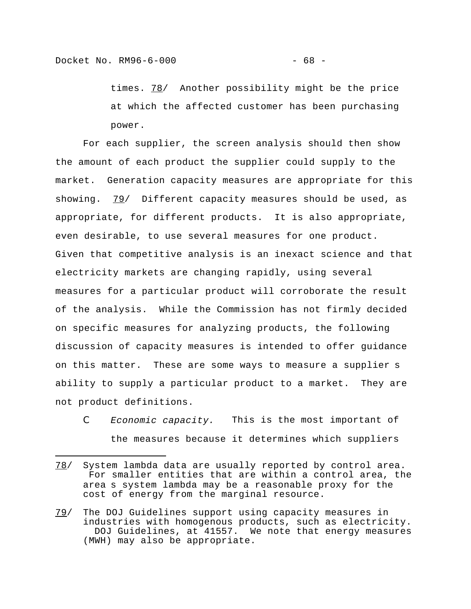times. 78/ Another possibility might be the price at which the affected customer has been purchasing power.

For each supplier, the screen analysis should then show the amount of each product the supplier could supply to the market. Generation capacity measures are appropriate for this showing.  $79/$  Different capacity measures should be used, as appropriate, for different products. It is also appropriate, even desirable, to use several measures for one product. Given that competitive analysis is an inexact science and that electricity markets are changing rapidly, using several measures for a particular product will corroborate the result of the analysis. While the Commission has not firmly decided on specific measures for analyzing products, the following discussion of capacity measures is intended to offer guidance on this matter. These are some ways to measure a supplier s ability to supply a particular product to a market. They are not product definitions.

*C Economic capacity.* This is the most important of the measures because it determines which suppliers

<sup>78/</sup> System lambda data are usually reported by control area. For smaller entities that are within a control area, the area s system lambda may be a reasonable proxy for the cost of energy from the marginal resource.

<sup>79/</sup> The DOJ Guidelines support using capacity measures in industries with homogenous products, such as electricity. DOJ Guidelines, at 41557. We note that energy measures (MWH) may also be appropriate.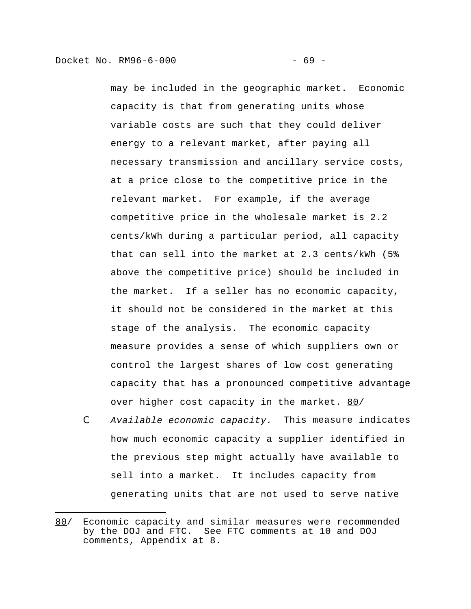i<br>I

may be included in the geographic market. Economic capacity is that from generating units whose variable costs are such that they could deliver energy to a relevant market, after paying all necessary transmission and ancillary service costs, at a price close to the competitive price in the relevant market. For example, if the average competitive price in the wholesale market is 2.2 cents/kWh during a particular period, all capacity that can sell into the market at 2.3 cents/kWh (5% above the competitive price) should be included in the market. If a seller has no economic capacity, it should not be considered in the market at this stage of the analysis. The economic capacity measure provides a sense of which suppliers own or control the largest shares of low cost generating capacity that has a pronounced competitive advantage over higher cost capacity in the market. 80/

*C Available economic capacity.* This measure indicates how much economic capacity a supplier identified in the previous step might actually have available to sell into a market. It includes capacity from generating units that are not used to serve native

<sup>80/</sup> Economic capacity and similar measures were recommended by the DOJ and FTC. See FTC comments at 10 and DOJ comments, Appendix at 8.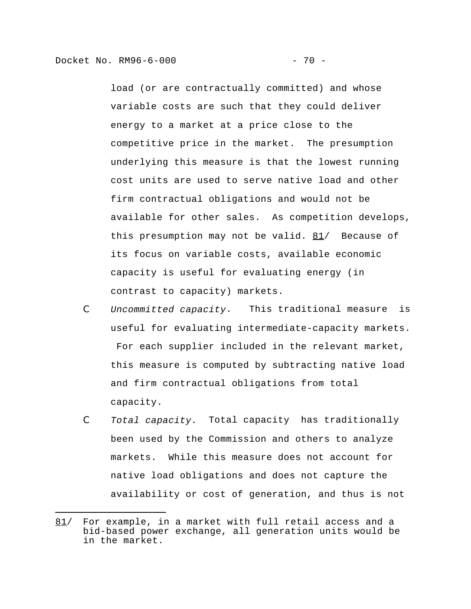i<br>I

load (or are contractually committed) and whose variable costs are such that they could deliver energy to a market at a price close to the competitive price in the market. The presumption underlying this measure is that the lowest running cost units are used to serve native load and other firm contractual obligations and would not be available for other sales. As competition develops, this presumption may not be valid.  $81/$  Because of its focus on variable costs, available economic capacity is useful for evaluating energy (in contrast to capacity) markets.

- *C Uncommitted capacity*. This traditional measure is useful for evaluating intermediate-capacity markets. For each supplier included in the relevant market, this measure is computed by subtracting native load and firm contractual obligations from total capacity.
- *C Total capacity.* Total capacity has traditionally been used by the Commission and others to analyze markets. While this measure does not account for native load obligations and does not capture the availability or cost of generation, and thus is not

<sup>81/</sup> For example, in a market with full retail access and a bid-based power exchange, all generation units would be in the market.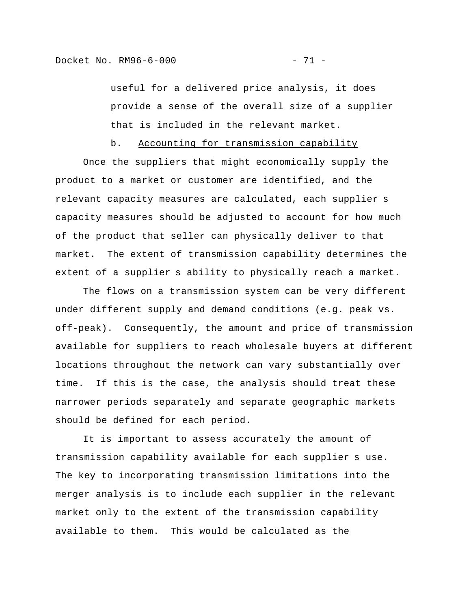useful for a delivered price analysis, it does provide a sense of the overall size of a supplier that is included in the relevant market.

b. Accounting for transmission capability

Once the suppliers that might economically supply the product to a market or customer are identified, and the relevant capacity measures are calculated, each supplier s capacity measures should be adjusted to account for how much of the product that seller can physically deliver to that market. The extent of transmission capability determines the extent of a supplier s ability to physically reach a market.

The flows on a transmission system can be very different under different supply and demand conditions (e.g. peak vs. off-peak). Consequently, the amount and price of transmission available for suppliers to reach wholesale buyers at different locations throughout the network can vary substantially over time. If this is the case, the analysis should treat these narrower periods separately and separate geographic markets should be defined for each period.

It is important to assess accurately the amount of transmission capability available for each supplier s use. The key to incorporating transmission limitations into the merger analysis is to include each supplier in the relevant market only to the extent of the transmission capability available to them. This would be calculated as the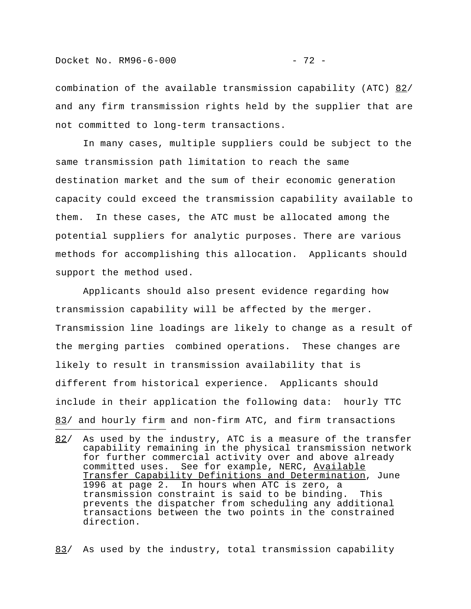i<br>I

combination of the available transmission capability (ATC) 82/ and any firm transmission rights held by the supplier that are not committed to long-term transactions.

In many cases, multiple suppliers could be subject to the same transmission path limitation to reach the same destination market and the sum of their economic generation capacity could exceed the transmission capability available to them. In these cases, the ATC must be allocated among the potential suppliers for analytic purposes. There are various methods for accomplishing this allocation. Applicants should support the method used.

Applicants should also present evidence regarding how transmission capability will be affected by the merger. Transmission line loadings are likely to change as a result of the merging parties combined operations. These changes are likely to result in transmission availability that is different from historical experience. Applicants should include in their application the following data: hourly TTC 83/ and hourly firm and non-firm ATC, and firm transactions

83/ As used by the industry, total transmission capability

<sup>82/</sup> As used by the industry, ATC is a measure of the transfer capability remaining in the physical transmission network for further commercial activity over and above already committed uses. See for example, NERC, Available Transfer Capability Definitions and Determination, June 1996 at page 2. In hours when ATC is zero, a transmission constraint is said to be binding. This prevents the dispatcher from scheduling any additional transactions between the two points in the constrained direction.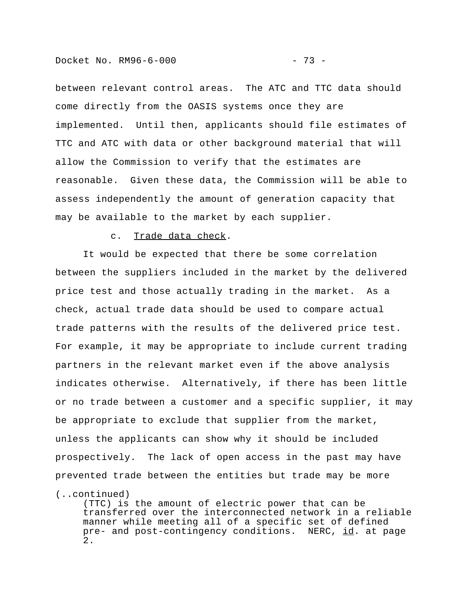between relevant control areas. The ATC and TTC data should come directly from the OASIS systems once they are implemented. Until then, applicants should file estimates of TTC and ATC with data or other background material that will allow the Commission to verify that the estimates are reasonable. Given these data, the Commission will be able to assess independently the amount of generation capacity that may be available to the market by each supplier.

# c. Trade data check.

It would be expected that there be some correlation between the suppliers included in the market by the delivered price test and those actually trading in the market. As a check, actual trade data should be used to compare actual trade patterns with the results of the delivered price test. For example, it may be appropriate to include current trading partners in the relevant market even if the above analysis indicates otherwise. Alternatively, if there has been little or no trade between a customer and a specific supplier, it may be appropriate to exclude that supplier from the market, unless the applicants can show why it should be included prospectively. The lack of open access in the past may have prevented trade between the entities but trade may be more

(..continued)

(TTC) is the amount of electric power that can be transferred over the interconnected network in a reliable manner while meeting all of a specific set of defined pre- and post-contingency conditions. NERC, id. at page 2.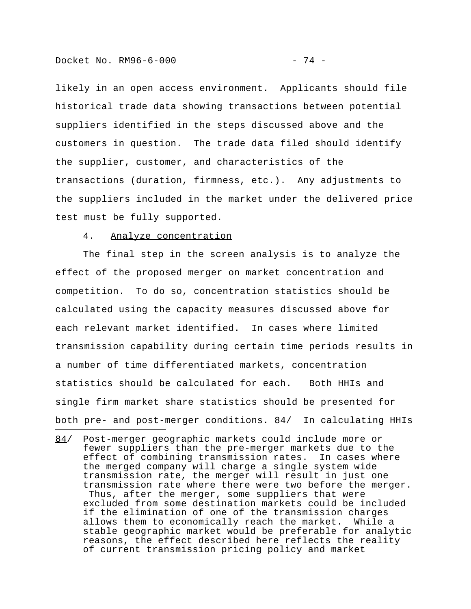i<br>I

likely in an open access environment. Applicants should file historical trade data showing transactions between potential suppliers identified in the steps discussed above and the customers in question. The trade data filed should identify the supplier, customer, and characteristics of the transactions (duration, firmness, etc.). Any adjustments to the suppliers included in the market under the delivered price test must be fully supported.

#### 4. Analyze concentration

The final step in the screen analysis is to analyze the effect of the proposed merger on market concentration and competition. To do so, concentration statistics should be calculated using the capacity measures discussed above for each relevant market identified. In cases where limited transmission capability during certain time periods results in a number of time differentiated markets, concentration statistics should be calculated for each. Both HHIs and single firm market share statistics should be presented for both pre- and post-merger conditions.  $84/$  In calculating HHIs

84/ Post-merger geographic markets could include more or fewer suppliers than the pre-merger markets due to the effect of combining transmission rates. In cases where the merged company will charge a single system wide transmission rate, the merger will result in just one transmission rate where there were two before the merger. Thus, after the merger, some suppliers that were excluded from some destination markets could be included if the elimination of one of the transmission charges allows them to economically reach the market. While a stable geographic market would be preferable for analytic reasons, the effect described here reflects the reality of current transmission pricing policy and market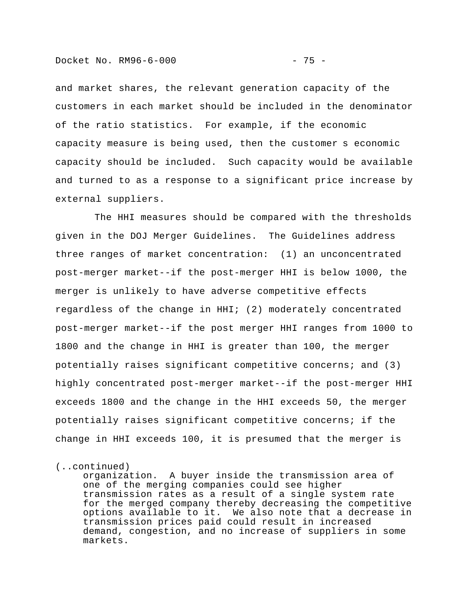and market shares, the relevant generation capacity of the customers in each market should be included in the denominator of the ratio statistics. For example, if the economic capacity measure is being used, then the customer s economic capacity should be included. Such capacity would be available and turned to as a response to a significant price increase by external suppliers.

 The HHI measures should be compared with the thresholds given in the DOJ Merger Guidelines. The Guidelines address three ranges of market concentration: (1) an unconcentrated post-merger market--if the post-merger HHI is below 1000, the merger is unlikely to have adverse competitive effects regardless of the change in HHI; (2) moderately concentrated post-merger market--if the post merger HHI ranges from 1000 to 1800 and the change in HHI is greater than 100, the merger potentially raises significant competitive concerns; and (3) highly concentrated post-merger market--if the post-merger HHI exceeds 1800 and the change in the HHI exceeds 50, the merger potentially raises significant competitive concerns; if the change in HHI exceeds 100, it is presumed that the merger is

(..continued)

organization. A buyer inside the transmission area of one of the merging companies could see higher transmission rates as a result of a single system rate for the merged company thereby decreasing the competitive options available to it. We also note that a decrease in transmission prices paid could result in increased demand, congestion, and no increase of suppliers in some markets.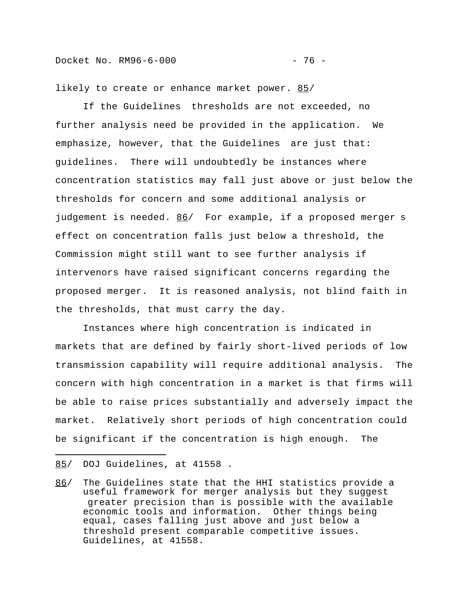likely to create or enhance market power. 85/

If the Guidelines thresholds are not exceeded, no further analysis need be provided in the application. We emphasize, however, that the Guidelines are just that: guidelines. There will undoubtedly be instances where concentration statistics may fall just above or just below the thresholds for concern and some additional analysis or judgement is needed. 86/ For example, if a proposed merger s effect on concentration falls just below a threshold, the Commission might still want to see further analysis if intervenors have raised significant concerns regarding the proposed merger. It is reasoned analysis, not blind faith in the thresholds, that must carry the day.

Instances where high concentration is indicated in markets that are defined by fairly short-lived periods of low transmission capability will require additional analysis. The concern with high concentration in a market is that firms will be able to raise prices substantially and adversely impact the market. Relatively short periods of high concentration could be significant if the concentration is high enough. The

i<br>I

<sup>85/</sup> DOJ Guidelines, at 41558 .

<sup>86/</sup> The Guidelines state that the HHI statistics provide a useful framework for merger analysis but they suggest greater precision than is possible with the available economic tools and information. Other things being equal, cases falling just above and just below a threshold present comparable competitive issues. Guidelines, at 41558.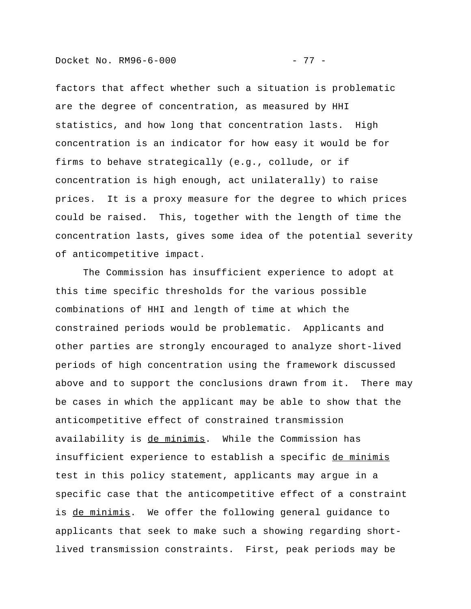factors that affect whether such a situation is problematic are the degree of concentration, as measured by HHI statistics, and how long that concentration lasts. High concentration is an indicator for how easy it would be for firms to behave strategically (e.g., collude, or if concentration is high enough, act unilaterally) to raise prices. It is a proxy measure for the degree to which prices could be raised. This, together with the length of time the concentration lasts, gives some idea of the potential severity of anticompetitive impact.

The Commission has insufficient experience to adopt at this time specific thresholds for the various possible combinations of HHI and length of time at which the constrained periods would be problematic. Applicants and other parties are strongly encouraged to analyze short-lived periods of high concentration using the framework discussed above and to support the conclusions drawn from it. There may be cases in which the applicant may be able to show that the anticompetitive effect of constrained transmission availability is de minimis. While the Commission has insufficient experience to establish a specific de minimis test in this policy statement, applicants may argue in a specific case that the anticompetitive effect of a constraint is de minimis. We offer the following general guidance to applicants that seek to make such a showing regarding shortlived transmission constraints. First, peak periods may be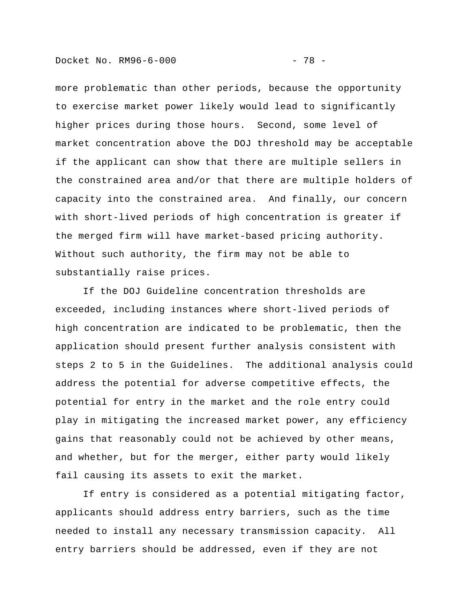more problematic than other periods, because the opportunity to exercise market power likely would lead to significantly higher prices during those hours. Second, some level of market concentration above the DOJ threshold may be acceptable if the applicant can show that there are multiple sellers in the constrained area and/or that there are multiple holders of capacity into the constrained area. And finally, our concern with short-lived periods of high concentration is greater if the merged firm will have market-based pricing authority. Without such authority, the firm may not be able to substantially raise prices.

If the DOJ Guideline concentration thresholds are exceeded, including instances where short-lived periods of high concentration are indicated to be problematic, then the application should present further analysis consistent with steps 2 to 5 in the Guidelines. The additional analysis could address the potential for adverse competitive effects, the potential for entry in the market and the role entry could play in mitigating the increased market power, any efficiency gains that reasonably could not be achieved by other means, and whether, but for the merger, either party would likely fail causing its assets to exit the market.

If entry is considered as a potential mitigating factor, applicants should address entry barriers, such as the time needed to install any necessary transmission capacity. All entry barriers should be addressed, even if they are not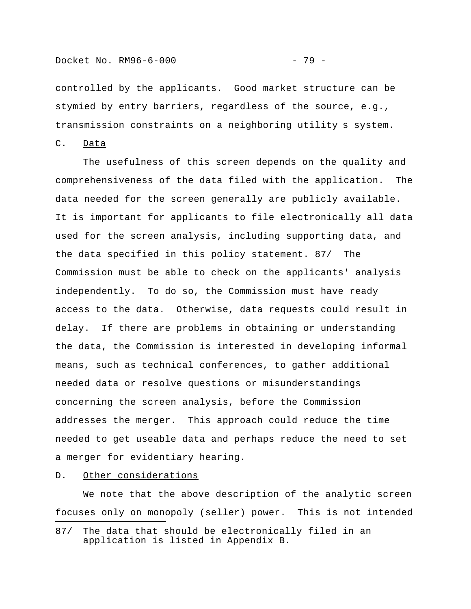transmission constraints on a neighboring utility s system.

C. Data

The usefulness of this screen depends on the quality and comprehensiveness of the data filed with the application. The data needed for the screen generally are publicly available. It is important for applicants to file electronically all data used for the screen analysis, including supporting data, and the data specified in this policy statement. 87/ The Commission must be able to check on the applicants' analysis independently. To do so, the Commission must have ready access to the data. Otherwise, data requests could result in delay. If there are problems in obtaining or understanding the data, the Commission is interested in developing informal means, such as technical conferences, to gather additional needed data or resolve questions or misunderstandings concerning the screen analysis, before the Commission addresses the merger. This approach could reduce the time needed to get useable data and perhaps reduce the need to set a merger for evidentiary hearing.

D. Other considerations

i<br>I

We note that the above description of the analytic screen focuses only on monopoly (seller) power. This is not intended

<sup>87/</sup> The data that should be electronically filed in an application is listed in Appendix B.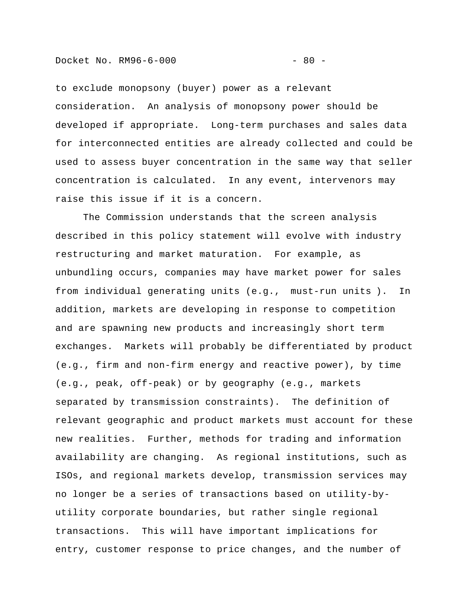to exclude monopsony (buyer) power as a relevant consideration. An analysis of monopsony power should be developed if appropriate. Long-term purchases and sales data for interconnected entities are already collected and could be used to assess buyer concentration in the same way that seller concentration is calculated. In any event, intervenors may raise this issue if it is a concern.

The Commission understands that the screen analysis described in this policy statement will evolve with industry restructuring and market maturation. For example, as unbundling occurs, companies may have market power for sales from individual generating units (e.g., must-run units ). In addition, markets are developing in response to competition and are spawning new products and increasingly short term exchanges. Markets will probably be differentiated by product (e.g., firm and non-firm energy and reactive power), by time (e.g., peak, off-peak) or by geography (e.g., markets separated by transmission constraints). The definition of relevant geographic and product markets must account for these new realities. Further, methods for trading and information availability are changing. As regional institutions, such as ISOs, and regional markets develop, transmission services may no longer be a series of transactions based on utility-byutility corporate boundaries, but rather single regional transactions. This will have important implications for entry, customer response to price changes, and the number of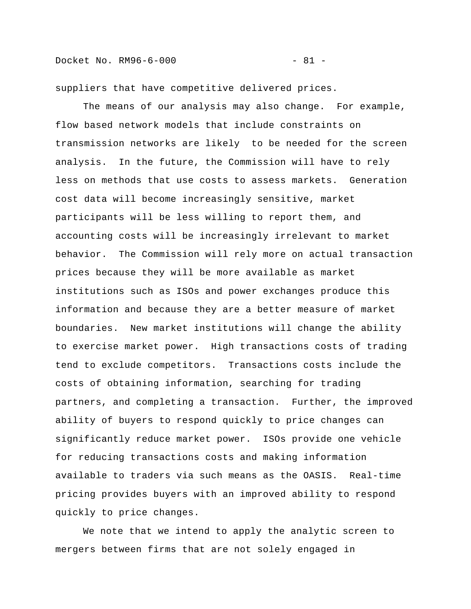Docket No. RM96-6-000 - 81 -

suppliers that have competitive delivered prices.

The means of our analysis may also change. For example, flow based network models that include constraints on transmission networks are likely to be needed for the screen analysis. In the future, the Commission will have to rely less on methods that use costs to assess markets. Generation cost data will become increasingly sensitive, market participants will be less willing to report them, and accounting costs will be increasingly irrelevant to market behavior. The Commission will rely more on actual transaction prices because they will be more available as market institutions such as ISOs and power exchanges produce this information and because they are a better measure of market boundaries. New market institutions will change the ability to exercise market power. High transactions costs of trading tend to exclude competitors. Transactions costs include the costs of obtaining information, searching for trading partners, and completing a transaction. Further, the improved ability of buyers to respond quickly to price changes can significantly reduce market power. ISOs provide one vehicle for reducing transactions costs and making information available to traders via such means as the OASIS. Real-time pricing provides buyers with an improved ability to respond quickly to price changes.

We note that we intend to apply the analytic screen to mergers between firms that are not solely engaged in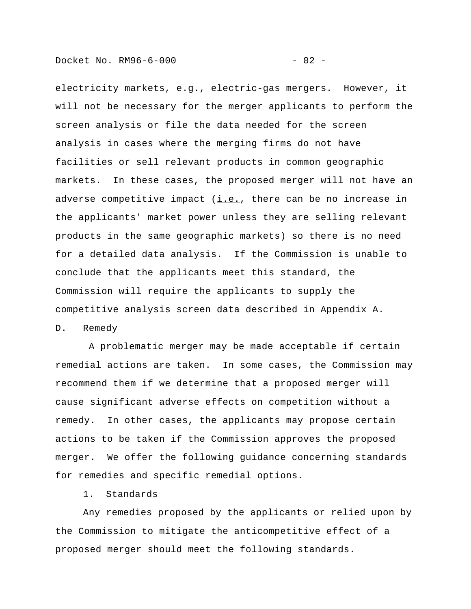electricity markets, e.g., electric-gas mergers. However, it will not be necessary for the merger applicants to perform the screen analysis or file the data needed for the screen analysis in cases where the merging firms do not have facilities or sell relevant products in common geographic markets. In these cases, the proposed merger will not have an adverse competitive impact  $(i.e.,$  there can be no increase in the applicants' market power unless they are selling relevant products in the same geographic markets) so there is no need for a detailed data analysis. If the Commission is unable to conclude that the applicants meet this standard, the Commission will require the applicants to supply the competitive analysis screen data described in Appendix A.

#### D. Remedy

 A problematic merger may be made acceptable if certain remedial actions are taken. In some cases, the Commission may recommend them if we determine that a proposed merger will cause significant adverse effects on competition without a remedy. In other cases, the applicants may propose certain actions to be taken if the Commission approves the proposed merger. We offer the following guidance concerning standards for remedies and specific remedial options.

1. Standards

Any remedies proposed by the applicants or relied upon by the Commission to mitigate the anticompetitive effect of a proposed merger should meet the following standards.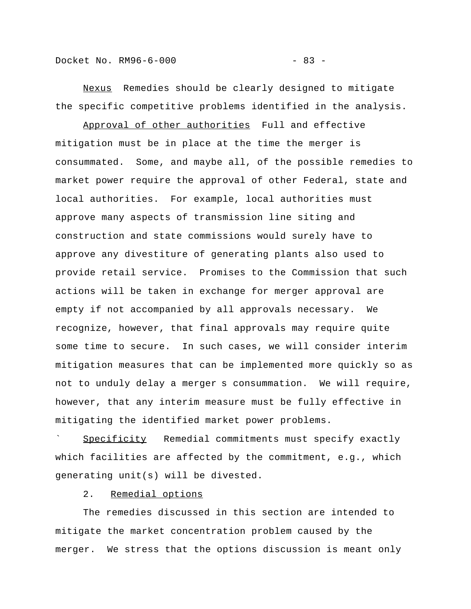Docket No. RM96-6-000 - 83 -

Nexus Remedies should be clearly designed to mitigate

the specific competitive problems identified in the analysis.

Approval of other authorities Full and effective mitigation must be in place at the time the merger is consummated. Some, and maybe all, of the possible remedies to market power require the approval of other Federal, state and local authorities. For example, local authorities must approve many aspects of transmission line siting and construction and state commissions would surely have to approve any divestiture of generating plants also used to provide retail service. Promises to the Commission that such actions will be taken in exchange for merger approval are empty if not accompanied by all approvals necessary. We recognize, however, that final approvals may require quite some time to secure. In such cases, we will consider interim mitigation measures that can be implemented more quickly so as not to unduly delay a merger s consummation. We will require, however, that any interim measure must be fully effective in mitigating the identified market power problems.

Specificity Remedial commitments must specify exactly which facilities are affected by the commitment, e.g., which generating unit(s) will be divested.

2. Remedial options

The remedies discussed in this section are intended to mitigate the market concentration problem caused by the merger. We stress that the options discussion is meant only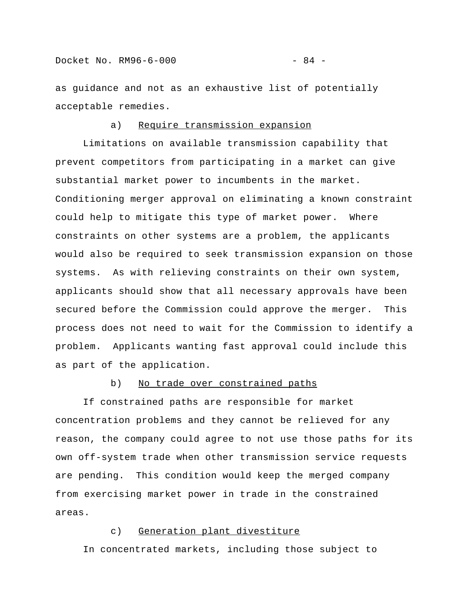as guidance and not as an exhaustive list of potentially acceptable remedies.

# a) Require transmission expansion

Limitations on available transmission capability that prevent competitors from participating in a market can give substantial market power to incumbents in the market. Conditioning merger approval on eliminating a known constraint could help to mitigate this type of market power. Where constraints on other systems are a problem, the applicants would also be required to seek transmission expansion on those systems. As with relieving constraints on their own system, applicants should show that all necessary approvals have been secured before the Commission could approve the merger. This process does not need to wait for the Commission to identify a problem. Applicants wanting fast approval could include this as part of the application.

#### b) No trade over constrained paths

If constrained paths are responsible for market concentration problems and they cannot be relieved for any reason, the company could agree to not use those paths for its own off-system trade when other transmission service requests are pending. This condition would keep the merged company from exercising market power in trade in the constrained areas.

# c) Generation plant divestiture

In concentrated markets, including those subject to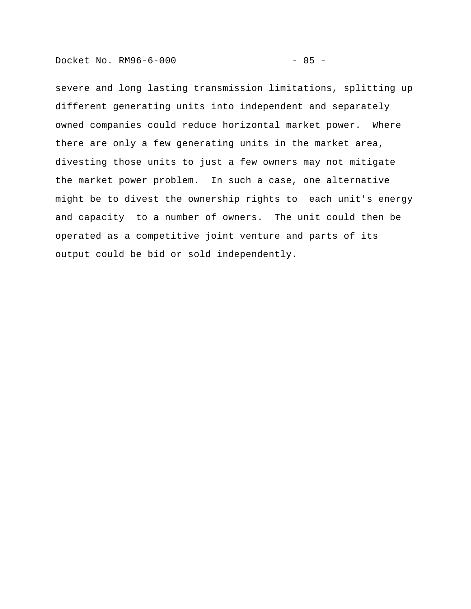Docket No. RM96-6-000 - 85 -

severe and long lasting transmission limitations, splitting up different generating units into independent and separately owned companies could reduce horizontal market power. Where there are only a few generating units in the market area, divesting those units to just a few owners may not mitigate the market power problem. In such a case, one alternative might be to divest the ownership rights to each unit's energy and capacity to a number of owners. The unit could then be operated as a competitive joint venture and parts of its output could be bid or sold independently.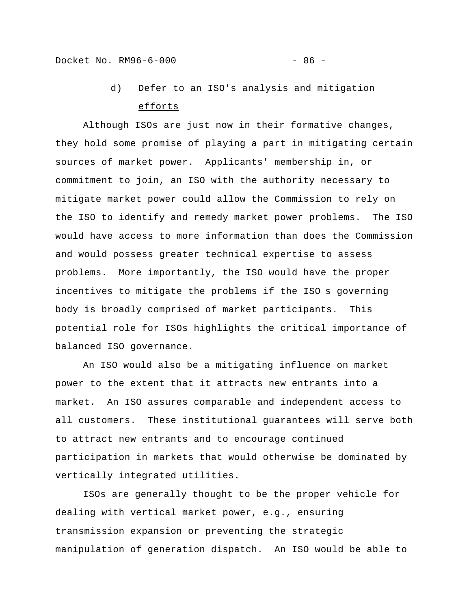# d) Defer to an ISO's analysis and mitigation efforts

Although ISOs are just now in their formative changes, they hold some promise of playing a part in mitigating certain sources of market power. Applicants' membership in, or commitment to join, an ISO with the authority necessary to mitigate market power could allow the Commission to rely on the ISO to identify and remedy market power problems. The ISO would have access to more information than does the Commission and would possess greater technical expertise to assess problems. More importantly, the ISO would have the proper incentives to mitigate the problems if the ISO s governing body is broadly comprised of market participants. This potential role for ISOs highlights the critical importance of balanced ISO governance.

An ISO would also be a mitigating influence on market power to the extent that it attracts new entrants into a market. An ISO assures comparable and independent access to all customers. These institutional guarantees will serve both to attract new entrants and to encourage continued participation in markets that would otherwise be dominated by vertically integrated utilities.

ISOs are generally thought to be the proper vehicle for dealing with vertical market power, e.g., ensuring transmission expansion or preventing the strategic manipulation of generation dispatch. An ISO would be able to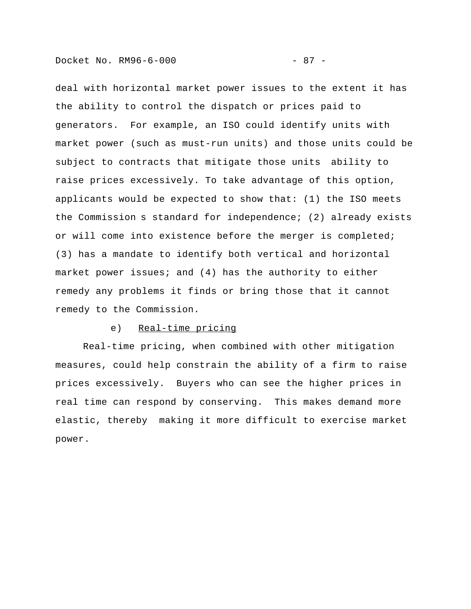deal with horizontal market power issues to the extent it has the ability to control the dispatch or prices paid to generators. For example, an ISO could identify units with market power (such as must-run units) and those units could be subject to contracts that mitigate those units ability to raise prices excessively. To take advantage of this option, applicants would be expected to show that: (1) the ISO meets the Commission s standard for independence; (2) already exists or will come into existence before the merger is completed; (3) has a mandate to identify both vertical and horizontal market power issues; and (4) has the authority to either remedy any problems it finds or bring those that it cannot remedy to the Commission.

# e) Real-time pricing

Real-time pricing, when combined with other mitigation measures, could help constrain the ability of a firm to raise prices excessively. Buyers who can see the higher prices in real time can respond by conserving. This makes demand more elastic, thereby making it more difficult to exercise market power.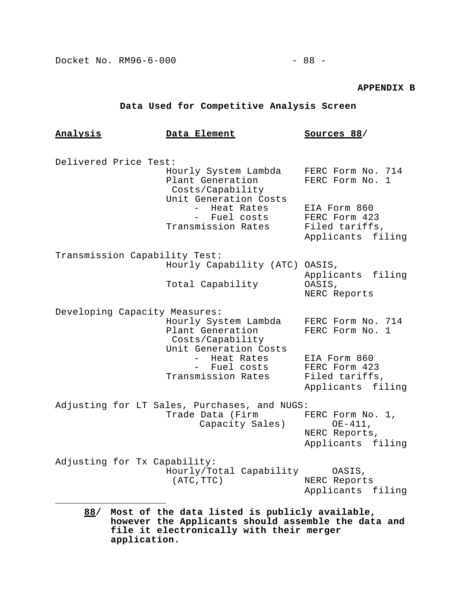### **APPENDIX B**

# **Data Used for Competitive Analysis Screen**

| <u>Analysis</u>                                                                                                                                          | Data Element                                                                          | Sources 88/                                                          |
|----------------------------------------------------------------------------------------------------------------------------------------------------------|---------------------------------------------------------------------------------------|----------------------------------------------------------------------|
|                                                                                                                                                          |                                                                                       |                                                                      |
| Delivered Price Test:                                                                                                                                    |                                                                                       |                                                                      |
|                                                                                                                                                          | Hourly System Lambda<br>Plant Generation<br>Costs/Capability<br>Unit Generation Costs | FERC Form No. 714<br>FERC Form No. 1                                 |
|                                                                                                                                                          | Heat Rates<br>- Fuel costs                                                            | EIA Form 860<br>FERC Form 423                                        |
|                                                                                                                                                          | Transmission Rates                                                                    | Filed tariffs,<br>Applicants filing                                  |
| Transmission Capability Test:                                                                                                                            |                                                                                       |                                                                      |
|                                                                                                                                                          | Hourly Capability (ATC) OASIS,                                                        | Applicants filing                                                    |
|                                                                                                                                                          | Total Capability                                                                      | OASIS,<br>NERC Reports                                               |
| Developing Capacity Measures:                                                                                                                            |                                                                                       |                                                                      |
|                                                                                                                                                          | Hourly System Lambda<br>Plant Generation<br>Costs/Capability                          | FERC Form No. 714<br>FERC Form No.<br>1                              |
|                                                                                                                                                          | Unit Generation Costs<br>- Heat Rates<br>- Fuel costs<br>Transmission Rates           | EIA Form 860<br>FERC Form 423<br>Filed tariffs,<br>Applicants filing |
| Adjusting for LT Sales, Purchases, and NUGS:                                                                                                             |                                                                                       |                                                                      |
|                                                                                                                                                          | Trade Data (Firm                                                                      | FERC Form No. 1,                                                     |
|                                                                                                                                                          | Capacity Sales)                                                                       | $OE-411,$<br>NERC Reports,<br>Applicants filing                      |
| Adjusting for Tx Capability:                                                                                                                             |                                                                                       |                                                                      |
|                                                                                                                                                          | Hourly/Total Capability<br>(ATC, TTC)                                                 | OASIS,<br>NERC Reports                                               |
|                                                                                                                                                          |                                                                                       | Applicants filing                                                    |
| Most of the data listed is publicly available,<br>88/<br>however the Applicants should assemble the data and<br>file it electronically with their merger |                                                                                       |                                                                      |

**application.**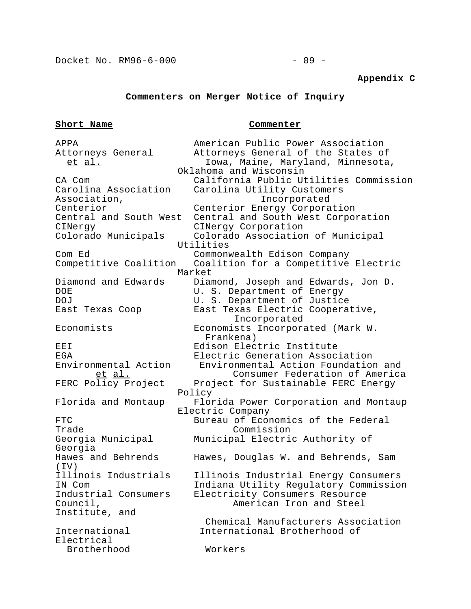#### **Appendix C**

# **Commenters on Merger Notice of Inquiry**

#### **Short Name Commenter**

APPA **American Public Power Association** Attorneys General Attorneys General of the States of et al. **Iowa, Maine, Maryland, Minnesota**, Oklahoma and Wisconsin CA Com California Public Utilities Commission Carolina Association Carolina Utility Customers Association, Incorporated Centerior Centerior Energy Corporation Central and South West Central and South West Corporation CINergy CINergy Corporation Colorado Municipals Colorado Association of Municipal Utilities Com Ed Commonwealth Edison Company Competitive Coalition Coalition for a Competitive Electric Market Diamond and Edwards Diamond, Joseph and Edwards, Jon D.<br>DOE BR BR BR BR BR Department of Energy U. S. Department of Energy DOJ **U. S. Department of Justice** East Texas Coop East Texas Electric Cooperative, Incorporated Economists Economists Incorporated (Mark W. Frankena) EEI Edison Electric Institute EGA Electric Generation Association<br>Environmental Action Environmental Action Foundation Environmental Action Environmental Action Foundation and et al. Consumer Federation of America FERC Policy Project Project for Sustainable FERC Energy Policy Florida and Montaup Florida Power Corporation and Montaup Electric Company FTC Bureau of Economics of the Federal Trade Commission Georgia Municipal Municipal Electric Authority of Georgia Hawes and Behrends Hawes, Douglas W. and Behrends, Sam (IV) Illinois Industrials Illinois Industrial Energy Consumers IN Com Indiana Utility Regulatory Commission Industrial Consumers Electricity Consumers Resource Electricity Consumers Resource Council, American Iron and Steel Institute, and Chemical Manufacturers Association International International Brotherhood of Electrical Brotherhood Workers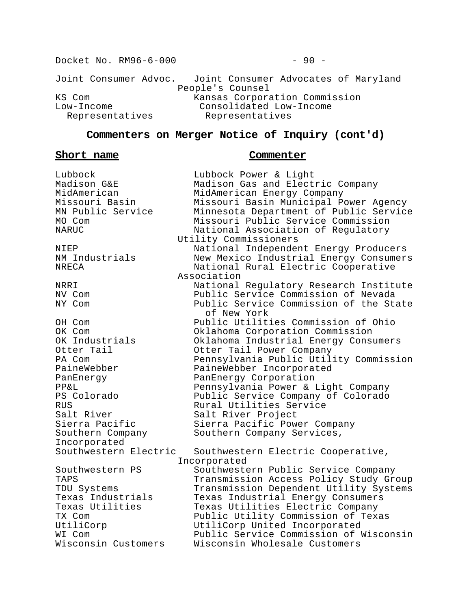Docket No. RM96-6-000 - 90 -Joint Consumer Advoc. Joint Consumer Advocates of Maryland People's Counsel KS Com **Kansas Corporation Commission** Low-Income Consolidated Low-Income Representatives Representatives

# **Commenters on Merger Notice of Inquiry (cont'd)**

### **Short name Commenter**

Lubbock Lubbock Power & Light Salt River North Salt River Project Incorporated

Madison G&E Madison Gas and Electric Company MidAmerican MidAmerican Energy Company Missouri Basin Missouri Basin Municipal Power Agency MN Public Service Minnesota Department of Public Service MO Com Missouri Public Service Commission NARUC National Association of Regulatory Utility Commissioners NIEP National Independent Energy Producers NM Industrials New Mexico Industrial Energy Consumers NRECA National Rural Electric Cooperative Association NRRI National Regulatory Research Institute NV Com Public Service Commission of Nevada Public Service Commission of the State of New York OH Com Public Utilities Commission of Ohio OK Com Oklahoma Corporation Commission<br>OK Industrials Oklahoma Industrial Energy Cons OK Industrials Oklahoma Industrial Energy Consumers Otter Tail Otter Tail Power Company PA Com Pennsylvania Public Utility Commission PaineWebber PaineWebber Incorporated PanEnergy PanEnergy Corporation PP&L Pennsylvania Power & Light Company PS Colorado Public Service Company of Colorado RUS Rural Utilities Service Sierra Pacific Sierra Pacific Power Company Southern Company Southern Company Services, Southwestern Electric Southwestern Electric Cooperative, Incorporated Southwestern PS Southwestern Public Service Company TAPS Transmission Access Policy Study Group TDU Systems Transmission Dependent Utility Systems Texas Industrials Texas Industrial Energy Consumers<br>Texas Utilities Texas Utilities Electric Company Texas Utilities Electric Company TX Com Public Utility Commission of Texas UtiliCorp UtiliCorp United Incorporated WI Com Public Service Commission of Wisconsin Wisconsin Customers Wisconsin Wholesale Customers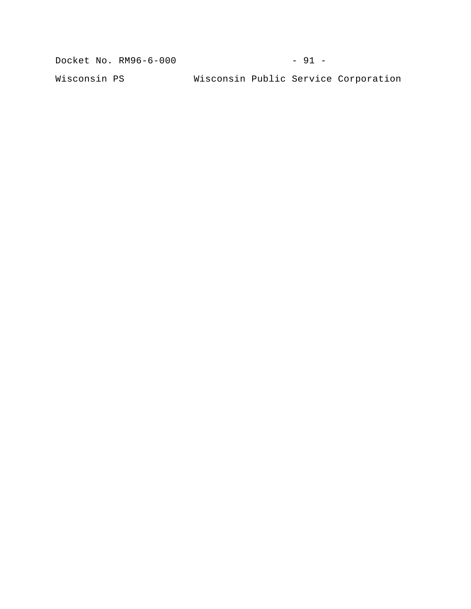Docket No. RM96-6-000 - 91 -

Wisconsin PS Wisconsin Public Service Corporation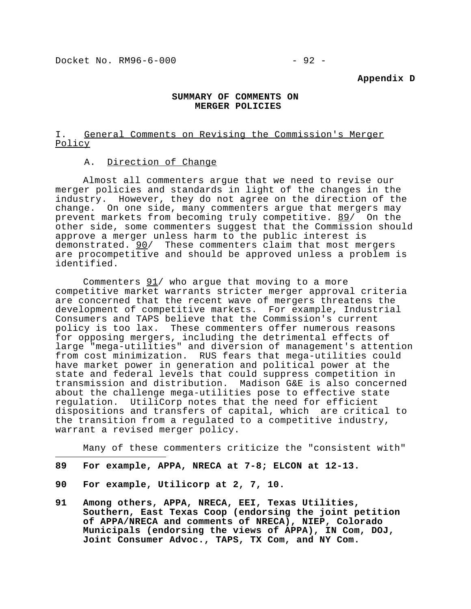#### **Appendix D**

# **SUMMARY OF COMMENTS ON MERGER POLICIES**

# I. General Comments on Revising the Commission's Merger Policy

# A. Direction of Change

Almost all commenters argue that we need to revise our merger policies and standards in light of the changes in the industry. However, they do not agree on the direction of the change. On one side, many commenters argue that mergers may prevent markets from becoming truly competitive. 89/ On the other side, some commenters suggest that the Commission should approve a merger unless harm to the public interest is demonstrated. 90/ These commenters claim that most mergers are procompetitive and should be approved unless a problem is identified.

Commenters  $91/$  who argue that moving to a more competitive market warrants stricter merger approval criteria are concerned that the recent wave of mergers threatens the development of competitive markets. For example, Industrial Consumers and TAPS believe that the Commission's current policy is too lax. These commenters offer numerous reasons for opposing mergers, including the detrimental effects of large "mega-utilities" and diversion of management's attention from cost minimization. RUS fears that mega-utilities could have market power in generation and political power at the state and federal levels that could suppress competition in transmission and distribution. Madison G&E is also concerned about the challenge mega-utilities pose to effective state regulation. UtiliCorp notes that the need for efficient dispositions and transfers of capital, which are critical to the transition from a regulated to a competitive industry, warrant a revised merger policy.

Many of these commenters criticize the "consistent with"

- **89 For example, APPA, NRECA at 7-8; ELCON at 12-13.**
- **90 For example, Utilicorp at 2, 7, 10.**

i<br>I

**91 Among others, APPA, NRECA, EEI, Texas Utilities, Southern, East Texas Coop (endorsing the joint petition of APPA/NRECA and comments of NRECA), NIEP, Colorado Municipals (endorsing the views of APPA), IN Com, DOJ, Joint Consumer Advoc., TAPS, TX Com, and NY Com.**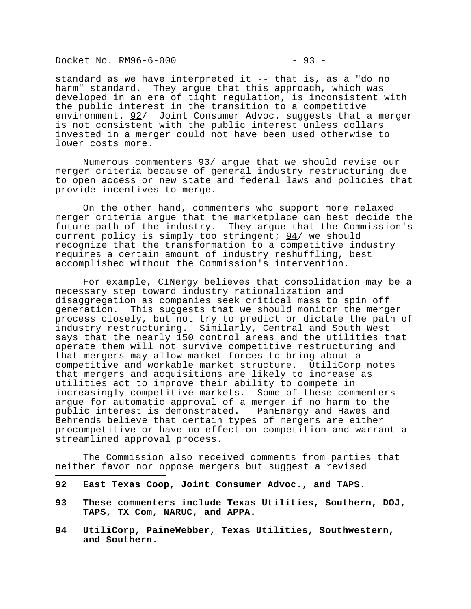Docket No. RM96-6-000 - 93 -

i<br>I

standard as we have interpreted it -- that is, as a "do no harm" standard. They argue that this approach, which was developed in an era of tight regulation, is inconsistent with the public interest in the transition to a competitive environment. 92/ Joint Consumer Advoc. suggests that a merger is not consistent with the public interest unless dollars invested in a merger could not have been used otherwise to lower costs more.

Numerous commenters 93/ argue that we should revise our merger criteria because of general industry restructuring due to open access or new state and federal laws and policies that provide incentives to merge.

On the other hand, commenters who support more relaxed merger criteria argue that the marketplace can best decide the future path of the industry. They argue that the Commission's current policy is simply too stringent;  $94/$  we should recognize that the transformation to a competitive industry requires a certain amount of industry reshuffling, best accomplished without the Commission's intervention.

For example, CINergy believes that consolidation may be a necessary step toward industry rationalization and disaggregation as companies seek critical mass to spin off generation. This suggests that we should monitor the merger process closely, but not try to predict or dictate the path of industry restructuring. Similarly, Central and South West says that the nearly 150 control areas and the utilities that operate them will not survive competitive restructuring and that mergers may allow market forces to bring about a competitive and workable market structure. UtiliCorp notes that mergers and acquisitions are likely to increase as utilities act to improve their ability to compete in increasingly competitive markets. Some of these commenters argue for automatic approval of a merger if no harm to the public interest is demonstrated. PanEnergy and Hawes and Behrends believe that certain types of mergers are either procompetitive or have no effect on competition and warrant a streamlined approval process.

The Commission also received comments from parties that neither favor nor oppose mergers but suggest a revised

- **92 East Texas Coop, Joint Consumer Advoc., and TAPS.**
- **93 These commenters include Texas Utilities, Southern, DOJ, TAPS, TX Com, NARUC, and APPA.**
- **94 UtiliCorp, PaineWebber, Texas Utilities, Southwestern, and Southern.**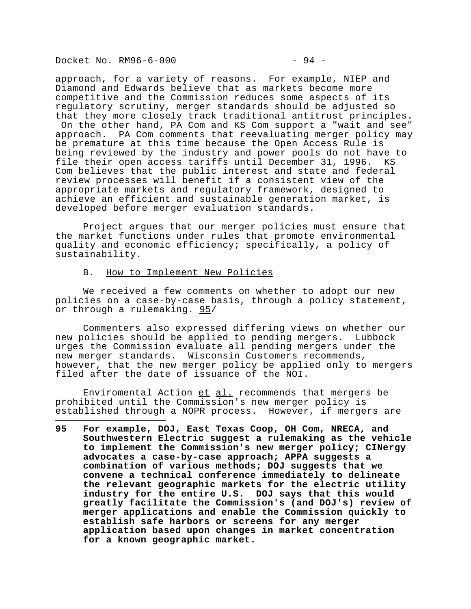Docket No. RM96-6-000 - 94 -

approach, for a variety of reasons. For example, NIEP and Diamond and Edwards believe that as markets become more competitive and the Commission reduces some aspects of its regulatory scrutiny, merger standards should be adjusted so that they more closely track traditional antitrust principles. On the other hand, PA Com and KS Com support a "wait and see" approach. PA Com comments that reevaluating merger policy may be premature at this time because the Open Access Rule is being reviewed by the industry and power pools do not have to file their open access tariffs until December 31, 1996. KS Com believes that the public interest and state and federal review processes will benefit if a consistent view of the appropriate markets and regulatory framework, designed to achieve an efficient and sustainable generation market, is developed before merger evaluation standards.

Project argues that our merger policies must ensure that the market functions under rules that promote environmental quality and economic efficiency; specifically, a policy of sustainability.

#### B. How to Implement New Policies

We received a few comments on whether to adopt our new policies on a case-by-case basis, through a policy statement, or through a rulemaking. 95/

Commenters also expressed differing views on whether our new policies should be applied to pending mergers. Lubbock urges the Commission evaluate all pending mergers under the new merger standards. Wisconsin Customers recommends, however, that the new merger policy be applied only to mergers filed after the date of issuance of the NOI.

Enviromental Action et al. recommends that mergers be prohibited until the Commission's new merger policy is established through a NOPR process. However, if mergers are

i<br>I **95 For example, DOJ, East Texas Coop, OH Com, NRECA, and Southwestern Electric suggest a rulemaking as the vehicle to implement the Commission's new merger policy; CINergy advocates a case-by-case approach; APPA suggests a combination of various methods; DOJ suggests that we convene a technical conference immediately to delineate the relevant geographic markets for the electric utility industry for the entire U.S. DOJ says that this would greatly facilitate the Commission's (and DOJ's) review of merger applications and enable the Commission quickly to establish safe harbors or screens for any merger application based upon changes in market concentration for a known geographic market.**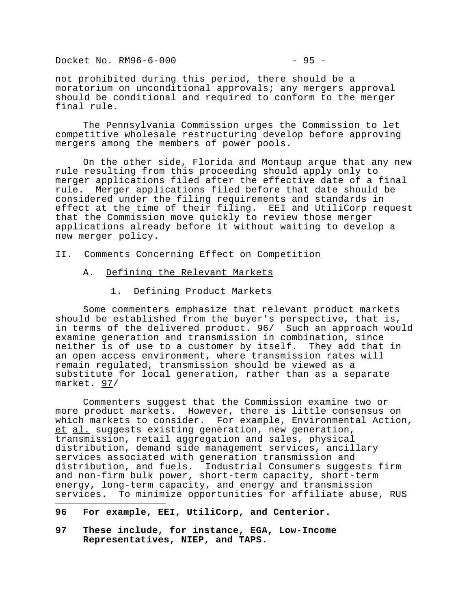Docket No. RM96-6-000 - 95 -

not prohibited during this period, there should be a moratorium on unconditional approvals; any mergers approval should be conditional and required to conform to the merger final rule.

The Pennsylvania Commission urges the Commission to let competitive wholesale restructuring develop before approving mergers among the members of power pools.

On the other side, Florida and Montaup argue that any new rule resulting from this proceeding should apply only to merger applications filed after the effective date of a final rule. Merger applications filed before that date should be considered under the filing requirements and standards in effect at the time of their filing. EEI and UtiliCorp request that the Commission move quickly to review those merger applications already before it without waiting to develop a new merger policy.

#### II. Comments Concerning Effect on Competition

- A. Defining the Relevant Markets
	- 1. Defining Product Markets

Some commenters emphasize that relevant product markets should be established from the buyer's perspective, that is, in terms of the delivered product. 96/ Such an approach would examine generation and transmission in combination, since neither is of use to a customer by itself. They add that in an open access environment, where transmission rates will remain regulated, transmission should be viewed as a substitute for local generation, rather than as a separate market. 97/

Commenters suggest that the Commission examine two or more product markets. However, there is little consensus on which markets to consider. For example, Environmental Action, et al. suggests existing generation, new generation, transmission, retail aggregation and sales, physical distribution, demand side management services, ancillary services associated with generation transmission and distribution, and fuels. Industrial Consumers suggests firm and non-firm bulk power, short-term capacity, short-term energy, long-term capacity, and energy and transmission services. To minimize opportunities for affiliate abuse, RUS

**96 For example, EEI, UtiliCorp, and Centerior.**

i<br>I

**97 These include, for instance, EGA, Low-Income Representatives, NIEP, and TAPS.**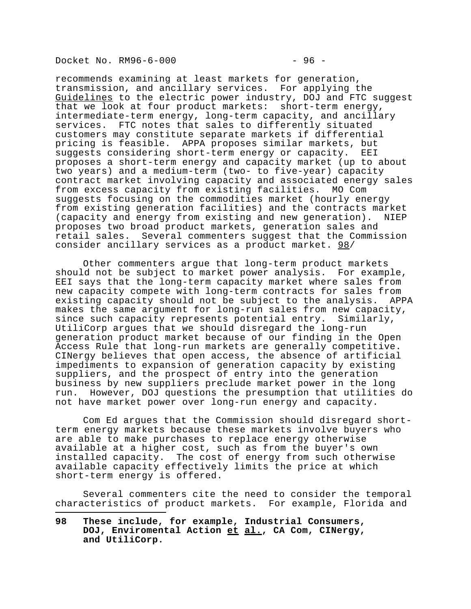Docket No. RM96-6-000 - 96 -

i<br>I

recommends examining at least markets for generation, transmission, and ancillary services. For applying the Guidelines to the electric power industry, DOJ and FTC suggest that we look at four product markets: short-term energy, intermediate-term energy, long-term capacity, and ancillary services. FTC notes that sales to differently situated customers may constitute separate markets if differential pricing is feasible. APPA proposes similar markets, but suggests considering short-term energy or capacity. EEI proposes a short-term energy and capacity market (up to about two years) and a medium-term (two- to five-year) capacity contract market involving capacity and associated energy sales from excess capacity from existing facilities. MO Com suggests focusing on the commodities market (hourly energy from existing generation facilities) and the contracts market (capacity and energy from existing and new generation). NIEP proposes two broad product markets, generation sales and retail sales. Several commenters suggest that the Commission consider ancillary services as a product market. 98/

Other commenters argue that long-term product markets should not be subject to market power analysis. For example, EEI says that the long-term capacity market where sales from new capacity compete with long-term contracts for sales from existing capacity should not be subject to the analysis. APPA makes the same argument for long-run sales from new capacity, since such capacity represents potential entry. Similarly, UtiliCorp argues that we should disregard the long-run generation product market because of our finding in the Open Access Rule that long-run markets are generally competitive. CINergy believes that open access, the absence of artificial impediments to expansion of generation capacity by existing suppliers, and the prospect of entry into the generation business by new suppliers preclude market power in the long run. However, DOJ questions the presumption that utilities do not have market power over long-run energy and capacity.

Com Ed argues that the Commission should disregard shortterm energy markets because these markets involve buyers who are able to make purchases to replace energy otherwise available at a higher cost, such as from the buyer's own installed capacity. The cost of energy from such otherwise available capacity effectively limits the price at which short-term energy is offered.

Several commenters cite the need to consider the temporal characteristics of product markets. For example, Florida and

**<sup>98</sup> These include, for example, Industrial Consumers, DOJ, Enviromental Action et al., CA Com, CINergy, and UtiliCorp.**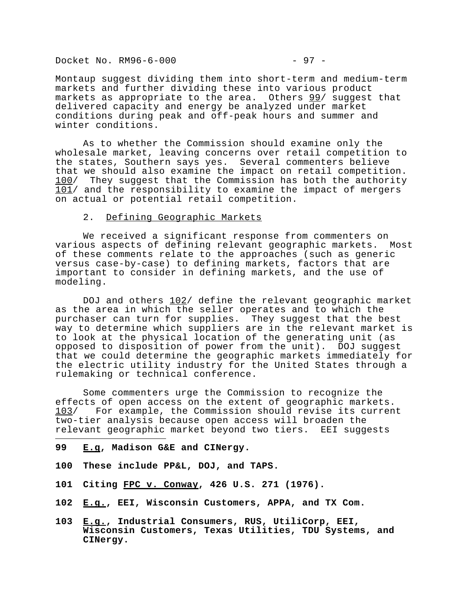Docket No. RM96-6-000 - 97 -

Montaup suggest dividing them into short-term and medium-term markets and further dividing these into various product markets as appropriate to the area. Others 99/ suggest that delivered capacity and energy be analyzed under market conditions during peak and off-peak hours and summer and winter conditions.

As to whether the Commission should examine only the wholesale market, leaving concerns over retail competition to the states, Southern says yes. Several commenters believe that we should also examine the impact on retail competition. 100/ They suggest that the Commission has both the authority 101/ and the responsibility to examine the impact of mergers on actual or potential retail competition.

### 2. Defining Geographic Markets

We received a significant response from commenters on various aspects of defining relevant geographic markets. Most of these comments relate to the approaches (such as generic versus case-by-case) to defining markets, factors that are important to consider in defining markets, and the use of modeling.

DOJ and others  $102/$  define the relevant geographic market as the area in which the seller operates and to which the purchaser can turn for supplies. They suggest that the best way to determine which suppliers are in the relevant market is to look at the physical location of the generating unit (as opposed to disposition of power from the unit). DOJ suggest that we could determine the geographic markets immediately for the electric utility industry for the United States through a rulemaking or technical conference.

Some commenters urge the Commission to recognize the effects of open access on the extent of geographic markets. 103/ For example, the Commission should revise its current two-tier analysis because open access will broaden the relevant geographic market beyond two tiers. EEI suggests

**99 E.g, Madison G&E and CINergy.**

i<br>I

- **100 These include PP&L, DOJ, and TAPS.**
- **101 Citing FPC v. Conway, 426 U.S. 271 (1976).**
- **102 E.g., EEI, Wisconsin Customers, APPA, and TX Com.**
- **103 E.g., Industrial Consumers, RUS, UtiliCorp, EEI, Wisconsin Customers, Texas Utilities, TDU Systems, and CINergy.**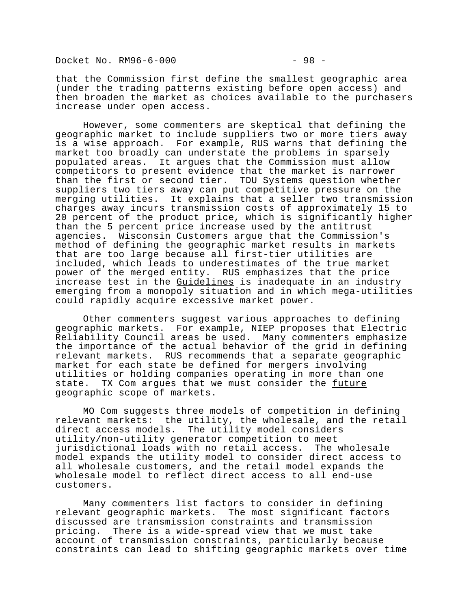Docket No. RM96-6-000 - 98 -

that the Commission first define the smallest geographic area (under the trading patterns existing before open access) and then broaden the market as choices available to the purchasers increase under open access.

However, some commenters are skeptical that defining the geographic market to include suppliers two or more tiers away is a wise approach. For example, RUS warns that defining the market too broadly can understate the problems in sparsely populated areas. It argues that the Commission must allow competitors to present evidence that the market is narrower than the first or second tier. TDU Systems question whether suppliers two tiers away can put competitive pressure on the merging utilities. It explains that a seller two transmission charges away incurs transmission costs of approximately 15 to 20 percent of the product price, which is significantly higher than the 5 percent price increase used by the antitrust agencies. Wisconsin Customers argue that the Commission's method of defining the geographic market results in markets that are too large because all first-tier utilities are included, which leads to underestimates of the true market power of the merged entity. RUS emphasizes that the price increase test in the Guidelines is inadequate in an industry emerging from a monopoly situation and in which mega-utilities could rapidly acquire excessive market power.

Other commenters suggest various approaches to defining geographic markets. For example, NIEP proposes that Electric Reliability Council areas be used. Many commenters emphasize the importance of the actual behavior of the grid in defining relevant markets. RUS recommends that a separate geographic market for each state be defined for mergers involving utilities or holding companies operating in more than one state. TX Com argues that we must consider the future geographic scope of markets.

MO Com suggests three models of competition in defining relevant markets: the utility, the wholesale, and the retail direct access models. The utility model considers utility/non-utility generator competition to meet jurisdictional loads with no retail access. The wholesale model expands the utility model to consider direct access to all wholesale customers, and the retail model expands the wholesale model to reflect direct access to all end-use customers.

Many commenters list factors to consider in defining relevant geographic markets. The most significant factors discussed are transmission constraints and transmission pricing. There is a wide-spread view that we must take account of transmission constraints, particularly because constraints can lead to shifting geographic markets over time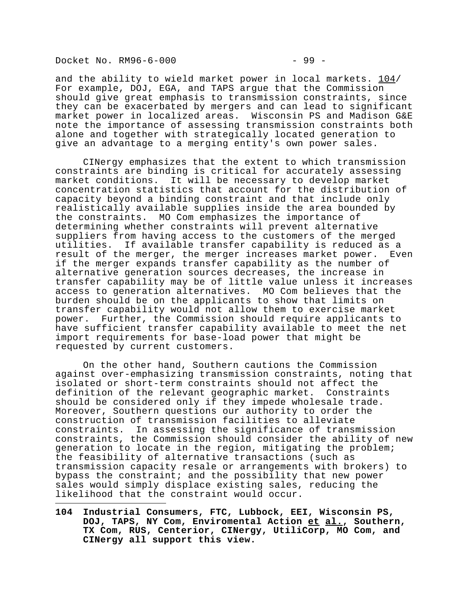Docket No. RM96-6-000 - 99 -

i<br>I

and the ability to wield market power in local markets. 104/ For example, DOJ, EGA, and TAPS argue that the Commission should give great emphasis to transmission constraints, since they can be exacerbated by mergers and can lead to significant market power in localized areas. Wisconsin PS and Madison G&E note the importance of assessing transmission constraints both alone and together with strategically located generation to give an advantage to a merging entity's own power sales.

CINergy emphasizes that the extent to which transmission constraints are binding is critical for accurately assessing market conditions. It will be necessary to develop market concentration statistics that account for the distribution of capacity beyond a binding constraint and that include only realistically available supplies inside the area bounded by the constraints. MO Com emphasizes the importance of determining whether constraints will prevent alternative suppliers from having access to the customers of the merged utilities. If available transfer capability is reduced as a result of the merger, the merger increases market power. Even if the merger expands transfer capability as the number of alternative generation sources decreases, the increase in transfer capability may be of little value unless it increases access to generation alternatives. MO Com believes that the burden should be on the applicants to show that limits on transfer capability would not allow them to exercise market power. Further, the Commission should require applicants to have sufficient transfer capability available to meet the net import requirements for base-load power that might be requested by current customers.

On the other hand, Southern cautions the Commission against over-emphasizing transmission constraints, noting that isolated or short-term constraints should not affect the definition of the relevant geographic market. Constraints should be considered only if they impede wholesale trade. Moreover, Southern questions our authority to order the construction of transmission facilities to alleviate constraints. In assessing the significance of transmission constraints, the Commission should consider the ability of new generation to locate in the region, mitigating the problem; the feasibility of alternative transactions (such as transmission capacity resale or arrangements with brokers) to bypass the constraint; and the possibility that new power sales would simply displace existing sales, reducing the likelihood that the constraint would occur.

**104 Industrial Consumers, FTC, Lubbock, EEI, Wisconsin PS, DOJ, TAPS, NY Com, Enviromental Action et al., Southern, TX Com, RUS, Centerior, CINergy, UtiliCorp, MO Com, and CINergy all support this view.**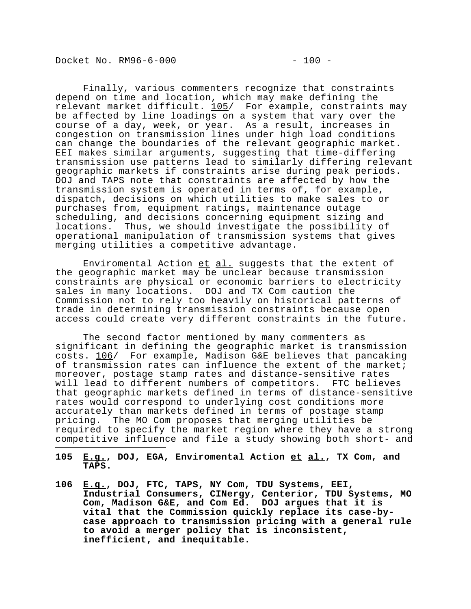Docket No. RM96-6-000 - 200 -

depend on time and location, which may make defining the relevant market difficult. 105/ For example, constraints may be affected by line loadings on a system that vary over the course of a day, week, or year. As a result, increases in congestion on transmission lines under high load conditions can change the boundaries of the relevant geographic market. EEI makes similar arguments, suggesting that time-differing transmission use patterns lead to similarly differing relevant geographic markets if constraints arise during peak periods. DOJ and TAPS note that constraints are affected by how the transmission system is operated in terms of, for example, dispatch, decisions on which utilities to make sales to or purchases from, equipment ratings, maintenance outage scheduling, and decisions concerning equipment sizing and locations. Thus, we should investigate the possibility of operational manipulation of transmission systems that gives merging utilities a competitive advantage.

Enviromental Action et al. suggests that the extent of the geographic market may be unclear because transmission constraints are physical or economic barriers to electricity sales in many locations. DOJ and TX Com caution the Commission not to rely too heavily on historical patterns of trade in determining transmission constraints because open access could create very different constraints in the future.

The second factor mentioned by many commenters as significant in defining the geographic market is transmission costs. 106/ For example, Madison G&E believes that pancaking of transmission rates can influence the extent of the market; moreover, postage stamp rates and distance-sensitive rates will lead to different numbers of competitors. FTC believes that geographic markets defined in terms of distance-sensitive rates would correspond to underlying cost conditions more accurately than markets defined in terms of postage stamp pricing. The MO Com proposes that merging utilities be required to specify the market region where they have a strong competitive influence and file a study showing both short- and

- i<br>I **105 E.g., DOJ, EGA, Enviromental Action et al., TX Com, and TAPS.**
- **106 E.g., DOJ, FTC, TAPS, NY Com, TDU Systems, EEI, Industrial Consumers, CINergy, Centerior, TDU Systems, MO Com, Madison G&E, and Com Ed. DOJ argues that it is vital that the Commission quickly replace its case-bycase approach to transmission pricing with a general rule to avoid a merger policy that is inconsistent, inefficient, and inequitable.**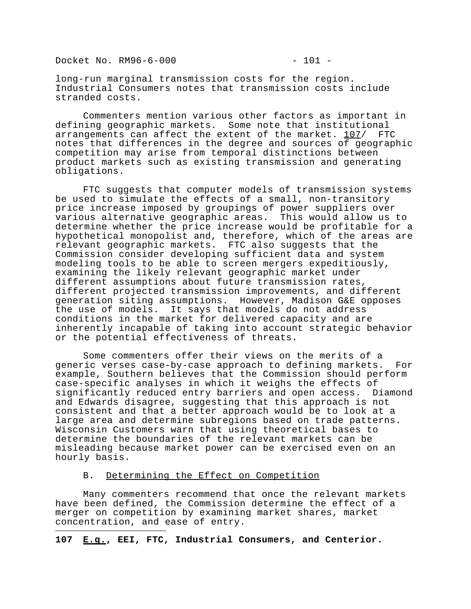Docket No. RM96-6-000 - 201 -

i<br>I

long-run marginal transmission costs for the region. Industrial Consumers notes that transmission costs include stranded costs.

Commenters mention various other factors as important in defining geographic markets. Some note that institutional arrangements can affect the extent of the market. 107/ FTC notes that differences in the degree and sources of geographic competition may arise from temporal distinctions between product markets such as existing transmission and generating obligations.

FTC suggests that computer models of transmission systems be used to simulate the effects of a small, non-transitory price increase imposed by groupings of power suppliers over various alternative geographic areas. This would allow us to determine whether the price increase would be profitable for a hypothetical monopolist and, therefore, which of the areas are relevant geographic markets. FTC also suggests that the Commission consider developing sufficient data and system modeling tools to be able to screen mergers expeditiously, examining the likely relevant geographic market under different assumptions about future transmission rates, different projected transmission improvements, and different generation siting assumptions. However, Madison G&E opposes the use of models. It says that models do not address conditions in the market for delivered capacity and are inherently incapable of taking into account strategic behavior or the potential effectiveness of threats.

Some commenters offer their views on the merits of a generic verses case-by-case approach to defining markets. For example, Southern believes that the Commission should perform case-specific analyses in which it weighs the effects of significantly reduced entry barriers and open access. Diamond and Edwards disagree, suggesting that this approach is not consistent and that a better approach would be to look at a large area and determine subregions based on trade patterns. Wisconsin Customers warn that using theoretical bases to determine the boundaries of the relevant markets can be misleading because market power can be exercised even on an hourly basis.

#### B. Determining the Effect on Competition

Many commenters recommend that once the relevant markets have been defined, the Commission determine the effect of a merger on competition by examining market shares, market concentration, and ease of entry.

#### **107 E.g., EEI, FTC, Industrial Consumers, and Centerior.**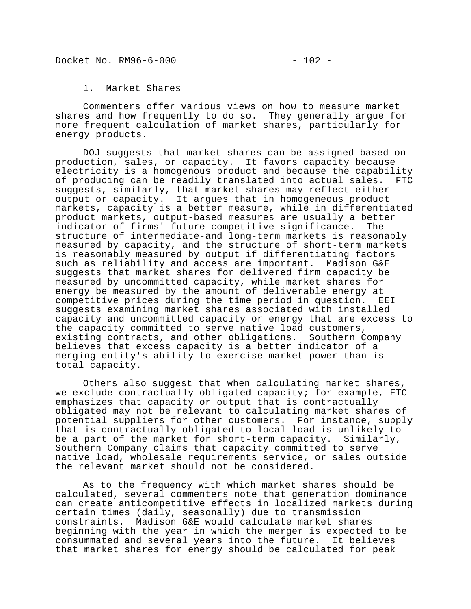#### 1. Market Shares

Commenters offer various views on how to measure market shares and how frequently to do so. They generally argue for more frequent calculation of market shares, particularly for energy products.

DOJ suggests that market shares can be assigned based on production, sales, or capacity. It favors capacity because electricity is a homogenous product and because the capability of producing can be readily translated into actual sales. FTC suggests, similarly, that market shares may reflect either output or capacity. It argues that in homogeneous product markets, capacity is a better measure, while in differentiated product markets, output-based measures are usually a better indicator of firms' future competitive significance. The structure of intermediate-and long-term markets is reasonably measured by capacity, and the structure of short-term markets is reasonably measured by output if differentiating factors such as reliability and access are important. Madison G&E suggests that market shares for delivered firm capacity be measured by uncommitted capacity, while market shares for energy be measured by the amount of deliverable energy at competitive prices during the time period in question. EEI suggests examining market shares associated with installed capacity and uncommitted capacity or energy that are excess to the capacity committed to serve native load customers, existing contracts, and other obligations. Southern Company believes that excess capacity is a better indicator of a merging entity's ability to exercise market power than is total capacity.

Others also suggest that when calculating market shares, we exclude contractually-obligated capacity; for example, FTC emphasizes that capacity or output that is contractually obligated may not be relevant to calculating market shares of potential suppliers for other customers. For instance, supply that is contractually obligated to local load is unlikely to be a part of the market for short-term capacity. Similarly, Southern Company claims that capacity committed to serve native load, wholesale requirements service, or sales outside the relevant market should not be considered.

As to the frequency with which market shares should be calculated, several commenters note that generation dominance can create anticompetitive effects in localized markets during certain times (daily, seasonally) due to transmission constraints. Madison G&E would calculate market shares beginning with the year in which the merger is expected to be consummated and several years into the future. It believes that market shares for energy should be calculated for peak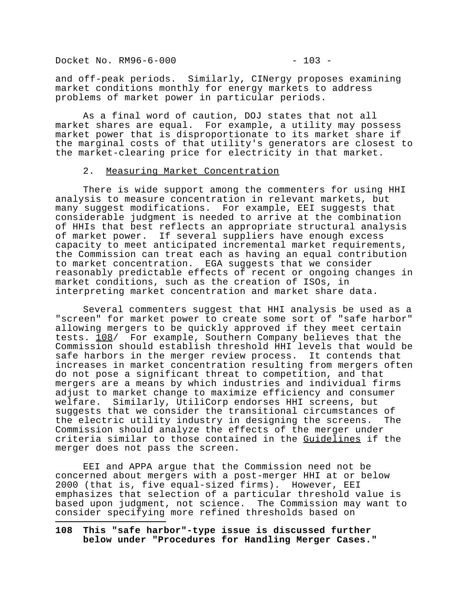Docket No. RM96-6-000 - 203 -

i<br>I

and off-peak periods. Similarly, CINergy proposes examining market conditions monthly for energy markets to address problems of market power in particular periods.

As a final word of caution, DOJ states that not all market shares are equal. For example, a utility may possess market power that is disproportionate to its market share if the marginal costs of that utility's generators are closest to the market-clearing price for electricity in that market.

#### 2. Measuring Market Concentration

There is wide support among the commenters for using HHI analysis to measure concentration in relevant markets, but many suggest modifications. For example, EEI suggests that considerable judgment is needed to arrive at the combination of HHIs that best reflects an appropriate structural analysis of market power. If several suppliers have enough excess capacity to meet anticipated incremental market requirements, the Commission can treat each as having an equal contribution to market concentration. EGA suggests that we consider reasonably predictable effects of recent or ongoing changes in market conditions, such as the creation of ISOs, in interpreting market concentration and market share data.

Several commenters suggest that HHI analysis be used as a "screen" for market power to create some sort of "safe harbor" allowing mergers to be quickly approved if they meet certain tests. 108/ For example, Southern Company believes that the Commission should establish threshold HHI levels that would be safe harbors in the merger review process. It contends that increases in market concentration resulting from mergers often do not pose a significant threat to competition, and that mergers are a means by which industries and individual firms adjust to market change to maximize efficiency and consumer welfare. Similarly, UtiliCorp endorses HHI screens, but suggests that we consider the transitional circumstances of the electric utility industry in designing the screens. The Commission should analyze the effects of the merger under criteria similar to those contained in the Guidelines if the merger does not pass the screen.

EEI and APPA argue that the Commission need not be concerned about mergers with a post-merger HHI at or below 2000 (that is, five equal-sized firms). However, EEI emphasizes that selection of a particular threshold value is based upon judgment, not science. The Commission may want to consider specifying more refined thresholds based on

**108 This "safe harbor"-type issue is discussed further below under "Procedures for Handling Merger Cases."**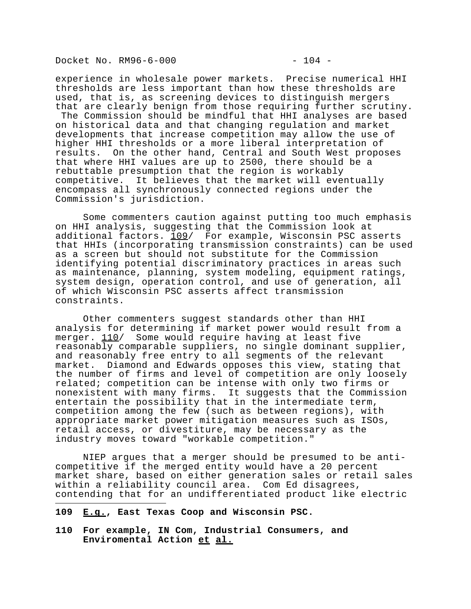Docket No. RM96-6-000 - 204 -

experience in wholesale power markets. Precise numerical HHI thresholds are less important than how these thresholds are used, that is, as screening devices to distinguish mergers that are clearly benign from those requiring further scrutiny. The Commission should be mindful that HHI analyses are based on historical data and that changing regulation and market developments that increase competition may allow the use of higher HHI thresholds or a more liberal interpretation of results. On the other hand, Central and South West proposes that where HHI values are up to 2500, there should be a rebuttable presumption that the region is workably competitive. It believes that the market will eventually encompass all synchronously connected regions under the Commission's jurisdiction.

Some commenters caution against putting too much emphasis on HHI analysis, suggesting that the Commission look at additional factors.  $109/$  For example, Wisconsin PSC asserts that HHIs (incorporating transmission constraints) can be used as a screen but should not substitute for the Commission identifying potential discriminatory practices in areas such as maintenance, planning, system modeling, equipment ratings, system design, operation control, and use of generation, all of which Wisconsin PSC asserts affect transmission constraints.

Other commenters suggest standards other than HHI analysis for determining if market power would result from a merger. 110/ Some would require having at least five reasonably comparable suppliers, no single dominant supplier, and reasonably free entry to all segments of the relevant market. Diamond and Edwards opposes this view, stating that the number of firms and level of competition are only loosely related; competition can be intense with only two firms or nonexistent with many firms. It suggests that the Commission entertain the possibility that in the intermediate term, competition among the few (such as between regions), with appropriate market power mitigation measures such as ISOs, retail access, or divestiture, may be necessary as the industry moves toward "workable competition."

NIEP argues that a merger should be presumed to be anticompetitive if the merged entity would have a 20 percent market share, based on either generation sales or retail sales within a reliability council area. Com Ed disagrees, contending that for an undifferentiated product like electric

**109 E.g., East Texas Coop and Wisconsin PSC.**

i<br>I

**110 For example, IN Com, Industrial Consumers, and Enviromental Action et al.**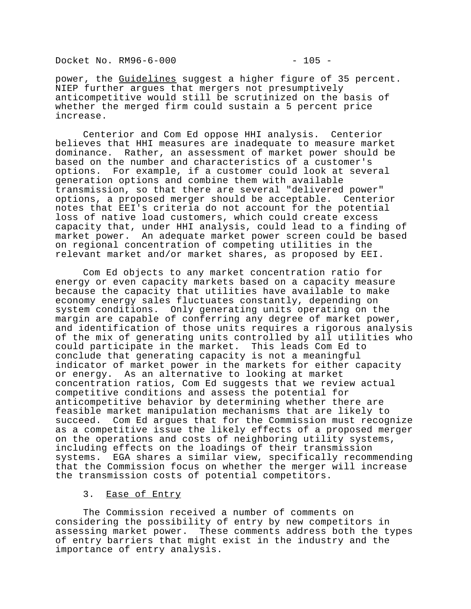Docket No. RM96-6-000 - 205 -

power, the Guidelines suggest a higher figure of 35 percent. NIEP further argues that mergers not presumptively anticompetitive would still be scrutinized on the basis of whether the merged firm could sustain a 5 percent price increase.

 Centerior and Com Ed oppose HHI analysis. Centerior believes that HHI measures are inadequate to measure market dominance. Rather, an assessment of market power should be based on the number and characteristics of a customer's options. For example, if a customer could look at several generation options and combine them with available transmission, so that there are several "delivered power" options, a proposed merger should be acceptable. Centerior notes that EEI's criteria do not account for the potential loss of native load customers, which could create excess capacity that, under HHI analysis, could lead to a finding of market power. An adequate market power screen could be based on regional concentration of competing utilities in the relevant market and/or market shares, as proposed by EEI.

Com Ed objects to any market concentration ratio for energy or even capacity markets based on a capacity measure because the capacity that utilities have available to make economy energy sales fluctuates constantly, depending on system conditions. Only generating units operating on the margin are capable of conferring any degree of market power, and identification of those units requires a rigorous analysis of the mix of generating units controlled by all utilities who could participate in the market. This leads Com Ed to conclude that generating capacity is not a meaningful indicator of market power in the markets for either capacity or energy. As an alternative to looking at market concentration ratios, Com Ed suggests that we review actual competitive conditions and assess the potential for anticompetitive behavior by determining whether there are feasible market manipulation mechanisms that are likely to succeed. Com Ed argues that for the Commission must recognize as a competitive issue the likely effects of a proposed merger on the operations and costs of neighboring utility systems, including effects on the loadings of their transmission systems. EGA shares a similar view, specifically recommending that the Commission focus on whether the merger will increase the transmission costs of potential competitors.

## 3. Ease of Entry

The Commission received a number of comments on considering the possibility of entry by new competitors in assessing market power. These comments address both the types of entry barriers that might exist in the industry and the importance of entry analysis.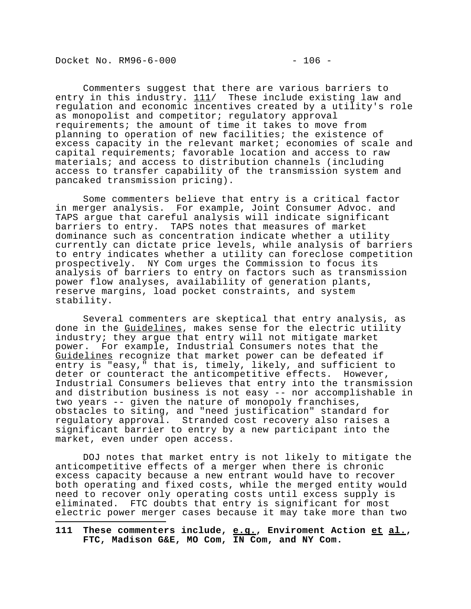Docket No. RM96-6-000 - 206 -

i<br>I

Commenters suggest that there are various barriers to entry in this industry.  $111/$  These include existing law and regulation and economic incentives created by a utility's role as monopolist and competitor; regulatory approval requirements; the amount of time it takes to move from planning to operation of new facilities; the existence of excess capacity in the relevant market; economies of scale and capital requirements; favorable location and access to raw materials; and access to distribution channels (including access to transfer capability of the transmission system and pancaked transmission pricing).

Some commenters believe that entry is a critical factor in merger analysis. For example, Joint Consumer Advoc. and TAPS argue that careful analysis will indicate significant barriers to entry. TAPS notes that measures of market dominance such as concentration indicate whether a utility currently can dictate price levels, while analysis of barriers to entry indicates whether a utility can foreclose competition prospectively. NY Com urges the Commission to focus its analysis of barriers to entry on factors such as transmission power flow analyses, availability of generation plants, reserve margins, load pocket constraints, and system stability.

Several commenters are skeptical that entry analysis, as done in the Guidelines, makes sense for the electric utility industry; they argue that entry will not mitigate market power. For example, Industrial Consumers notes that the Guidelines recognize that market power can be defeated if entry is "easy," that is, timely, likely, and sufficient to deter or counteract the anticompetitive effects. However, Industrial Consumers believes that entry into the transmission and distribution business is not easy -- nor accomplishable in two years -- given the nature of monopoly franchises, obstacles to siting, and "need justification" standard for regulatory approval. Stranded cost recovery also raises a significant barrier to entry by a new participant into the market, even under open access.

DOJ notes that market entry is not likely to mitigate the anticompetitive effects of a merger when there is chronic excess capacity because a new entrant would have to recover both operating and fixed costs, while the merged entity would need to recover only operating costs until excess supply is eliminated. FTC doubts that entry is significant for most electric power merger cases because it may take more than two

**111 These commenters include, e.g., Enviroment Action et al., FTC, Madison G&E, MO Com, IN Com, and NY Com.**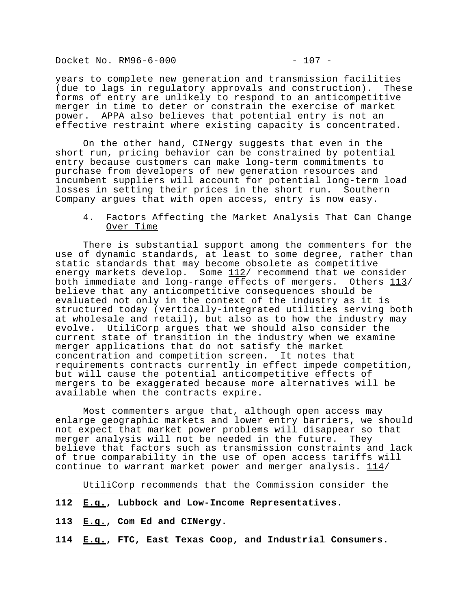Docket No. RM96-6-000 - 207 -

years to complete new generation and transmission facilities (due to lags in regulatory approvals and construction). These forms of entry are unlikely to respond to an anticompetitive merger in time to deter or constrain the exercise of market power. APPA also believes that potential entry is not an effective restraint where existing capacity is concentrated.

On the other hand, CINergy suggests that even in the short run, pricing behavior can be constrained by potential entry because customers can make long-term commitments to purchase from developers of new generation resources and incumbent suppliers will account for potential long-term load losses in setting their prices in the short run. Southern Company argues that with open access, entry is now easy.

## 4. Factors Affecting the Market Analysis That Can Change Over Time

There is substantial support among the commenters for the use of dynamic standards, at least to some degree, rather than static standards that may become obsolete as competitive energy markets develop. Some  $112/$  recommend that we consider both immediate and long-range effects of mergers. Others 113/ believe that any anticompetitive consequences should be evaluated not only in the context of the industry as it is structured today (vertically-integrated utilities serving both at wholesale and retail), but also as to how the industry may evolve. UtiliCorp argues that we should also consider the current state of transition in the industry when we examine merger applications that do not satisfy the market concentration and competition screen. It notes that requirements contracts currently in effect impede competition, but will cause the potential anticompetitive effects of mergers to be exaggerated because more alternatives will be available when the contracts expire.

Most commenters argue that, although open access may enlarge geographic markets and lower entry barriers, we should not expect that market power problems will disappear so that merger analysis will not be needed in the future. They believe that factors such as transmission constraints and lack of true comparability in the use of open access tariffs will continue to warrant market power and merger analysis.  $114/$ 

UtiliCorp recommends that the Commission consider the

- **112 E.g., Lubbock and Low-Income Representatives.**
- **113 E.g., Com Ed and CINergy.**

i<br>I

**114 E.g., FTC, East Texas Coop, and Industrial Consumers.**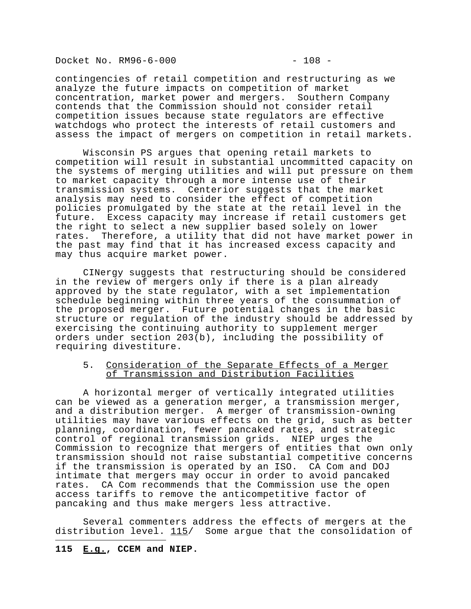Docket No. RM96-6-000 - 208 -

contingencies of retail competition and restructuring as we analyze the future impacts on competition of market concentration, market power and mergers. Southern Company contends that the Commission should not consider retail competition issues because state regulators are effective watchdogs who protect the interests of retail customers and assess the impact of mergers on competition in retail markets.

Wisconsin PS argues that opening retail markets to competition will result in substantial uncommitted capacity on the systems of merging utilities and will put pressure on them to market capacity through a more intense use of their transmission systems. Centerior suggests that the market analysis may need to consider the effect of competition policies promulgated by the state at the retail level in the future. Excess capacity may increase if retail customers get the right to select a new supplier based solely on lower rates. Therefore, a utility that did not have market power in the past may find that it has increased excess capacity and may thus acquire market power.

CINergy suggests that restructuring should be considered in the review of mergers only if there is a plan already approved by the state regulator, with a set implementation schedule beginning within three years of the consummation of the proposed merger. Future potential changes in the basic structure or regulation of the industry should be addressed by exercising the continuing authority to supplement merger orders under section 203(b), including the possibility of requiring divestiture.

## 5. Consideration of the Separate Effects of a Merger of Transmission and Distribution Facilities

A horizontal merger of vertically integrated utilities can be viewed as a generation merger, a transmission merger, and a distribution merger. A merger of transmission-owning utilities may have various effects on the grid, such as better planning, coordination, fewer pancaked rates, and strategic control of regional transmission grids. NIEP urges the Commission to recognize that mergers of entities that own only transmission should not raise substantial competitive concerns if the transmission is operated by an ISO. CA Com and DOJ intimate that mergers may occur in order to avoid pancaked rates. CA Com recommends that the Commission use the open access tariffs to remove the anticompetitive factor of pancaking and thus make mergers less attractive.

Several commenters address the effects of mergers at the distribution level.  $115/$  Some argue that the consolidation of i<br>I

## **115 E.g., CCEM and NIEP.**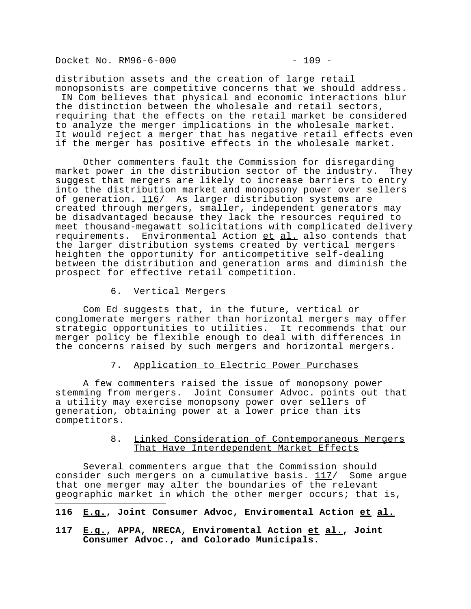Docket No. RM96-6-000 - 209 -

i<br>I

distribution assets and the creation of large retail monopsonists are competitive concerns that we should address. IN Com believes that physical and economic interactions blur the distinction between the wholesale and retail sectors, requiring that the effects on the retail market be considered to analyze the merger implications in the wholesale market. It would reject a merger that has negative retail effects even if the merger has positive effects in the wholesale market.

Other commenters fault the Commission for disregarding market power in the distribution sector of the industry. They suggest that mergers are likely to increase barriers to entry into the distribution market and monopsony power over sellers of generation. 116/ As larger distribution systems are created through mergers, smaller, independent generators may be disadvantaged because they lack the resources required to meet thousand-megawatt solicitations with complicated delivery requirements. Environmental Action et al. also contends that the larger distribution systems created by vertical mergers heighten the opportunity for anticompetitive self-dealing between the distribution and generation arms and diminish the prospect for effective retail competition.

6. Vertical Mergers

Com Ed suggests that, in the future, vertical or conglomerate mergers rather than horizontal mergers may offer strategic opportunities to utilities. It recommends that our merger policy be flexible enough to deal with differences in the concerns raised by such mergers and horizontal mergers.

# 7. Application to Electric Power Purchases

A few commenters raised the issue of monopsony power stemming from mergers. Joint Consumer Advoc. points out that a utility may exercise monopsony power over sellers of generation, obtaining power at a lower price than its competitors.

### 8. Linked Consideration of Contemporaneous Mergers That Have Interdependent Market Effects

Several commenters argue that the Commission should consider such mergers on a cumulative basis.  $117/$  Some argue that one merger may alter the boundaries of the relevant geographic market in which the other merger occurs; that is,

# **116 E.g., Joint Consumer Advoc, Enviromental Action et al.**

**117 E.g., APPA, NRECA, Enviromental Action et al., Joint Consumer Advoc., and Colorado Municipals.**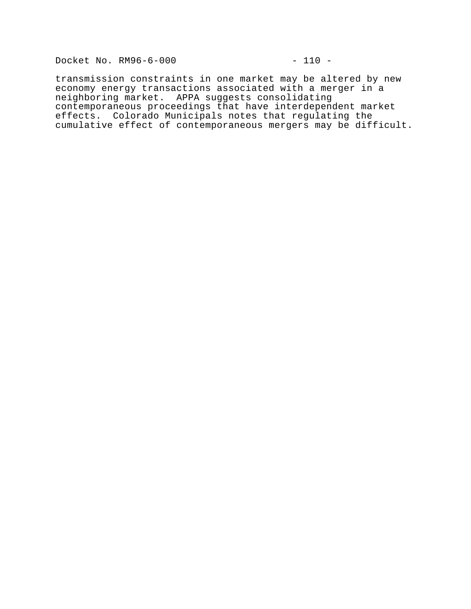Docket No. RM96-6-000 - 110 -

transmission constraints in one market may be altered by new economy energy transactions associated with a merger in a neighboring market. APPA suggests consolidating contemporaneous proceedings that have interdependent market effects. Colorado Municipals notes that regulating the cumulative effect of contemporaneous mergers may be difficult.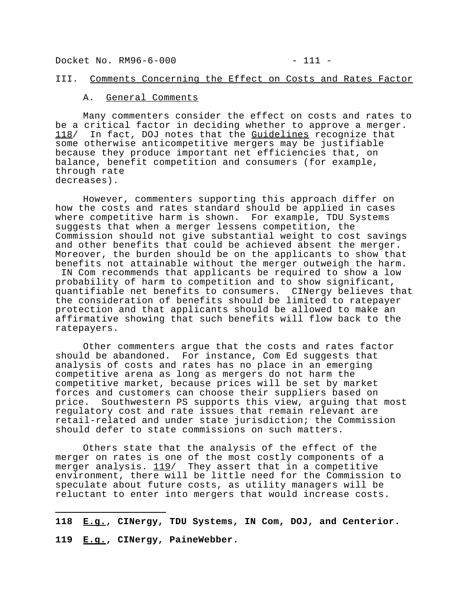Docket No. RM96-6-000 - 211 -

#### III. Comments Concerning the Effect on Costs and Rates Factor

#### A. General Comments

Many commenters consider the effect on costs and rates to be a critical factor in deciding whether to approve a merger. 118/ In fact, DOJ notes that the Guidelines recognize that some otherwise anticompetitive mergers may be justifiable because they produce important net efficiencies that, on balance, benefit competition and consumers (for example, through rate decreases).

 However, commenters supporting this approach differ on how the costs and rates standard should be applied in cases where competitive harm is shown. For example, TDU Systems suggests that when a merger lessens competition, the Commission should not give substantial weight to cost savings and other benefits that could be achieved absent the merger. Moreover, the burden should be on the applicants to show that benefits not attainable without the merger outweigh the harm. IN Com recommends that applicants be required to show a low probability of harm to competition and to show significant, quantifiable net benefits to consumers. CINergy believes that

the consideration of benefits should be limited to ratepayer protection and that applicants should be allowed to make an affirmative showing that such benefits will flow back to the ratepayers.

Other commenters argue that the costs and rates factor should be abandoned. For instance, Com Ed suggests that analysis of costs and rates has no place in an emerging competitive arena as long as mergers do not harm the competitive market, because prices will be set by market forces and customers can choose their suppliers based on price. Southwestern PS supports this view, arguing that most regulatory cost and rate issues that remain relevant are retail-related and under state jurisdiction; the Commission should defer to state commissions on such matters.

Others state that the analysis of the effect of the merger on rates is one of the most costly components of a merger on eases  $\frac{119}{119}$  They assert that in a competitive environment, there will be little need for the Commission to speculate about future costs, as utility managers will be reluctant to enter into mergers that would increase costs.

i<br>I **118 E.g., CINergy, TDU Systems, IN Com, DOJ, and Centerior. 119 E.g., CINergy, PaineWebber.**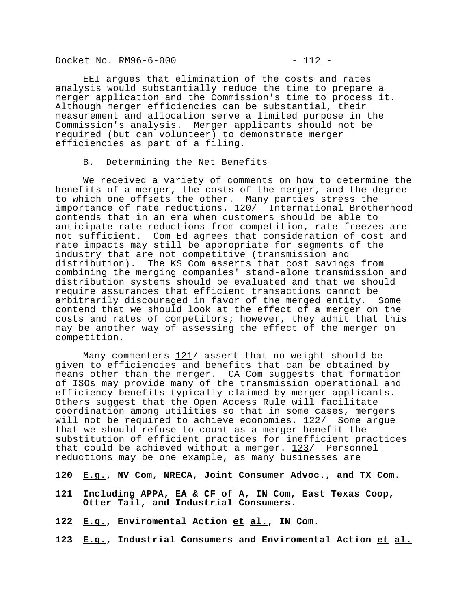Docket No. RM96-6-000 - 212 -

EEI argues that elimination of the costs and rates analysis would substantially reduce the time to prepare a merger application and the Commission's time to process it. Although merger efficiencies can be substantial, their measurement and allocation serve a limited purpose in the Commission's analysis. Merger applicants should not be required (but can volunteer) to demonstrate merger efficiencies as part of a filing.

#### B. Determining the Net Benefits

We received a variety of comments on how to determine the benefits of a merger, the costs of the merger, and the degree to which one offsets the other. Many parties stress the importance of rate reductions. 120/ International Brotherhood contends that in an era when customers should be able to anticipate rate reductions from competition, rate freezes are not sufficient. Com Ed agrees that consideration of cost and rate impacts may still be appropriate for segments of the industry that are not competitive (transmission and distribution). The KS Com asserts that cost savings from combining the merging companies' stand-alone transmission and distribution systems should be evaluated and that we should require assurances that efficient transactions cannot be arbitrarily discouraged in favor of the merged entity. Some contend that we should look at the effect of a merger on the costs and rates of competitors; however, they admit that this may be another way of assessing the effect of the merger on competition.

Many commenters  $121/$  assert that no weight should be given to efficiencies and benefits that can be obtained by means other than the merger. CA Com suggests that formation of ISOs may provide many of the transmission operational and efficiency benefits typically claimed by merger applicants. Others suggest that the Open Access Rule will facilitate coordination among utilities so that in some cases, mergers will not be required to achieve economies. 122/ Some argue that we should refuse to count as a merger benefit the substitution of efficient practices for inefficient practices that could be achieved without a merger.  $123/$  Personnel reductions may be one example, as many businesses are i<br>I

- **120 E.g., NV Com, NRECA, Joint Consumer Advoc., and TX Com.**
- **121 Including APPA, EA & CF of A, IN Com, East Texas Coop, Otter Tail, and Industrial Consumers.**
- **122 E.g., Enviromental Action et al., IN Com.**
- **123 E.g., Industrial Consumers and Enviromental Action et al.**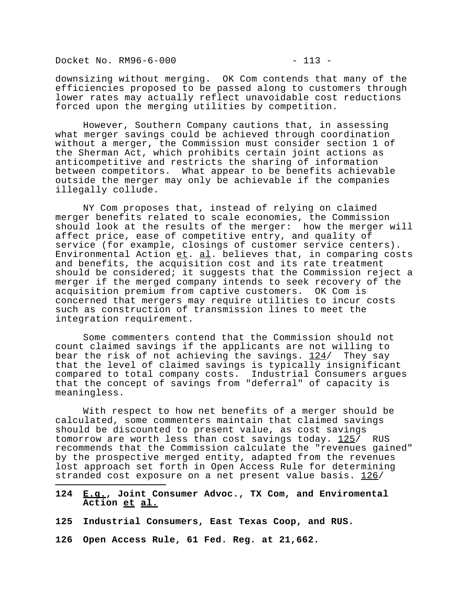Docket No. RM96-6-000 - 213 -

downsizing without merging. OK Com contends that many of the efficiencies proposed to be passed along to customers through lower rates may actually reflect unavoidable cost reductions forced upon the merging utilities by competition.

However, Southern Company cautions that, in assessing what merger savings could be achieved through coordination without a merger, the Commission must consider section 1 of the Sherman Act, which prohibits certain joint actions as anticompetitive and restricts the sharing of information between competitors. What appear to be benefits achievable outside the merger may only be achievable if the companies illegally collude.

NY Com proposes that, instead of relying on claimed merger benefits related to scale economies, the Commission should look at the results of the merger: how the merger will affect price, ease of competitive entry, and quality of service (for example, closings of customer service centers). Environmental Action  $e$ t. al. believes that, in comparing costs and benefits, the acquisition cost and its rate treatment should be considered; it suggests that the Commission reject a merger if the merged company intends to seek recovery of the acquisition premium from captive customers. OK Com is concerned that mergers may require utilities to incur costs such as construction of transmission lines to meet the integration requirement.

Some commenters contend that the Commission should not count claimed savings if the applicants are not willing to bear the risk of not achieving the savings. 124/ They say that the level of claimed savings is typically insignificant compared to total company costs. Industrial Consumers argues that the concept of savings from "deferral" of capacity is meaningless.

With respect to how net benefits of a merger should be calculated, some commenters maintain that claimed savings should be discounted to present value, as cost savings tomorrow are worth less than cost savings today.  $125/$  RUS recommends that the Commission calculate the "revenues gained" by the prospective merged entity, adapted from the revenues lost approach set forth in Open Access Rule for determining stranded cost exposure on a net present value basis. 126/

**124 E.g., Joint Consumer Advoc., TX Com, and Enviromental Action et al.**

**125 Industrial Consumers, East Texas Coop, and RUS.**

**126 Open Access Rule, 61 Fed. Reg. at 21,662.**

i<br>I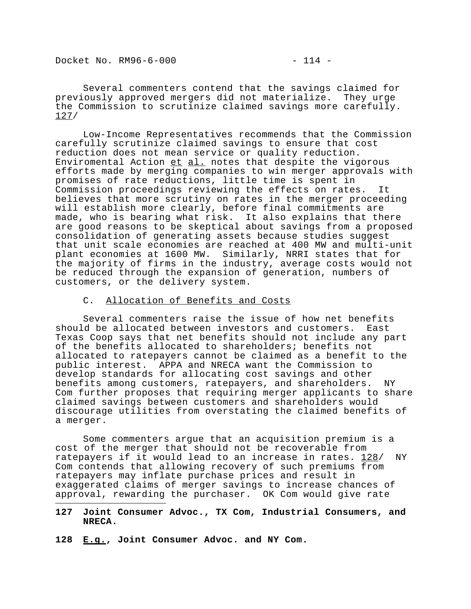Docket No. RM96-6-000 - 214 -

Several commenters contend that the savings claimed for previously approved mergers did not materialize. They urge the Commission to scrutinize claimed savings more carefully. 127/

Low-Income Representatives recommends that the Commission carefully scrutinize claimed savings to ensure that cost reduction does not mean service or quality reduction. Enviromental Action  $et$  al. notes that despite the vigorous efforts made by merging companies to win merger approvals with promises of rate reductions, little time is spent in Commission proceedings reviewing the effects on rates. It believes that more scrutiny on rates in the merger proceeding will establish more clearly, before final commitments are made, who is bearing what risk. It also explains that there are good reasons to be skeptical about savings from a proposed consolidation of generating assets because studies suggest that unit scale economies are reached at 400 MW and multi-unit plant economies at 1600 MW. Similarly, NRRI states that for the majority of firms in the industry, average costs would not be reduced through the expansion of generation, numbers of customers, or the delivery system.

### C. Allocation of Benefits and Costs

Several commenters raise the issue of how net benefits should be allocated between investors and customers. East Texas Coop says that net benefits should not include any part of the benefits allocated to shareholders; benefits not allocated to ratepayers cannot be claimed as a benefit to the public interest. APPA and NRECA want the Commission to develop standards for allocating cost savings and other benefits among customers, ratepayers, and shareholders. NY Com further proposes that requiring merger applicants to share claimed savings between customers and shareholders would discourage utilities from overstating the claimed benefits of a merger.

Some commenters argue that an acquisition premium is a cost of the merger that should not be recoverable from ratepayers if it would lead to an increase in rates. 128/ NY Com contends that allowing recovery of such premiums from ratepayers may inflate purchase prices and result in exaggerated claims of merger savings to increase chances of approval, rewarding the purchaser. OK Com would give rate i<br>I

## **127 Joint Consumer Advoc., TX Com, Industrial Consumers, and NRECA.**

**128 E.g., Joint Consumer Advoc. and NY Com.**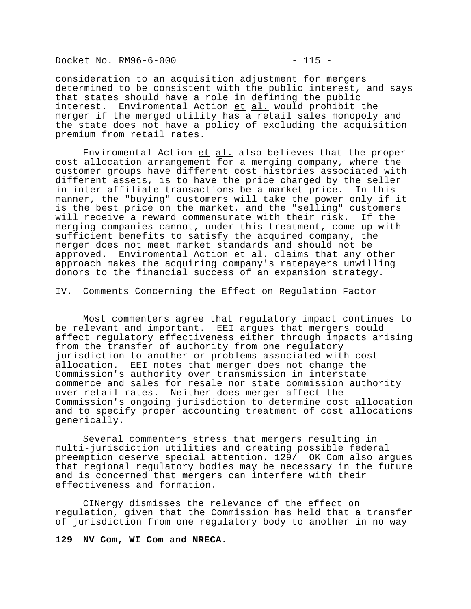Docket No. RM96-6-000 - 215 -

consideration to an acquisition adjustment for mergers determined to be consistent with the public interest, and says that states should have a role in defining the public interest. Enviromental Action et al. would prohibit the merger if the merged utility has a retail sales monopoly and the state does not have a policy of excluding the acquisition premium from retail rates.

Enviromental Action  $et$  al. also believes that the proper cost allocation arrangement for a merging company, where the customer groups have different cost histories associated with different assets, is to have the price charged by the seller in inter-affiliate transactions be a market price. In this manner, the "buying" customers will take the power only if it is the best price on the market, and the "selling" customers will receive a reward commensurate with their risk. If the merging companies cannot, under this treatment, come up with sufficient benefits to satisfy the acquired company, the merger does not meet market standards and should not be approved. Enviromental Action et al. claims that any other approach makes the acquiring company's ratepayers unwilling donors to the financial success of an expansion strategy.

## IV. Comments Concerning the Effect on Regulation Factor

Most commenters agree that regulatory impact continues to be relevant and important. EEI argues that mergers could affect regulatory effectiveness either through impacts arising from the transfer of authority from one regulatory jurisdiction to another or problems associated with cost allocation. EEI notes that merger does not change the Commission's authority over transmission in interstate commerce and sales for resale nor state commission authority over retail rates. Neither does merger affect the Commission's ongoing jurisdiction to determine cost allocation and to specify proper accounting treatment of cost allocations generically.

Several commenters stress that mergers resulting in multi-jurisdiction utilities and creating possible federal preemption deserve special attention. 129/ OK Com also argues that regional regulatory bodies may be necessary in the future and is concerned that mergers can interfere with their effectiveness and formation.

CINergy dismisses the relevance of the effect on regulation, given that the Commission has held that a transfer of jurisdiction from one regulatory body to another in no way

i<br>I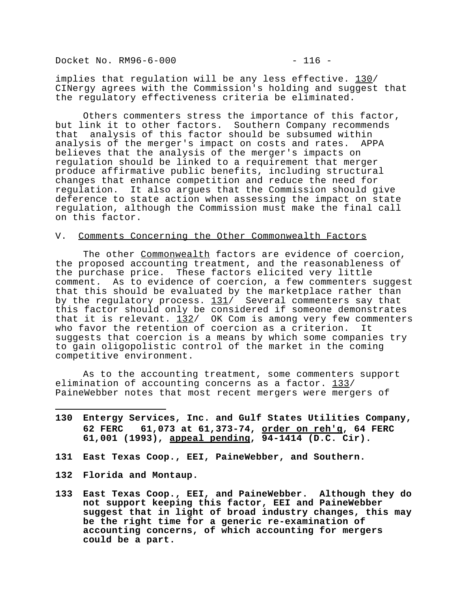Docket No. RM96-6-000 - 216 -

implies that regulation will be any less effective. 130/ CINergy agrees with the Commission's holding and suggest that the regulatory effectiveness criteria be eliminated.

Others commenters stress the importance of this factor, but link it to other factors. Southern Company recommends that analysis of this factor should be subsumed within analysis of the merger's impact on costs and rates. APPA believes that the analysis of the merger's impacts on regulation should be linked to a requirement that merger produce affirmative public benefits, including structural changes that enhance competition and reduce the need for regulation. It also argues that the Commission should give deference to state action when assessing the impact on state regulation, although the Commission must make the final call on this factor.

#### V. Comments Concerning the Other Commonwealth Factors

The other Commonwealth factors are evidence of coercion, the proposed accounting treatment, and the reasonableness of the purchase price. These factors elicited very little comment. As to evidence of coercion, a few commenters suggest that this should be evaluated by the marketplace rather than by the regulatory process. 131/ Several commenters say that this factor should only be considered if someone demonstrates that it is relevant.  $132/$  OK Com is among very few commenters who favor the retention of coercion as a criterion. It suggests that coercion is a means by which some companies try to gain oligopolistic control of the market in the coming competitive environment.

As to the accounting treatment, some commenters support elimination of accounting concerns as a factor. 133/ PaineWebber notes that most recent mergers were mergers of

- **130 Entergy Services, Inc. and Gulf States Utilities Company, 62 FERC 61,073 at 61,373-74, order on reh'g, 64 FERC 61,001 (1993), appeal pending, 94-1414 (D.C. Cir).**
- **131 East Texas Coop., EEI, PaineWebber, and Southern.**
- **132 Florida and Montaup.**

i<br>I

**133 East Texas Coop., EEI, and PaineWebber. Although they do not support keeping this factor, EEI and PaineWebber suggest that in light of broad industry changes, this may be the right time for a generic re-examination of accounting concerns, of which accounting for mergers could be a part.**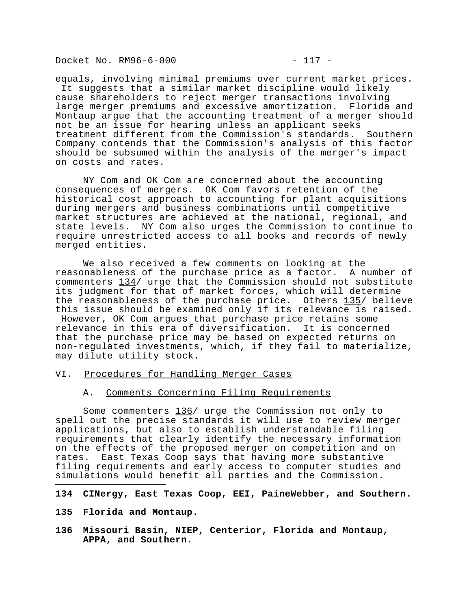Docket No. RM96-6-000 - 217 -

equals, involving minimal premiums over current market prices. It suggests that a similar market discipline would likely cause shareholders to reject merger transactions involving large merger premiums and excessive amortization. Florida and Montaup argue that the accounting treatment of a merger should not be an issue for hearing unless an applicant seeks treatment different from the Commission's standards. Southern Company contends that the Commission's analysis of this factor should be subsumed within the analysis of the merger's impact on costs and rates.

NY Com and OK Com are concerned about the accounting consequences of mergers. OK Com favors retention of the historical cost approach to accounting for plant acquisitions during mergers and business combinations until competitive market structures are achieved at the national, regional, and state levels. NY Com also urges the Commission to continue to require unrestricted access to all books and records of newly merged entities.

We also received a few comments on looking at the reasonableness of the purchase price as a factor. A number of commenters 134/ urge that the Commission should not substitute its judgment for that of market forces, which will determine the reasonableness of the purchase price. Others 135/ believe this issue should be examined only if its relevance is raised. However, OK Com argues that purchase price retains some relevance in this era of diversification. It is concerned that the purchase price may be based on expected returns on non-regulated investments, which, if they fail to materialize, may dilute utility stock.

### VI. Procedures for Handling Merger Cases

## A. Comments Concerning Filing Requirements

Some commenters 136/ urge the Commission not only to spell out the precise standards it will use to review merger applications, but also to establish understandable filing requirements that clearly identify the necessary information on the effects of the proposed merger on competition and on rates. East Texas Coop says that having more substantive filing requirements and early access to computer studies and simulations would benefit all parties and the Commission.

## **134 CINergy, East Texas Coop, EEI, PaineWebber, and Southern.**

**135 Florida and Montaup.**

i<br>I

**136 Missouri Basin, NIEP, Centerior, Florida and Montaup, APPA, and Southern.**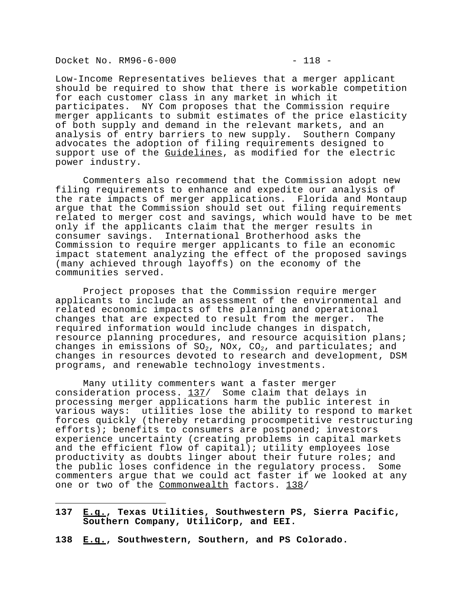Docket No. RM96-6-000 - 218 -

i<br>I

Low-Income Representatives believes that a merger applicant should be required to show that there is workable competition for each customer class in any market in which it participates. NY Com proposes that the Commission require merger applicants to submit estimates of the price elasticity of both supply and demand in the relevant markets, and an analysis of entry barriers to new supply. Southern Company advocates the adoption of filing requirements designed to support use of the Guidelines, as modified for the electric power industry.

Commenters also recommend that the Commission adopt new filing requirements to enhance and expedite our analysis of the rate impacts of merger applications. Florida and Montaup argue that the Commission should set out filing requirements related to merger cost and savings, which would have to be met only if the applicants claim that the merger results in consumer savings. International Brotherhood asks the Commission to require merger applicants to file an economic impact statement analyzing the effect of the proposed savings (many achieved through layoffs) on the economy of the communities served.

Project proposes that the Commission require merger applicants to include an assessment of the environmental and related economic impacts of the planning and operational changes that are expected to result from the merger. The required information would include changes in dispatch, resource planning procedures, and resource acquisition plans; changes in emissions of  $SO_2$ , NOx,  $CO_2$ , and particulates; and changes in resources devoted to research and development, DSM programs, and renewable technology investments.

Many utility commenters want a faster merger consideration process. 137/ Some claim that delays in processing merger applications harm the public interest in various ways: utilities lose the ability to respond to market forces quickly (thereby retarding procompetitive restructuring efforts); benefits to consumers are postponed; investors experience uncertainty (creating problems in capital markets and the efficient flow of capital); utility employees lose productivity as doubts linger about their future roles; and the public loses confidence in the regulatory process. Some commenters argue that we could act faster if we looked at any one or two of the Commonwealth factors. 138/

- **137 E.g., Texas Utilities, Southwestern PS, Sierra Pacific, Southern Company, UtiliCorp, and EEI.**
- **138 E.g., Southwestern, Southern, and PS Colorado.**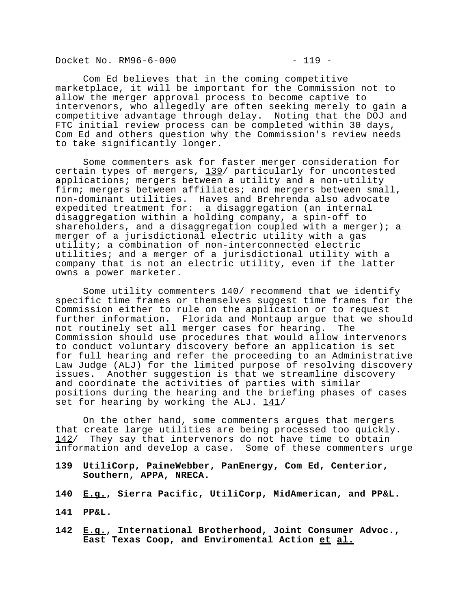Docket No. RM96-6-000 - 219 -

Com Ed believes that in the coming competitive marketplace, it will be important for the Commission not to allow the merger approval process to become captive to intervenors, who allegedly are often seeking merely to gain a competitive advantage through delay. Noting that the DOJ and FTC initial review process can be completed within 30 days, Com Ed and others question why the Commission's review needs to take significantly longer.

Some commenters ask for faster merger consideration for certain types of mergers, 139/ particularly for uncontested applications; mergers between a utility and a non-utility firm; mergers between affiliates; and mergers between small, non-dominant utilities. Haves and Brehrenda also advocate expedited treatment for: a disaggregation (an internal disaggregation within a holding company, a spin-off to shareholders, and a disaggregation coupled with a merger); a merger of a jurisdictional electric utility with a gas utility; a combination of non-interconnected electric utilities; and a merger of a jurisdictional utility with a company that is not an electric utility, even if the latter owns a power marketer.

Some utility commenters  $140/$  recommend that we identify specific time frames or themselves suggest time frames for the Commission either to rule on the application or to request further information. Florida and Montaup argue that we should not routinely set all merger cases for hearing. The Commission should use procedures that would allow intervenors to conduct voluntary discovery before an application is set for full hearing and refer the proceeding to an Administrative Law Judge (ALJ) for the limited purpose of resolving discovery issues. Another suggestion is that we streamline discovery and coordinate the activities of parties with similar positions during the hearing and the briefing phases of cases set for hearing by working the ALJ.  $141/$ 

On the other hand, some commenters argues that mergers that create large utilities are being processed too quickly. 142/ They say that intervenors do not have time to obtain information and develop a case. Some of these commenters urge

- **139 UtiliCorp, PaineWebber, PanEnergy, Com Ed, Centerior, Southern, APPA, NRECA.**
- **140 E.g., Sierra Pacific, UtiliCorp, MidAmerican, and PP&L.**
- **141 PP&L.**

i<br>I

**142 E.g., International Brotherhood, Joint Consumer Advoc., East Texas Coop, and Enviromental Action et al.**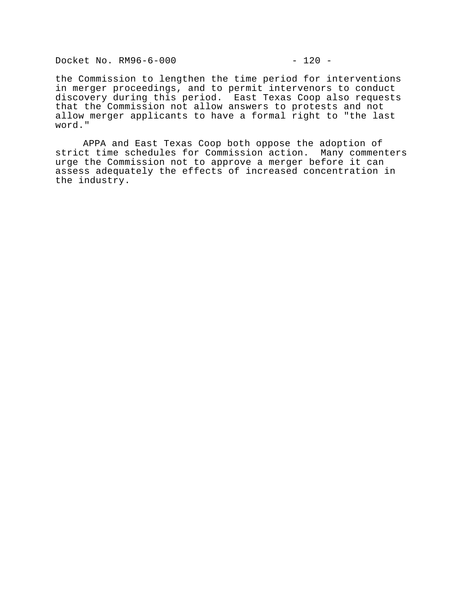Docket No. RM96-6-000 - 220 -

the Commission to lengthen the time period for interventions in merger proceedings, and to permit intervenors to conduct discovery during this period. East Texas Coop also requests that the Commission not allow answers to protests and not allow merger applicants to have a formal right to "the last word."

APPA and East Texas Coop both oppose the adoption of strict time schedules for Commission action. Many commenters urge the Commission not to approve a merger before it can assess adequately the effects of increased concentration in the industry.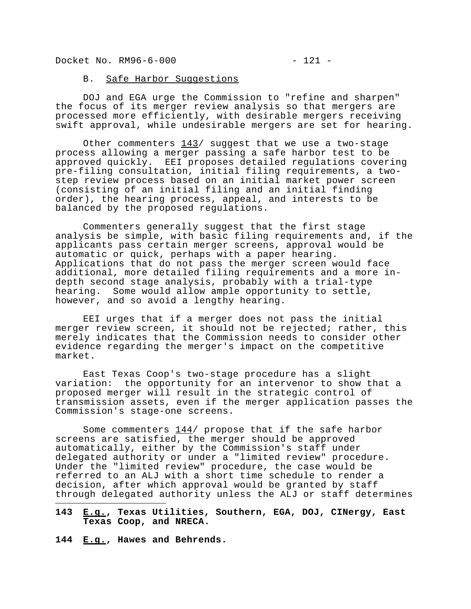Docket No. RM96-6-000 - 221 -

#### B. Safe Harbor Suggestions

DOJ and EGA urge the Commission to "refine and sharpen" the focus of its merger review analysis so that mergers are processed more efficiently, with desirable mergers receiving swift approval, while undesirable mergers are set for hearing.

Other commenters  $143/$  suggest that we use a two-stage process allowing a merger passing a safe harbor test to be approved quickly. EEI proposes detailed regulations covering pre-filing consultation, initial filing requirements, a twostep review process based on an initial market power screen (consisting of an initial filing and an initial finding order), the hearing process, appeal, and interests to be balanced by the proposed regulations.

Commenters generally suggest that the first stage analysis be simple, with basic filing requirements and, if the applicants pass certain merger screens, approval would be automatic or quick, perhaps with a paper hearing. Applications that do not pass the merger screen would face additional, more detailed filing requirements and a more indepth second stage analysis, probably with a trial-type hearing. Some would allow ample opportunity to settle, however, and so avoid a lengthy hearing.

EEI urges that if a merger does not pass the initial merger review screen, it should not be rejected; rather, this merely indicates that the Commission needs to consider other evidence regarding the merger's impact on the competitive market.

East Texas Coop's two-stage procedure has a slight variation: the opportunity for an intervenor to show that a proposed merger will result in the strategic control of transmission assets, even if the merger application passes the Commission's stage-one screens.

Some commenters  $144/$  propose that if the safe harbor screens are satisfied, the merger should be approved automatically, either by the Commission's staff under delegated authority or under a "limited review" procedure. Under the "limited review" procedure, the case would be referred to an ALJ with a short time schedule to render a decision, after which approval would be granted by staff through delegated authority unless the ALJ or staff determines i<br>I

**143 E.g., Texas Utilities, Southern, EGA, DOJ, CINergy, East Texas Coop, and NRECA.**

**144 E.g., Hawes and Behrends.**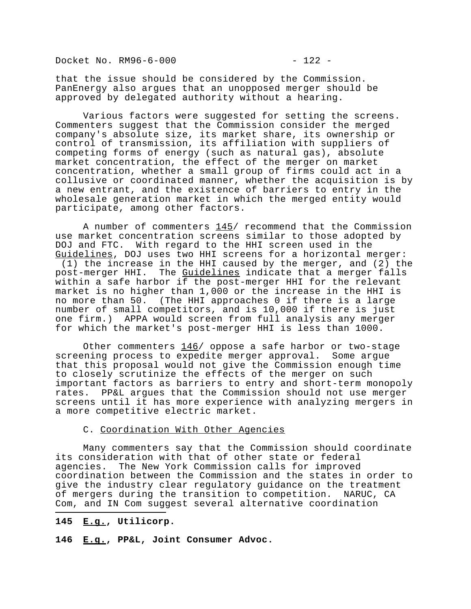Docket No. RM96-6-000 - 22 -

that the issue should be considered by the Commission. PanEnergy also argues that an unopposed merger should be approved by delegated authority without a hearing.

Various factors were suggested for setting the screens. Commenters suggest that the Commission consider the merged company's absolute size, its market share, its ownership or control of transmission, its affiliation with suppliers of competing forms of energy (such as natural gas), absolute market concentration, the effect of the merger on market concentration, whether a small group of firms could act in a collusive or coordinated manner, whether the acquisition is by a new entrant, and the existence of barriers to entry in the wholesale generation market in which the merged entity would participate, among other factors.

A number of commenters 145/ recommend that the Commission use market concentration screens similar to those adopted by DOJ and FTC. With regard to the HHI screen used in the Guidelines, DOJ uses two HHI screens for a horizontal merger: (1) the increase in the HHI caused by the merger, and (2) the post-merger HHI. The Guidelines indicate that a merger falls within a safe harbor if the post-merger HHI for the relevant market is no higher than 1,000 or the increase in the HHI is no more than 50. (The HHI approaches 0 if there is a large number of small competitors, and is 10,000 if there is just one firm.) APPA would screen from full analysis any merger for which the market's post-merger HHI is less than 1000.

Other commenters 146/ oppose a safe harbor or two-stage screening process to expedite merger approval. Some argue that this proposal would not give the Commission enough time to closely scrutinize the effects of the merger on such important factors as barriers to entry and short-term monopoly rates. PP&L argues that the Commission should not use merger screens until it has more experience with analyzing mergers in a more competitive electric market.

## C. Coordination With Other Agencies

Many commenters say that the Commission should coordinate its consideration with that of other state or federal agencies. The New York Commission calls for improved coordination between the Commission and the states in order to give the industry clear regulatory guidance on the treatment of mergers during the transition to competition. NARUC, CA Com, and IN Com suggest several alternative coordination i<br>I

#### **145 E.g., Utilicorp.**

**146 E.g., PP&L, Joint Consumer Advoc.**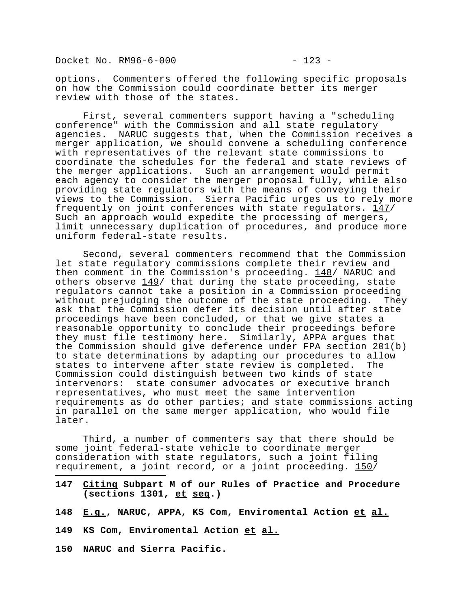Docket No. RM96-6-000 - 223 -

options. Commenters offered the following specific proposals on how the Commission could coordinate better its merger review with those of the states.

First, several commenters support having a "scheduling conference" with the Commission and all state regulatory agencies. NARUC suggests that, when the Commission receives a merger application, we should convene a scheduling conference with representatives of the relevant state commissions to coordinate the schedules for the federal and state reviews of the merger applications. Such an arrangement would permit each agency to consider the merger proposal fully, while also providing state regulators with the means of conveying their views to the Commission. Sierra Pacific urges us to rely more frequently on joint conferences with state regulators. 147/ Such an approach would expedite the processing of mergers, limit unnecessary duplication of procedures, and produce more uniform federal-state results.

Second, several commenters recommend that the Commission let state regulatory commissions complete their review and then comment in the Commission's proceeding.  $148/$  NARUC and others observe  $149/$  that during the state proceeding, state regulators cannot take a position in a Commission proceeding without prejudging the outcome of the state proceeding. They ask that the Commission defer its decision until after state proceedings have been concluded, or that we give states a reasonable opportunity to conclude their proceedings before they must file testimony here. Similarly, APPA argues that the Commission should give deference under FPA section 201(b) to state determinations by adapting our procedures to allow states to intervene after state review is completed. The Commission could distinguish between two kinds of state intervenors: state consumer advocates or executive branch representatives, who must meet the same intervention requirements as do other parties; and state commissions acting in parallel on the same merger application, who would file later.

Third, a number of commenters say that there should be some joint federal-state vehicle to coordinate merger consideration with state regulators, such a joint filing requirement, a joint record, or a joint proceeding. 150/

- **147 Citing Subpart M of our Rules of Practice and Procedure (sections 1301, et seq.)**
- **148 E.g., NARUC, APPA, KS Com, Enviromental Action et al.**
- **149 KS Com, Enviromental Action et al.**
- **150 NARUC and Sierra Pacific.**

i<br>I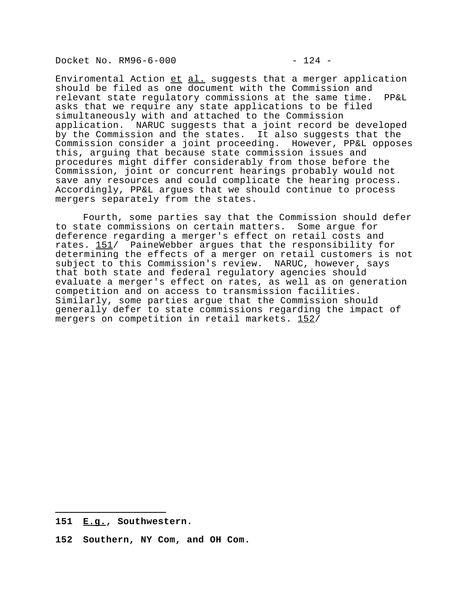Docket No. RM96-6-000 - 24 -

Enviromental Action et al. suggests that a merger application should be filed as one document with the Commission and relevant state regulatory commissions at the same time. PP&L asks that we require any state applications to be filed simultaneously with and attached to the Commission application. NARUC suggests that a joint record be developed by the Commission and the states. It also suggests that the Commission consider a joint proceeding. However, PP&L opposes this, arguing that because state commission issues and procedures might differ considerably from those before the Commission, joint or concurrent hearings probably would not save any resources and could complicate the hearing process. Accordingly, PP&L argues that we should continue to process mergers separately from the states.

Fourth, some parties say that the Commission should defer to state commissions on certain matters. Some argue for deference regarding a merger's effect on retail costs and rates. 151/ PaineWebber argues that the responsibility for determining the effects of a merger on retail customers is not subject to this Commission's review. NARUC, however, says that both state and federal regulatory agencies should evaluate a merger's effect on rates, as well as on generation competition and on access to transmission facilities. Similarly, some parties argue that the Commission should generally defer to state commissions regarding the impact of mergers on competition in retail markets. 152/

i<br>I

**152 Southern, NY Com, and OH Com.**

**<sup>151</sup> E.g., Southwestern.**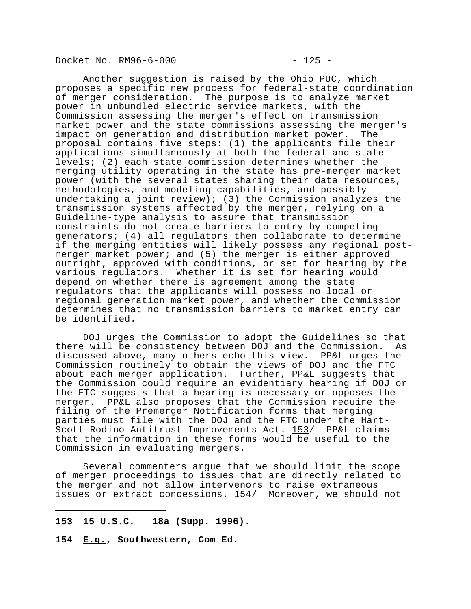Docket No. RM96-6-000 - 225 -

Another suggestion is raised by the Ohio PUC, which proposes a specific new process for federal-state coordination of merger consideration. The purpose is to analyze market power in unbundled electric service markets, with the Commission assessing the merger's effect on transmission market power and the state commissions assessing the merger's impact on generation and distribution market power. The proposal contains five steps: (1) the applicants file their applications simultaneously at both the federal and state levels; (2) each state commission determines whether the merging utility operating in the state has pre-merger market power (with the several states sharing their data resources, methodologies, and modeling capabilities, and possibly undertaking a joint review); (3) the Commission analyzes the transmission systems affected by the merger, relying on a Guideline-type analysis to assure that transmission constraints do not create barriers to entry by competing generators; (4) all regulators then collaborate to determine if the merging entities will likely possess any regional postmerger market power; and (5) the merger is either approved outright, approved with conditions, or set for hearing by the various regulators. Whether it is set for hearing would depend on whether there is agreement among the state regulators that the applicants will possess no local or regional generation market power, and whether the Commission determines that no transmission barriers to market entry can be identified.

DOJ urges the Commission to adopt the Guidelines so that there will be consistency between DOJ and the Commission. As discussed above, many others echo this view. PP&L urges the Commission routinely to obtain the views of DOJ and the FTC about each merger application. Further, PP&L suggests that the Commission could require an evidentiary hearing if DOJ or the FTC suggests that a hearing is necessary or opposes the merger. PP&L also proposes that the Commission require the filing of the Premerger Notification forms that merging parties must file with the DOJ and the FTC under the Hart-Scott-Rodino Antitrust Improvements Act. 153/ PP&L claims that the information in these forms would be useful to the Commission in evaluating mergers.

Several commenters argue that we should limit the scope of merger proceedings to issues that are directly related to the merger and not allow intervenors to raise extraneous issues or extract concessions. 154/ Moreover, we should not

- **153 15 U.S.C. 18a (Supp. 1996).**
- **154 E.g., Southwestern, Com Ed.**

i<br>I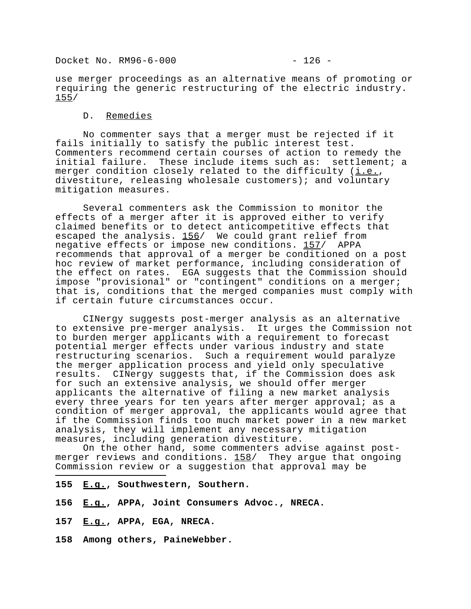Docket No. RM96-6-000 - 26 -

use merger proceedings as an alternative means of promoting or requiring the generic restructuring of the electric industry. 155/

### D. Remedies

No commenter says that a merger must be rejected if it fails initially to satisfy the public interest test. Commenters recommend certain courses of action to remedy the initial failure. These include items such as: settlement; a merger condition closely related to the difficulty  $(i.e.,$ divestiture, releasing wholesale customers); and voluntary mitigation measures.

Several commenters ask the Commission to monitor the effects of a merger after it is approved either to verify claimed benefits or to detect anticompetitive effects that escaped the analysis. 156/ We could grant relief from negative effects or impose new conditions. 157/ APPA recommends that approval of a merger be conditioned on a post hoc review of market performance, including consideration of the effect on rates. EGA suggests that the Commission should impose "provisional" or "contingent" conditions on a merger; that is, conditions that the merged companies must comply with if certain future circumstances occur.

CINergy suggests post-merger analysis as an alternative to extensive pre-merger analysis. It urges the Commission not to burden merger applicants with a requirement to forecast potential merger effects under various industry and state restructuring scenarios. Such a requirement would paralyze the merger application process and yield only speculative results. CINergy suggests that, if the Commission does ask for such an extensive analysis, we should offer merger applicants the alternative of filing a new market analysis every three years for ten years after merger approval; as a condition of merger approval, the applicants would agree that if the Commission finds too much market power in a new market analysis, they will implement any necessary mitigation measures, including generation divestiture.

On the other hand, some commenters advise against postmerger reviews and conditions. 158/ They argue that ongoing Commission review or a suggestion that approval may be

- **155 E.g., Southwestern, Southern.**
- **156 E.g., APPA, Joint Consumers Advoc., NRECA.**
- **157 E.g., APPA, EGA, NRECA.**

i<br>I

**158 Among others, PaineWebber.**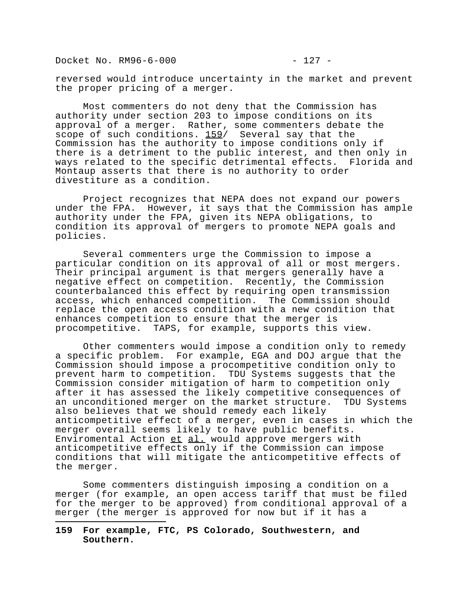Docket No. RM96-6-000 - 227 -

i<br>I

reversed would introduce uncertainty in the market and prevent the proper pricing of a merger.

Most commenters do not deny that the Commission has authority under section 203 to impose conditions on its approval of a merger. Rather, some commenters debate the scope of such conditions. 159/ Several say that the Commission has the authority to impose conditions only if there is a detriment to the public interest, and then only in ways related to the specific detrimental effects. Florida and Montaup asserts that there is no authority to order divestiture as a condition.

Project recognizes that NEPA does not expand our powers under the FPA. However, it says that the Commission has ample authority under the FPA, given its NEPA obligations, to condition its approval of mergers to promote NEPA goals and policies.

Several commenters urge the Commission to impose a particular condition on its approval of all or most mergers. Their principal argument is that mergers generally have a negative effect on competition. Recently, the Commission counterbalanced this effect by requiring open transmission access, which enhanced competition. The Commission should replace the open access condition with a new condition that enhances competition to ensure that the merger is procompetitive. TAPS, for example, supports this view.

Other commenters would impose a condition only to remedy a specific problem. For example, EGA and DOJ argue that the Commission should impose a procompetitive condition only to prevent harm to competition. TDU Systems suggests that the Commission consider mitigation of harm to competition only after it has assessed the likely competitive consequences of an unconditioned merger on the market structure. TDU Systems also believes that we should remedy each likely anticompetitive effect of a merger, even in cases in which the merger overall seems likely to have public benefits. Enviromental Action et al. would approve mergers with anticompetitive effects only if the Commission can impose conditions that will mitigate the anticompetitive effects of the merger.

Some commenters distinguish imposing a condition on a merger (for example, an open access tariff that must be filed for the merger to be approved) from conditional approval of a merger (the merger is approved for now but if it has a

**159 For example, FTC, PS Colorado, Southwestern, and Southern.**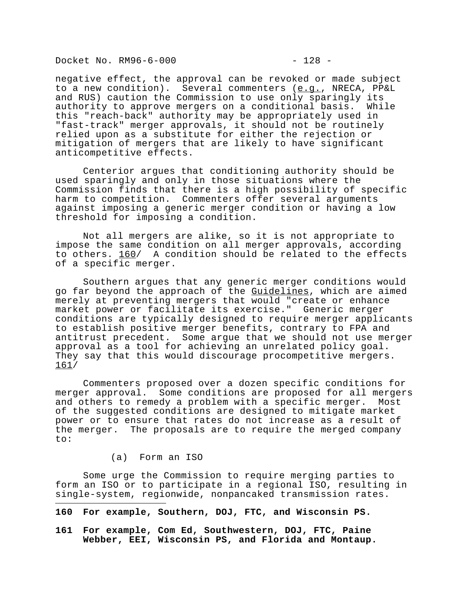Docket No. RM96-6-000 - 228 -

negative effect, the approval can be revoked or made subject to a new condition). Several commenters (e.g., NRECA, PP&L and RUS) caution the Commission to use only sparingly its authority to approve mergers on a conditional basis. While this "reach-back" authority may be appropriately used in "fast-track" merger approvals, it should not be routinely relied upon as a substitute for either the rejection or mitigation of mergers that are likely to have significant anticompetitive effects.

Centerior argues that conditioning authority should be used sparingly and only in those situations where the Commission finds that there is a high possibility of specific harm to competition. Commenters offer several arguments against imposing a generic merger condition or having a low threshold for imposing a condition.

Not all mergers are alike, so it is not appropriate to impose the same condition on all merger approvals, according to others. 160/ A condition should be related to the effects of a specific merger.

Southern argues that any generic merger conditions would go far beyond the approach of the Guidelines, which are aimed merely at preventing mergers that would "create or enhance market power or facilitate its exercise." Generic merger conditions are typically designed to require merger applicants to establish positive merger benefits, contrary to FPA and antitrust precedent. Some argue that we should not use merger approval as a tool for achieving an unrelated policy goal. They say that this would discourage procompetitive mergers. 161/

Commenters proposed over a dozen specific conditions for merger approval. Some conditions are proposed for all mergers and others to remedy a problem with a specific merger. Most of the suggested conditions are designed to mitigate market power or to ensure that rates do not increase as a result of the merger. The proposals are to require the merged company to:

### (a) Form an ISO

i<br>I

Some urge the Commission to require merging parties to form an ISO or to participate in a regional ISO, resulting in single-system, regionwide, nonpancaked transmission rates.

**160 For example, Southern, DOJ, FTC, and Wisconsin PS.**

**161 For example, Com Ed, Southwestern, DOJ, FTC, Paine Webber, EEI, Wisconsin PS, and Florida and Montaup.**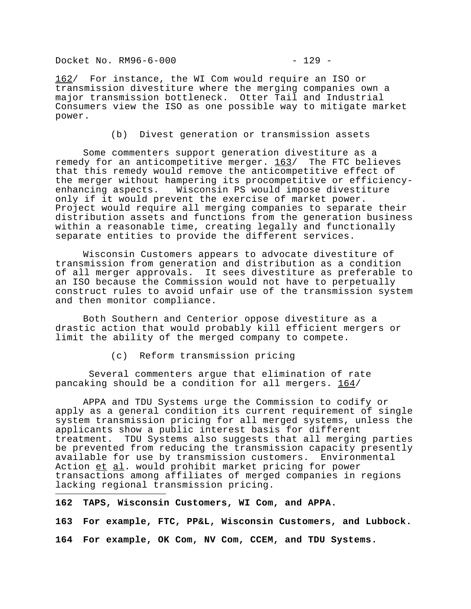Docket No. RM96-6-000 - 229 -

162/ For instance, the WI Com would require an ISO or transmission divestiture where the merging companies own a major transmission bottleneck. Otter Tail and Industrial Consumers view the ISO as one possible way to mitigate market power.

(b) Divest generation or transmission assets

Some commenters support generation divestiture as a remedy for an anticompetitive merger. 163/ The FTC believes that this remedy would remove the anticompetitive effect of the merger without hampering its procompetitive or efficiencyenhancing aspects. Wisconsin PS would impose divestiture only if it would prevent the exercise of market power. Project would require all merging companies to separate their distribution assets and functions from the generation business within a reasonable time, creating legally and functionally separate entities to provide the different services.

Wisconsin Customers appears to advocate divestiture of transmission from generation and distribution as a condition of all merger approvals. It sees divestiture as preferable to an ISO because the Commission would not have to perpetually construct rules to avoid unfair use of the transmission system and then monitor compliance.

Both Southern and Centerior oppose divestiture as a drastic action that would probably kill efficient mergers or limit the ability of the merged company to compete.

(c) Reform transmission pricing

 Several commenters argue that elimination of rate pancaking should be a condition for all mergers. 164/

APPA and TDU Systems urge the Commission to codify or apply as a general condition its current requirement of single system transmission pricing for all merged systems, unless the applicants show a public interest basis for different treatment. TDU Systems also suggests that all merging parties be prevented from reducing the transmission capacity presently available for use by transmission customers. Environmental Action et al. would prohibit market pricing for power transactions among affiliates of merged companies in regions lacking regional transmission pricing.

**162 TAPS, Wisconsin Customers, WI Com, and APPA.**

i<br>I

**163 For example, FTC, PP&L, Wisconsin Customers, and Lubbock.**

**164 For example, OK Com, NV Com, CCEM, and TDU Systems.**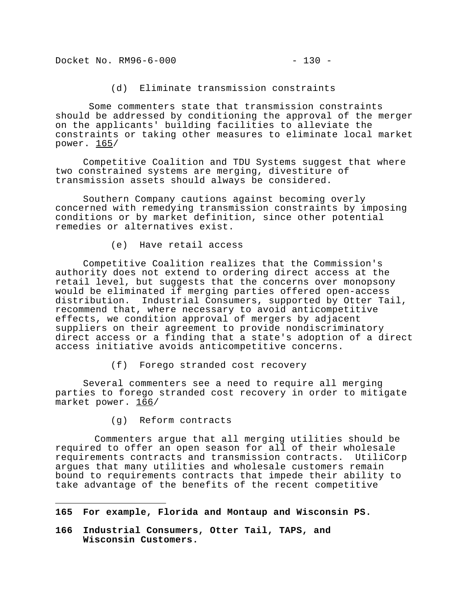Docket No. RM96-6-000 - 230 -

(d) Eliminate transmission constraints

 Some commenters state that transmission constraints should be addressed by conditioning the approval of the merger on the applicants' building facilities to alleviate the constraints or taking other measures to eliminate local market power. 165/

Competitive Coalition and TDU Systems suggest that where two constrained systems are merging, divestiture of transmission assets should always be considered.

Southern Company cautions against becoming overly concerned with remedying transmission constraints by imposing conditions or by market definition, since other potential remedies or alternatives exist.

(e) Have retail access

Competitive Coalition realizes that the Commission's authority does not extend to ordering direct access at the retail level, but suggests that the concerns over monopsony would be eliminated if merging parties offered open-access distribution. Industrial Consumers, supported by Otter Tail, recommend that, where necessary to avoid anticompetitive effects, we condition approval of mergers by adjacent suppliers on their agreement to provide nondiscriminatory direct access or a finding that a state's adoption of a direct access initiative avoids anticompetitive concerns.

(f) Forego stranded cost recovery

Several commenters see a need to require all merging parties to forego stranded cost recovery in order to mitigate market power. 166/

(g) Reform contracts

i<br>I

 Commenters argue that all merging utilities should be required to offer an open season for all of their wholesale requirements contracts and transmission contracts. UtiliCorp argues that many utilities and wholesale customers remain bound to requirements contracts that impede their ability to take advantage of the benefits of the recent competitive

**166 Industrial Consumers, Otter Tail, TAPS, and Wisconsin Customers.** 

**<sup>165</sup> For example, Florida and Montaup and Wisconsin PS.**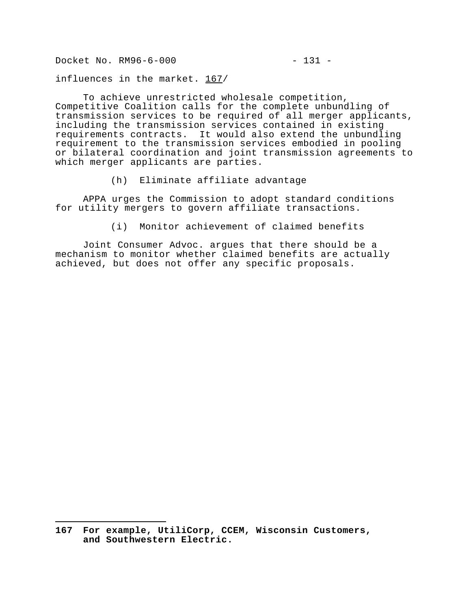Docket No. RM96-6-000 - 231 -

i<br>I

influences in the market. 167/

To achieve unrestricted wholesale competition, Competitive Coalition calls for the complete unbundling of transmission services to be required of all merger applicants, including the transmission services contained in existing requirements contracts. It would also extend the unbundling requirement to the transmission services embodied in pooling or bilateral coordination and joint transmission agreements to which merger applicants are parties.

(h) Eliminate affiliate advantage

APPA urges the Commission to adopt standard conditions for utility mergers to govern affiliate transactions.

(i) Monitor achievement of claimed benefits

Joint Consumer Advoc. argues that there should be a mechanism to monitor whether claimed benefits are actually achieved, but does not offer any specific proposals.

**<sup>167</sup> For example, UtiliCorp, CCEM, Wisconsin Customers, and Southwestern Electric.**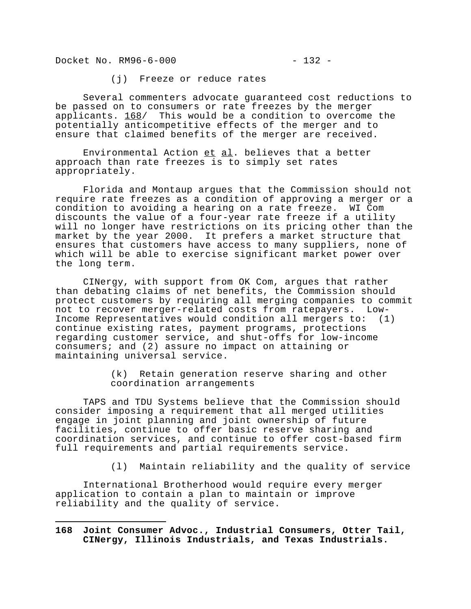Docket No. RM96-6-000 - 232 -

i<br>I

(j) Freeze or reduce rates

Several commenters advocate guaranteed cost reductions to be passed on to consumers or rate freezes by the merger applicants. 168/ This would be a condition to overcome the potentially anticompetitive effects of the merger and to ensure that claimed benefits of the merger are received.

Environmental Action et al. believes that a better approach than rate freezes is to simply set rates appropriately.

Florida and Montaup argues that the Commission should not require rate freezes as a condition of approving a merger or a condition to avoiding a hearing on a rate freeze. WI Com discounts the value of a four-year rate freeze if a utility will no longer have restrictions on its pricing other than the market by the year 2000. It prefers a market structure that ensures that customers have access to many suppliers, none of which will be able to exercise significant market power over the long term.

CINergy, with support from OK Com, argues that rather than debating claims of net benefits, the Commission should protect customers by requiring all merging companies to commit not to recover merger-related costs from ratepayers. Low-Income Representatives would condition all mergers to: (1) continue existing rates, payment programs, protections regarding customer service, and shut-offs for low-income consumers; and (2) assure no impact on attaining or maintaining universal service.

> (k) Retain generation reserve sharing and other coordination arrangements

TAPS and TDU Systems believe that the Commission should consider imposing a requirement that all merged utilities engage in joint planning and joint ownership of future facilities, continue to offer basic reserve sharing and coordination services, and continue to offer cost-based firm full requirements and partial requirements service.

(l) Maintain reliability and the quality of service

International Brotherhood would require every merger application to contain a plan to maintain or improve reliability and the quality of service.

**168 Joint Consumer Advoc., Industrial Consumers, Otter Tail, CINergy, Illinois Industrials, and Texas Industrials.**